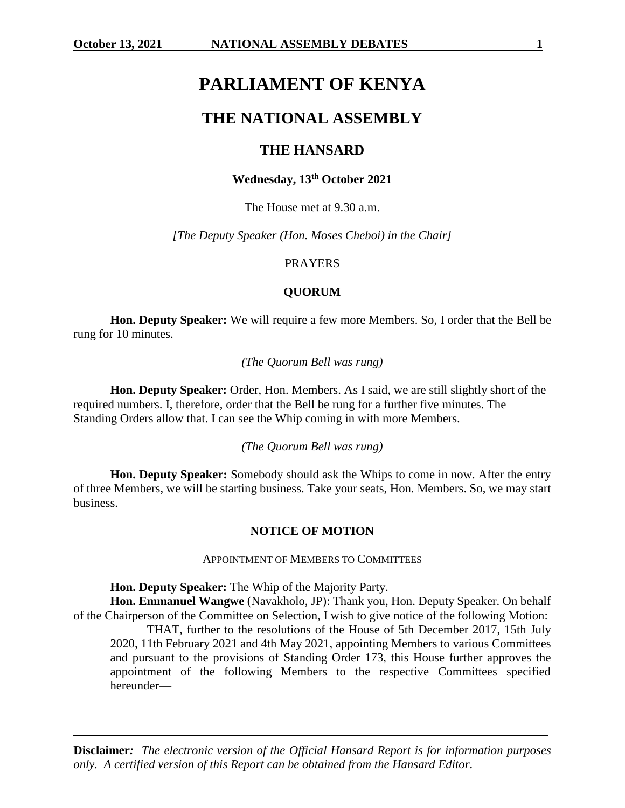# **PARLIAMENT OF KENYA**

# **THE NATIONAL ASSEMBLY**

# **THE HANSARD**

# **Wednesday, 13th October 2021**

The House met at 9.30 a.m.

*[The Deputy Speaker (Hon. Moses Cheboi) in the Chair]*

#### PRAYERS

### **QUORUM**

**Hon. Deputy Speaker:** We will require a few more Members. So, I order that the Bell be rung for 10 minutes.

*(The Quorum Bell was rung)*

**Hon. Deputy Speaker:** Order, Hon. Members. As I said, we are still slightly short of the required numbers. I, therefore, order that the Bell be rung for a further five minutes. The Standing Orders allow that. I can see the Whip coming in with more Members.

*(The Quorum Bell was rung)*

**Hon. Deputy Speaker:** Somebody should ask the Whips to come in now. After the entry of three Members, we will be starting business. Take your seats, Hon. Members. So, we may start business.

#### **NOTICE OF MOTION**

APPOINTMENT OF MEMBERS TO COMMITTEES

**Hon. Deputy Speaker:** The Whip of the Majority Party.

**Hon. Emmanuel Wangwe** (Navakholo, JP): Thank you, Hon. Deputy Speaker. On behalf of the Chairperson of the Committee on Selection, I wish to give notice of the following Motion:

THAT, further to the resolutions of the House of 5th December 2017, 15th July 2020, 11th February 2021 and 4th May 2021, appointing Members to various Committees and pursuant to the provisions of Standing Order 173, this House further approves the appointment of the following Members to the respective Committees specified hereunder—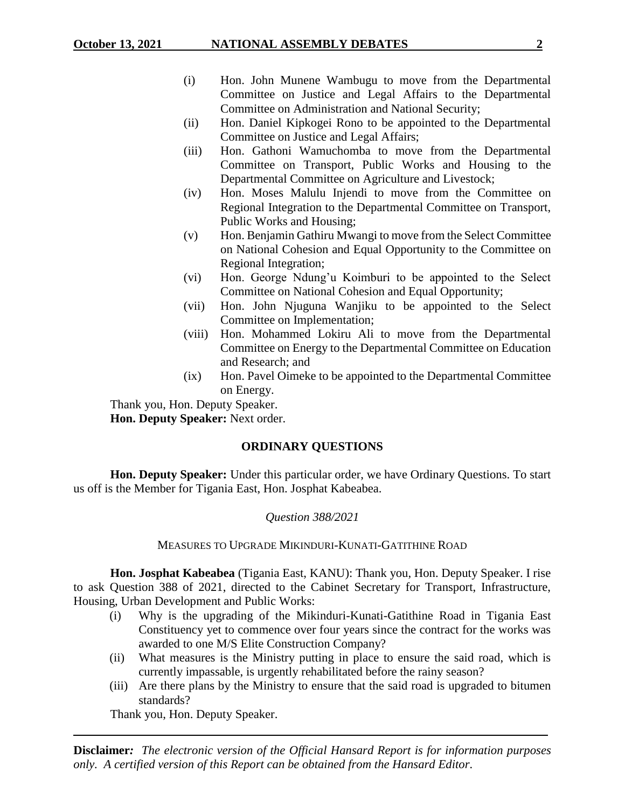- (i) Hon. John Munene Wambugu to move from the Departmental Committee on Justice and Legal Affairs to the Departmental Committee on Administration and National Security;
- (ii) Hon. Daniel Kipkogei Rono to be appointed to the Departmental Committee on Justice and Legal Affairs;
- (iii) Hon. Gathoni Wamuchomba to move from the Departmental Committee on Transport, Public Works and Housing to the Departmental Committee on Agriculture and Livestock;
- (iv) Hon. Moses Malulu Injendi to move from the Committee on Regional Integration to the Departmental Committee on Transport, Public Works and Housing;
- (v) Hon. Benjamin Gathiru Mwangi to move from the Select Committee on National Cohesion and Equal Opportunity to the Committee on Regional Integration;
- (vi) Hon. George Ndung'u Koimburi to be appointed to the Select Committee on National Cohesion and Equal Opportunity;
- (vii) Hon. John Njuguna Wanjiku to be appointed to the Select Committee on Implementation;
- (viii) Hon. Mohammed Lokiru Ali to move from the Departmental Committee on Energy to the Departmental Committee on Education and Research; and
- (ix) Hon. Pavel Oimeke to be appointed to the Departmental Committee on Energy.

Thank you, Hon. Deputy Speaker.

**Hon. Deputy Speaker:** Next order.

# **ORDINARY QUESTIONS**

**Hon. Deputy Speaker:** Under this particular order, we have Ordinary Questions. To start us off is the Member for Tigania East, Hon. Josphat Kabeabea.

# *Question 388/2021*

MEASURES TO UPGRADE MIKINDURI-KUNATI-GATITHINE ROAD

**Hon. Josphat Kabeabea** (Tigania East, KANU): Thank you, Hon. Deputy Speaker. I rise to ask Question 388 of 2021, directed to the Cabinet Secretary for Transport, Infrastructure, Housing, Urban Development and Public Works:

- (i) Why is the upgrading of the Mikinduri-Kunati-Gatithine Road in Tigania East Constituency yet to commence over four years since the contract for the works was awarded to one M/S Elite Construction Company?
- (ii) What measures is the Ministry putting in place to ensure the said road, which is currently impassable, is urgently rehabilitated before the rainy season?
- (iii) Are there plans by the Ministry to ensure that the said road is upgraded to bitumen standards?

Thank you, Hon. Deputy Speaker.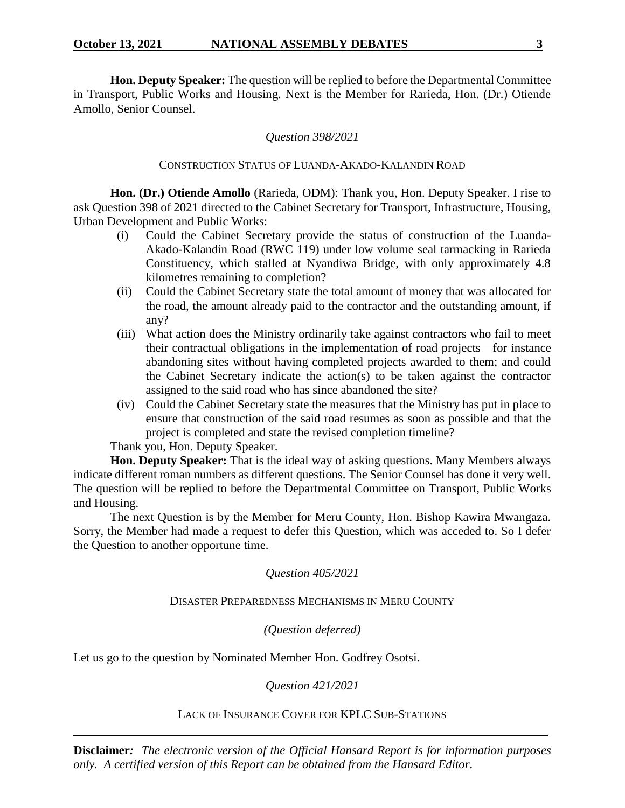**Hon. Deputy Speaker:** The question will be replied to before the Departmental Committee in Transport, Public Works and Housing. Next is the Member for Rarieda, Hon. (Dr.) Otiende Amollo, Senior Counsel.

# *Question 398/2021*

# CONSTRUCTION STATUS OF LUANDA-AKADO-KALANDIN ROAD

**Hon. (Dr.) Otiende Amollo** (Rarieda, ODM): Thank you, Hon. Deputy Speaker. I rise to ask Question 398 of 2021 directed to the Cabinet Secretary for Transport, Infrastructure, Housing, Urban Development and Public Works:

- (i) Could the Cabinet Secretary provide the status of construction of the Luanda-Akado-Kalandin Road (RWC 119) under low volume seal tarmacking in Rarieda Constituency, which stalled at Nyandiwa Bridge, with only approximately 4.8 kilometres remaining to completion?
- (ii) Could the Cabinet Secretary state the total amount of money that was allocated for the road, the amount already paid to the contractor and the outstanding amount, if any?
- (iii) What action does the Ministry ordinarily take against contractors who fail to meet their contractual obligations in the implementation of road projects—for instance abandoning sites without having completed projects awarded to them; and could the Cabinet Secretary indicate the action(s) to be taken against the contractor assigned to the said road who has since abandoned the site?
- (iv) Could the Cabinet Secretary state the measures that the Ministry has put in place to ensure that construction of the said road resumes as soon as possible and that the project is completed and state the revised completion timeline?

Thank you, Hon. Deputy Speaker.

**Hon. Deputy Speaker:** That is the ideal way of asking questions. Many Members always indicate different roman numbers as different questions. The Senior Counsel has done it very well. The question will be replied to before the Departmental Committee on Transport, Public Works and Housing.

The next Question is by the Member for Meru County, Hon. Bishop Kawira Mwangaza. Sorry, the Member had made a request to defer this Question, which was acceded to. So I defer the Question to another opportune time.

*Question 405/2021*

DISASTER PREPAREDNESS MECHANISMS IN MERU COUNTY

*(Question deferred)*

Let us go to the question by Nominated Member Hon. Godfrey Osotsi.

*Question 421/2021*

#### LACK OF INSURANCE COVER FOR KPLC SUB-STATIONS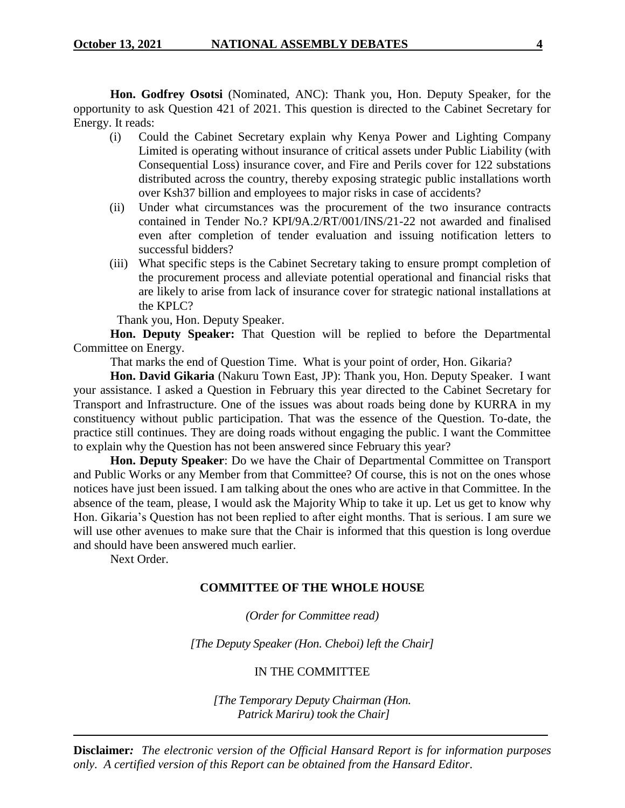**Hon. Godfrey Osotsi** (Nominated, ANC): Thank you, Hon. Deputy Speaker, for the opportunity to ask Question 421 of 2021. This question is directed to the Cabinet Secretary for Energy. It reads:

- (i) Could the Cabinet Secretary explain why Kenya Power and Lighting Company Limited is operating without insurance of critical assets under Public Liability (with Consequential Loss) insurance cover, and Fire and Perils cover for 122 substations distributed across the country, thereby exposing strategic public installations worth over Ksh37 billion and employees to major risks in case of accidents?
- (ii) Under what circumstances was the procurement of the two insurance contracts contained in Tender No.? KPI/9A.2/RT/001/INS/21-22 not awarded and finalised even after completion of tender evaluation and issuing notification letters to successful bidders?
- (iii) What specific steps is the Cabinet Secretary taking to ensure prompt completion of the procurement process and alleviate potential operational and financial risks that are likely to arise from lack of insurance cover for strategic national installations at the KPLC?

Thank you, Hon. Deputy Speaker.

**Hon. Deputy Speaker:** That Question will be replied to before the Departmental Committee on Energy.

That marks the end of Question Time. What is your point of order, Hon. Gikaria?

**Hon. David Gikaria** (Nakuru Town East, JP): Thank you, Hon. Deputy Speaker. I want your assistance. I asked a Question in February this year directed to the Cabinet Secretary for Transport and Infrastructure. One of the issues was about roads being done by KURRA in my constituency without public participation. That was the essence of the Question. To-date, the practice still continues. They are doing roads without engaging the public. I want the Committee to explain why the Question has not been answered since February this year?

**Hon. Deputy Speaker**: Do we have the Chair of Departmental Committee on Transport and Public Works or any Member from that Committee? Of course, this is not on the ones whose notices have just been issued. I am talking about the ones who are active in that Committee. In the absence of the team, please, I would ask the Majority Whip to take it up. Let us get to know why Hon. Gikaria's Question has not been replied to after eight months. That is serious. I am sure we will use other avenues to make sure that the Chair is informed that this question is long overdue and should have been answered much earlier.

Next Order.

# **COMMITTEE OF THE WHOLE HOUSE**

*(Order for Committee read)*

*[The Deputy Speaker (Hon. Cheboi) left the Chair]*

# IN THE COMMITTEE

*[The Temporary Deputy Chairman (Hon. Patrick Mariru) took the Chair]*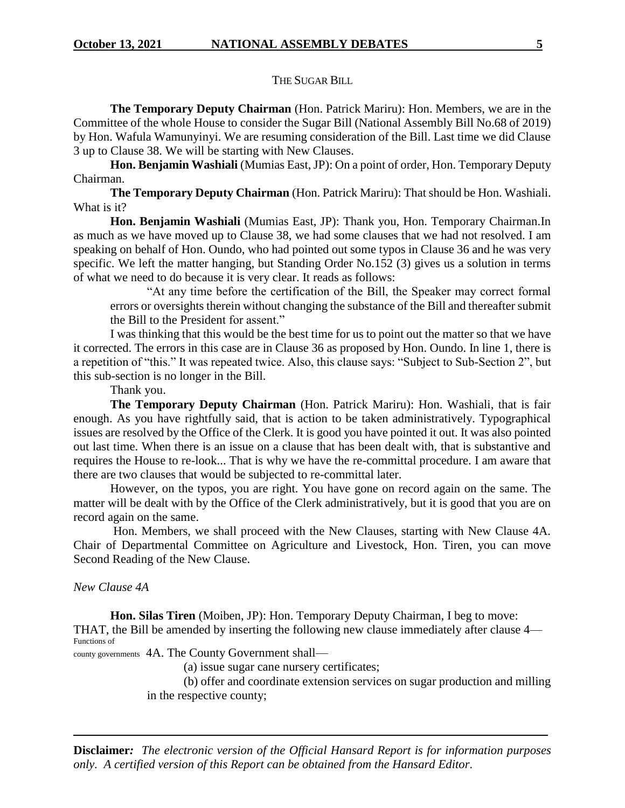#### THE SUGAR BILL

**The Temporary Deputy Chairman** (Hon. Patrick Mariru): Hon. Members, we are in the Committee of the whole House to consider the Sugar Bill (National Assembly Bill No.68 of 2019) by Hon. Wafula Wamunyinyi. We are resuming consideration of the Bill. Last time we did Clause 3 up to Clause 38. We will be starting with New Clauses.

**Hon. Benjamin Washiali** (Mumias East, JP): On a point of order, Hon. Temporary Deputy Chairman.

**The Temporary Deputy Chairman** (Hon. Patrick Mariru): That should be Hon. Washiali. What is it?

**Hon. Benjamin Washiali** (Mumias East, JP): Thank you, Hon. Temporary Chairman.In as much as we have moved up to Clause 38, we had some clauses that we had not resolved. I am speaking on behalf of Hon. Oundo, who had pointed out some typos in Clause 36 and he was very specific. We left the matter hanging, but Standing Order No.152 (3) gives us a solution in terms of what we need to do because it is very clear. It reads as follows:

"At any time before the certification of the Bill, the Speaker may correct formal errors or oversights therein without changing the substance of the Bill and thereafter submit the Bill to the President for assent."

I was thinking that this would be the best time for us to point out the matter so that we have it corrected. The errors in this case are in Clause 36 as proposed by Hon. Oundo. In line 1, there is a repetition of "this." It was repeated twice. Also, this clause says: "Subject to Sub-Section 2", but this sub-section is no longer in the Bill.

Thank you.

**The Temporary Deputy Chairman** (Hon. Patrick Mariru): Hon. Washiali, that is fair enough. As you have rightfully said, that is action to be taken administratively. Typographical issues are resolved by the Office of the Clerk. It is good you have pointed it out. It was also pointed out last time. When there is an issue on a clause that has been dealt with, that is substantive and requires the House to re-look... That is why we have the re-committal procedure. I am aware that there are two clauses that would be subjected to re-committal later.

However, on the typos, you are right. You have gone on record again on the same. The matter will be dealt with by the Office of the Clerk administratively, but it is good that you are on record again on the same.

Hon. Members, we shall proceed with the New Clauses, starting with New Clause 4A. Chair of Departmental Committee on Agriculture and Livestock, Hon. Tiren, you can move Second Reading of the New Clause.

# *New Clause 4A*

**Hon. Silas Tiren** (Moiben, JP): Hon. Temporary Deputy Chairman, I beg to move: THAT, the Bill be amended by inserting the following new clause immediately after clause 4— Functions of

county governments 4A. The County Government shall—

(a) issue sugar cane nursery certificates;

(b) offer and coordinate extension services on sugar production and milling in the respective county;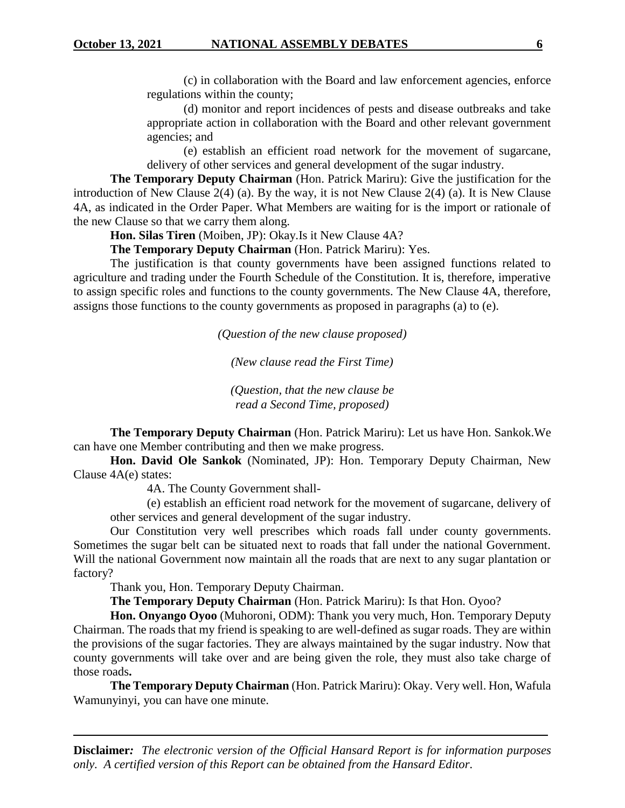(c) in collaboration with the Board and law enforcement agencies, enforce regulations within the county;

(d) monitor and report incidences of pests and disease outbreaks and take appropriate action in collaboration with the Board and other relevant government agencies; and

(e) establish an efficient road network for the movement of sugarcane, delivery of other services and general development of the sugar industry.

**The Temporary Deputy Chairman** (Hon. Patrick Mariru): Give the justification for the introduction of New Clause 2(4) (a). By the way, it is not New Clause 2(4) (a). It is New Clause 4A, as indicated in the Order Paper. What Members are waiting for is the import or rationale of the new Clause so that we carry them along.

**Hon. Silas Tiren** (Moiben, JP): Okay.Is it New Clause 4A?

**The Temporary Deputy Chairman** (Hon. Patrick Mariru): Yes.

The justification is that county governments have been assigned functions related to agriculture and trading under the Fourth Schedule of the Constitution. It is, therefore, imperative to assign specific roles and functions to the county governments. The New Clause 4A, therefore, assigns those functions to the county governments as proposed in paragraphs (a) to (e).

*(Question of the new clause proposed)*

*(New clause read the First Time)*

*(Question, that the new clause be read a Second Time, proposed)*

**The Temporary Deputy Chairman** (Hon. Patrick Mariru): Let us have Hon. Sankok.We can have one Member contributing and then we make progress.

**Hon. David Ole Sankok** (Nominated, JP): Hon. Temporary Deputy Chairman, New Clause 4A(e) states:

4A. The County Government shall-

(e) establish an efficient road network for the movement of sugarcane, delivery of other services and general development of the sugar industry.

Our Constitution very well prescribes which roads fall under county governments. Sometimes the sugar belt can be situated next to roads that fall under the national Government. Will the national Government now maintain all the roads that are next to any sugar plantation or factory?

Thank you, Hon. Temporary Deputy Chairman.

**The Temporary Deputy Chairman** (Hon. Patrick Mariru): Is that Hon. Oyoo?

**Hon. Onyango Oyoo** (Muhoroni, ODM): Thank you very much, Hon. Temporary Deputy Chairman. The roads that my friend is speaking to are well-defined as sugar roads. They are within the provisions of the sugar factories. They are always maintained by the sugar industry. Now that county governments will take over and are being given the role, they must also take charge of those roads**.** 

**The Temporary Deputy Chairman** (Hon. Patrick Mariru): Okay. Very well. Hon, Wafula Wamunyinyi, you can have one minute.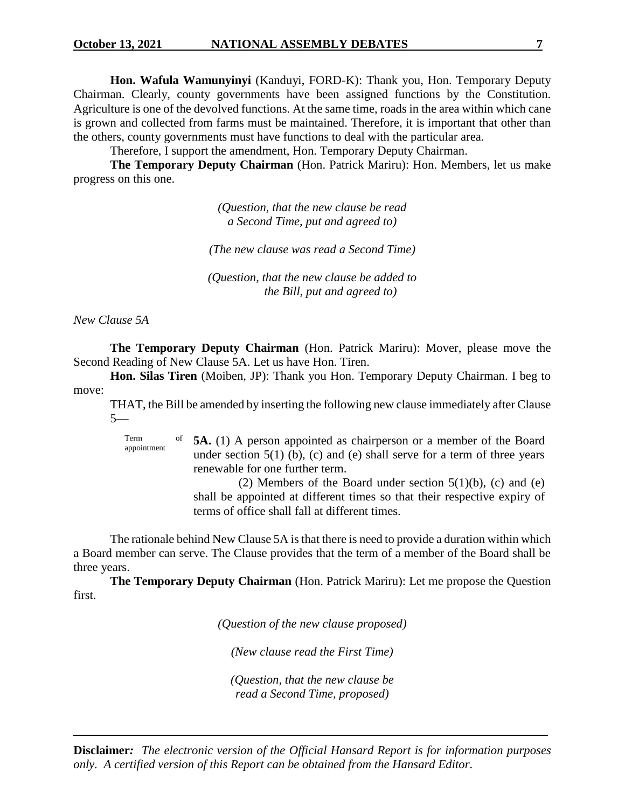**Hon. Wafula Wamunyinyi** (Kanduyi, FORD-K): Thank you, Hon. Temporary Deputy Chairman. Clearly, county governments have been assigned functions by the Constitution. Agriculture is one of the devolved functions. At the same time, roads in the area within which cane is grown and collected from farms must be maintained. Therefore, it is important that other than the others, county governments must have functions to deal with the particular area.

Therefore, I support the amendment, Hon. Temporary Deputy Chairman.

**The Temporary Deputy Chairman** (Hon. Patrick Mariru): Hon. Members, let us make progress on this one.

> *(Question, that the new clause be read a Second Time, put and agreed to)*

*(The new clause was read a Second Time)*

*(Question, that the new clause be added to the Bill, put and agreed to)*

*New Clause 5A*

**The Temporary Deputy Chairman** (Hon. Patrick Mariru): Mover, please move the Second Reading of New Clause 5A. Let us have Hon. Tiren.

**Hon. Silas Tiren** (Moiben, JP): Thank you Hon. Temporary Deputy Chairman. I beg to move:

THAT, the Bill be amended by inserting the following new clause immediately after Clause 5—

Term appointment **5A.** (1) A person appointed as chairperson or a member of the Board under section  $5(1)$  (b), (c) and (e) shall serve for a term of three years renewable for one further term.

(2) Members of the Board under section  $5(1)(b)$ , (c) and (e) shall be appointed at different times so that their respective expiry of terms of office shall fall at different times.

The rationale behind New Clause 5A is that there is need to provide a duration within which a Board member can serve. The Clause provides that the term of a member of the Board shall be three years.

**The Temporary Deputy Chairman** (Hon. Patrick Mariru): Let me propose the Question first.

*(Question of the new clause proposed)*

*(New clause read the First Time)*

*(Question, that the new clause be read a Second Time, proposed)*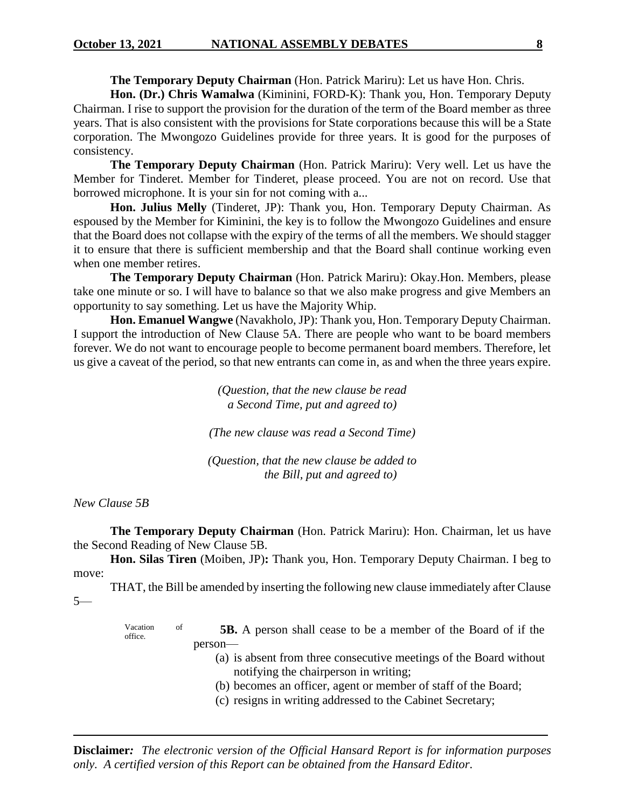**The Temporary Deputy Chairman** (Hon. Patrick Mariru): Let us have Hon. Chris.

**Hon. (Dr.) Chris Wamalwa** (Kiminini, FORD-K): Thank you, Hon. Temporary Deputy Chairman. I rise to support the provision for the duration of the term of the Board member as three years. That is also consistent with the provisions for State corporations because this will be a State corporation. The Mwongozo Guidelines provide for three years. It is good for the purposes of consistency.

**The Temporary Deputy Chairman** (Hon. Patrick Mariru): Very well. Let us have the Member for Tinderet. Member for Tinderet, please proceed. You are not on record. Use that borrowed microphone. It is your sin for not coming with a...

**Hon. Julius Melly** (Tinderet, JP): Thank you, Hon. Temporary Deputy Chairman. As espoused by the Member for Kiminini, the key is to follow the Mwongozo Guidelines and ensure that the Board does not collapse with the expiry of the terms of all the members. We should stagger it to ensure that there is sufficient membership and that the Board shall continue working even when one member retires.

**The Temporary Deputy Chairman** (Hon. Patrick Mariru): Okay.Hon. Members, please take one minute or so. I will have to balance so that we also make progress and give Members an opportunity to say something. Let us have the Majority Whip.

**Hon. Emanuel Wangwe** (Navakholo, JP): Thank you, Hon. Temporary Deputy Chairman. I support the introduction of New Clause 5A. There are people who want to be board members forever. We do not want to encourage people to become permanent board members. Therefore, let us give a caveat of the period, so that new entrants can come in, as and when the three years expire.

> *(Question, that the new clause be read a Second Time, put and agreed to)*

*(The new clause was read a Second Time)*

*(Question, that the new clause be added to the Bill, put and agreed to)*

*New Clause 5B*

**The Temporary Deputy Chairman** (Hon. Patrick Mariru): Hon. Chairman, let us have the Second Reading of New Clause 5B.

**Hon. Silas Tiren** (Moiben, JP)**:** Thank you, Hon. Temporary Deputy Chairman. I beg to move:

THAT, the Bill be amended by inserting the following new clause immediately after Clause 5—

> Vacation of office. **5B.** A person shall cease to be a member of the Board of if the person—

- (a) is absent from three consecutive meetings of the Board without notifying the chairperson in writing;
- (b) becomes an officer, agent or member of staff of the Board;
- (c) resigns in writing addressed to the Cabinet Secretary;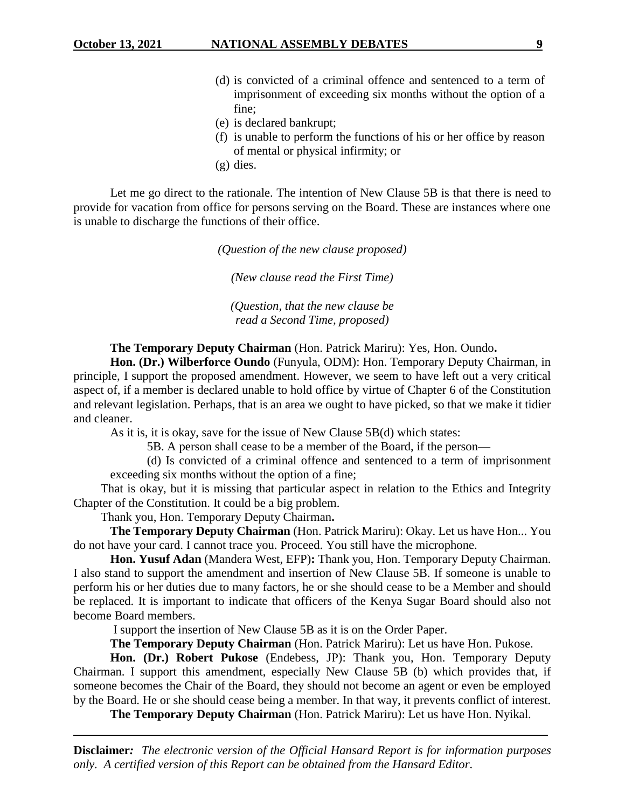- (d) is convicted of a criminal offence and sentenced to a term of imprisonment of exceeding six months without the option of a fine;
- (e) is declared bankrupt;
- (f) is unable to perform the functions of his or her office by reason of mental or physical infirmity; or
- (g) dies.

Let me go direct to the rationale. The intention of New Clause 5B is that there is need to provide for vacation from office for persons serving on the Board. These are instances where one is unable to discharge the functions of their office.

*(Question of the new clause proposed)*

*(New clause read the First Time)*

*(Question, that the new clause be read a Second Time, proposed)*

### **The Temporary Deputy Chairman** (Hon. Patrick Mariru): Yes, Hon. Oundo**.**

**Hon. (Dr.) Wilberforce Oundo** (Funyula, ODM): Hon. Temporary Deputy Chairman, in principle, I support the proposed amendment. However, we seem to have left out a very critical aspect of, if a member is declared unable to hold office by virtue of Chapter 6 of the Constitution and relevant legislation. Perhaps, that is an area we ought to have picked, so that we make it tidier and cleaner.

As it is, it is okay, save for the issue of New Clause 5B(d) which states:

5B. A person shall cease to be a member of the Board, if the person—

(d) Is convicted of a criminal offence and sentenced to a term of imprisonment exceeding six months without the option of a fine;

That is okay, but it is missing that particular aspect in relation to the Ethics and Integrity Chapter of the Constitution. It could be a big problem.

Thank you, Hon. Temporary Deputy Chairman**.** 

**The Temporary Deputy Chairman** (Hon. Patrick Mariru): Okay. Let us have Hon... You do not have your card. I cannot trace you. Proceed. You still have the microphone.

**Hon. Yusuf Adan** (Mandera West, EFP)**:** Thank you, Hon. Temporary Deputy Chairman. I also stand to support the amendment and insertion of New Clause 5B. If someone is unable to perform his or her duties due to many factors, he or she should cease to be a Member and should be replaced. It is important to indicate that officers of the Kenya Sugar Board should also not become Board members.

I support the insertion of New Clause 5B as it is on the Order Paper.

**The Temporary Deputy Chairman** (Hon. Patrick Mariru): Let us have Hon. Pukose.

**Hon. (Dr.) Robert Pukose** (Endebess, JP): Thank you, Hon. Temporary Deputy Chairman. I support this amendment, especially New Clause 5B (b) which provides that, if someone becomes the Chair of the Board, they should not become an agent or even be employed by the Board. He or she should cease being a member. In that way, it prevents conflict of interest.

**The Temporary Deputy Chairman** (Hon. Patrick Mariru): Let us have Hon. Nyikal.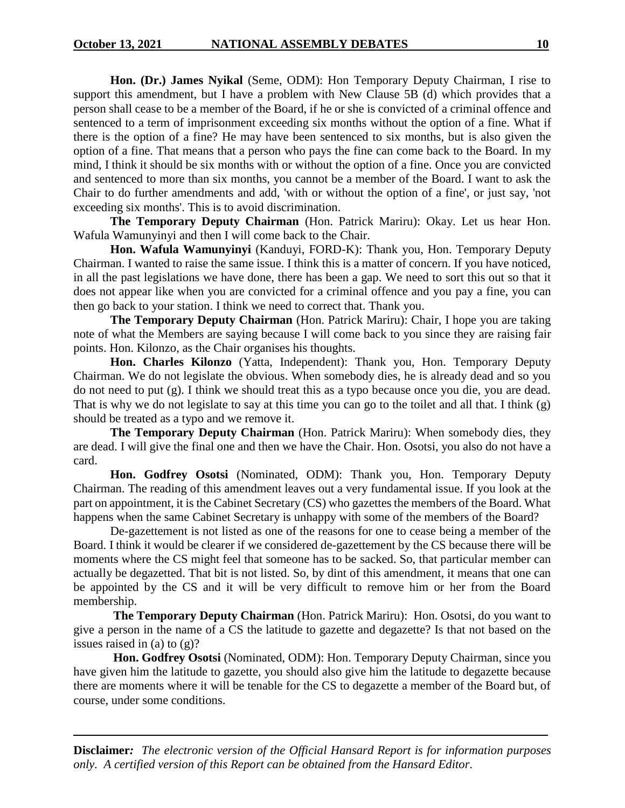**Hon. (Dr.) James Nyikal** (Seme, ODM): Hon Temporary Deputy Chairman, I rise to support this amendment, but I have a problem with New Clause 5B (d) which provides that a person shall cease to be a member of the Board, if he or she is convicted of a criminal offence and sentenced to a term of imprisonment exceeding six months without the option of a fine. What if there is the option of a fine? He may have been sentenced to six months, but is also given the option of a fine. That means that a person who pays the fine can come back to the Board. In my mind, I think it should be six months with or without the option of a fine. Once you are convicted and sentenced to more than six months, you cannot be a member of the Board. I want to ask the Chair to do further amendments and add, 'with or without the option of a fine', or just say, 'not exceeding six months'. This is to avoid discrimination.

**The Temporary Deputy Chairman** (Hon. Patrick Mariru): Okay. Let us hear Hon. Wafula Wamunyinyi and then I will come back to the Chair.

**Hon. Wafula Wamunyinyi** (Kanduyi, FORD-K): Thank you, Hon. Temporary Deputy Chairman. I wanted to raise the same issue. I think this is a matter of concern. If you have noticed, in all the past legislations we have done, there has been a gap. We need to sort this out so that it does not appear like when you are convicted for a criminal offence and you pay a fine, you can then go back to your station. I think we need to correct that. Thank you.

**The Temporary Deputy Chairman** (Hon. Patrick Mariru): Chair, I hope you are taking note of what the Members are saying because I will come back to you since they are raising fair points. Hon. Kilonzo, as the Chair organises his thoughts.

**Hon. Charles Kilonzo** (Yatta, Independent): Thank you, Hon. Temporary Deputy Chairman. We do not legislate the obvious. When somebody dies, he is already dead and so you do not need to put (g). I think we should treat this as a typo because once you die, you are dead. That is why we do not legislate to say at this time you can go to the toilet and all that. I think (g) should be treated as a typo and we remove it.

**The Temporary Deputy Chairman** (Hon. Patrick Mariru): When somebody dies, they are dead. I will give the final one and then we have the Chair. Hon. Osotsi, you also do not have a card.

**Hon. Godfrey Osotsi** (Nominated, ODM): Thank you, Hon. Temporary Deputy Chairman. The reading of this amendment leaves out a very fundamental issue. If you look at the part on appointment, it is the Cabinet Secretary (CS) who gazettes the members of the Board. What happens when the same Cabinet Secretary is unhappy with some of the members of the Board?

De-gazettement is not listed as one of the reasons for one to cease being a member of the Board. I think it would be clearer if we considered de-gazettement by the CS because there will be moments where the CS might feel that someone has to be sacked. So, that particular member can actually be degazetted. That bit is not listed. So, by dint of this amendment, it means that one can be appointed by the CS and it will be very difficult to remove him or her from the Board membership.

**The Temporary Deputy Chairman** (Hon. Patrick Mariru): Hon. Osotsi, do you want to give a person in the name of a CS the latitude to gazette and degazette? Is that not based on the issues raised in (a) to (g)?

**Hon. Godfrey Osotsi** (Nominated, ODM): Hon. Temporary Deputy Chairman, since you have given him the latitude to gazette, you should also give him the latitude to degazette because there are moments where it will be tenable for the CS to degazette a member of the Board but, of course, under some conditions.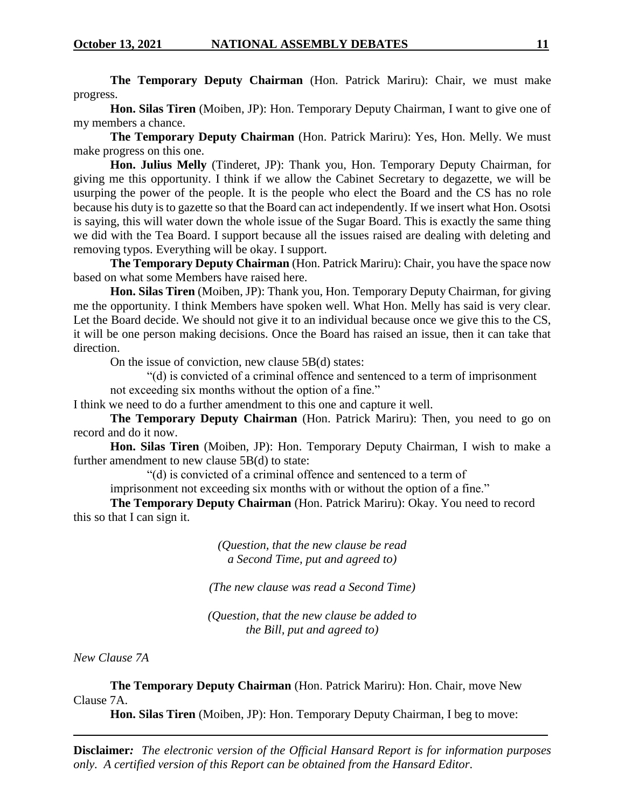**The Temporary Deputy Chairman** (Hon. Patrick Mariru): Chair, we must make progress.

**Hon. Silas Tiren** (Moiben, JP): Hon. Temporary Deputy Chairman, I want to give one of my members a chance.

**The Temporary Deputy Chairman** (Hon. Patrick Mariru): Yes, Hon. Melly. We must make progress on this one.

**Hon. Julius Melly** (Tinderet, JP): Thank you, Hon. Temporary Deputy Chairman, for giving me this opportunity. I think if we allow the Cabinet Secretary to degazette, we will be usurping the power of the people. It is the people who elect the Board and the CS has no role because his duty is to gazette so that the Board can act independently. If we insert what Hon. Osotsi is saying, this will water down the whole issue of the Sugar Board. This is exactly the same thing we did with the Tea Board. I support because all the issues raised are dealing with deleting and removing typos. Everything will be okay. I support.

**The Temporary Deputy Chairman** (Hon. Patrick Mariru): Chair, you have the space now based on what some Members have raised here.

**Hon. Silas Tiren** (Moiben, JP): Thank you, Hon. Temporary Deputy Chairman, for giving me the opportunity. I think Members have spoken well. What Hon. Melly has said is very clear. Let the Board decide. We should not give it to an individual because once we give this to the CS, it will be one person making decisions. Once the Board has raised an issue, then it can take that direction.

On the issue of conviction, new clause 5B(d) states:

"(d) is convicted of a criminal offence and sentenced to a term of imprisonment not exceeding six months without the option of a fine."

I think we need to do a further amendment to this one and capture it well.

**The Temporary Deputy Chairman** (Hon. Patrick Mariru): Then, you need to go on record and do it now.

**Hon. Silas Tiren** (Moiben, JP): Hon. Temporary Deputy Chairman, I wish to make a further amendment to new clause 5B(d) to state:

"(d) is convicted of a criminal offence and sentenced to a term of

imprisonment not exceeding six months with or without the option of a fine."

**The Temporary Deputy Chairman** (Hon. Patrick Mariru): Okay. You need to record this so that I can sign it.

> *(Question, that the new clause be read a Second Time, put and agreed to)*

*(The new clause was read a Second Time)*

*(Question, that the new clause be added to the Bill, put and agreed to)*

*New Clause 7A*

**The Temporary Deputy Chairman** (Hon. Patrick Mariru): Hon. Chair, move New Clause 7A.

**Hon. Silas Tiren** (Moiben, JP): Hon. Temporary Deputy Chairman, I beg to move: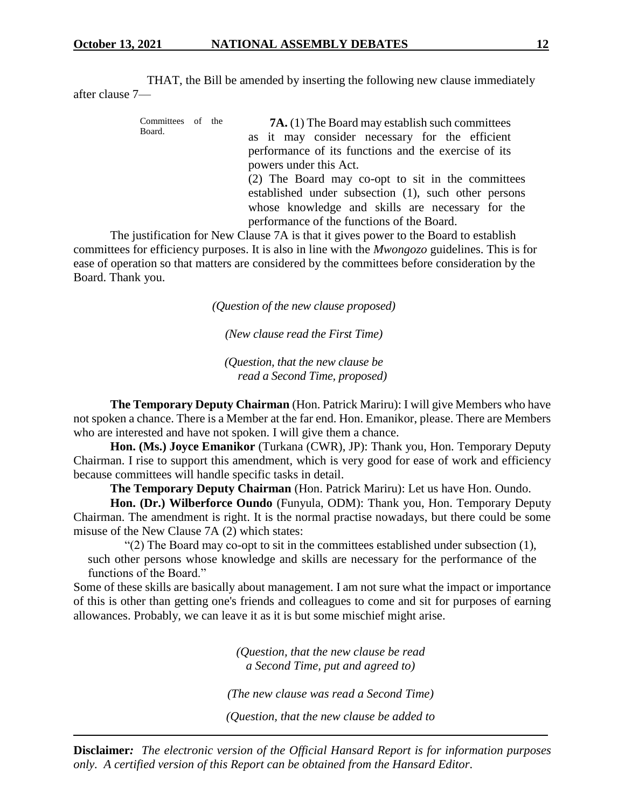THAT, the Bill be amended by inserting the following new clause immediately after clause 7—

| Committees of the<br>Board. |  |  | <b>7A.</b> (1) The Board may establish such committees |
|-----------------------------|--|--|--------------------------------------------------------|
|                             |  |  | as it may consider necessary for the efficient         |
|                             |  |  | performance of its functions and the exercise of its   |
|                             |  |  | powers under this Act.                                 |
|                             |  |  | (2) The Board may co-opt to sit in the committees      |
|                             |  |  | established under subsection (1), such other persons   |
|                             |  |  | whose knowledge and skills are necessary for the       |
|                             |  |  | performance of the functions of the Board.             |

The justification for New Clause 7A is that it gives power to the Board to establish committees for efficiency purposes. It is also in line with the *Mwongozo* guidelines. This is for ease of operation so that matters are considered by the committees before consideration by the Board. Thank you.

*(Question of the new clause proposed)*

*(New clause read the First Time)*

*(Question, that the new clause be read a Second Time, proposed)*

**The Temporary Deputy Chairman** (Hon. Patrick Mariru): I will give Members who have not spoken a chance. There is a Member at the far end. Hon. Emanikor, please. There are Members who are interested and have not spoken. I will give them a chance.

**Hon. (Ms.) Joyce Emanikor** (Turkana (CWR), JP): Thank you, Hon. Temporary Deputy Chairman. I rise to support this amendment, which is very good for ease of work and efficiency because committees will handle specific tasks in detail.

**The Temporary Deputy Chairman** (Hon. Patrick Mariru): Let us have Hon. Oundo.

**Hon. (Dr.) Wilberforce Oundo** (Funyula, ODM): Thank you, Hon. Temporary Deputy Chairman. The amendment is right. It is the normal practise nowadays, but there could be some misuse of the New Clause 7A (2) which states:

"(2) The Board may co-opt to sit in the committees established under subsection (1), such other persons whose knowledge and skills are necessary for the performance of the functions of the Board."

Some of these skills are basically about management. I am not sure what the impact or importance of this is other than getting one's friends and colleagues to come and sit for purposes of earning allowances. Probably, we can leave it as it is but some mischief might arise.

> *(Question, that the new clause be read a Second Time, put and agreed to)*

*(The new clause was read a Second Time)*

*(Question, that the new clause be added to*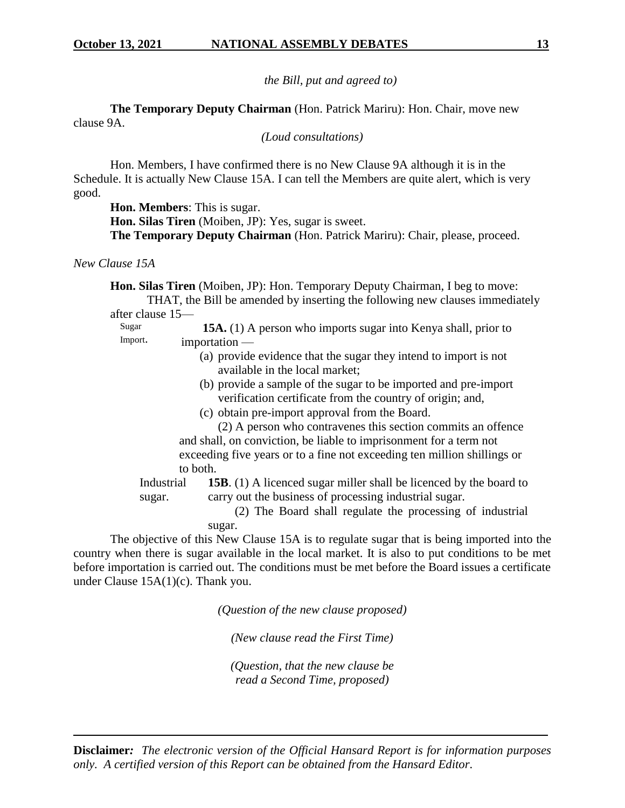*the Bill, put and agreed to)*

**The Temporary Deputy Chairman** (Hon. Patrick Mariru): Hon. Chair, move new clause 9A.

*(Loud consultations)*

Hon. Members, I have confirmed there is no New Clause 9A although it is in the Schedule. It is actually New Clause 15A. I can tell the Members are quite alert, which is very good.

**Hon. Members**: This is sugar.

**Hon. Silas Tiren** (Moiben, JP): Yes, sugar is sweet. **The Temporary Deputy Chairman** (Hon. Patrick Mariru): Chair, please, proceed.

*New Clause 15A*

**Hon. Silas Tiren** (Moiben, JP): Hon. Temporary Deputy Chairman, I beg to move: THAT, the Bill be amended by inserting the following new clauses immediately

after clause 15—

Sugar Import. **15A.** (1) A person who imports sugar into Kenya shall, prior to importation —

- (a) provide evidence that the sugar they intend to import is not available in the local market;
- (b) provide a sample of the sugar to be imported and pre-import verification certificate from the country of origin; and,
- (c) obtain pre-import approval from the Board.

(2) A person who contravenes this section commits an offence and shall, on conviction, be liable to imprisonment for a term not exceeding five years or to a fine not exceeding ten million shillings or to both.

**Industrial** sugar. **15B**. (1) A licenced sugar miller shall be licenced by the board to carry out the business of processing industrial sugar.

> (2) The Board shall regulate the processing of industrial sugar.

The objective of this New Clause 15A is to regulate sugar that is being imported into the country when there is sugar available in the local market. It is also to put conditions to be met before importation is carried out. The conditions must be met before the Board issues a certificate under Clause 15A(1)(c). Thank you.

*(Question of the new clause proposed)*

*(New clause read the First Time)*

*(Question, that the new clause be read a Second Time, proposed)*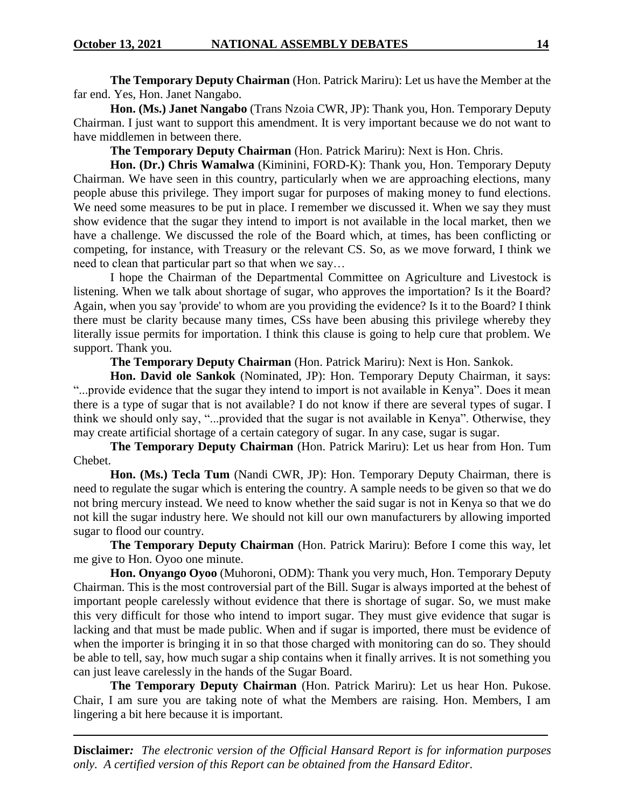**The Temporary Deputy Chairman** (Hon. Patrick Mariru): Let us have the Member at the far end. Yes, Hon. Janet Nangabo.

**Hon. (Ms.) Janet Nangabo** (Trans Nzoia CWR, JP): Thank you, Hon. Temporary Deputy Chairman. I just want to support this amendment. It is very important because we do not want to have middlemen in between there.

**The Temporary Deputy Chairman** (Hon. Patrick Mariru): Next is Hon. Chris.

**Hon. (Dr.) Chris Wamalwa** (Kiminini, FORD-K): Thank you, Hon. Temporary Deputy Chairman. We have seen in this country, particularly when we are approaching elections, many people abuse this privilege. They import sugar for purposes of making money to fund elections. We need some measures to be put in place. I remember we discussed it. When we say they must show evidence that the sugar they intend to import is not available in the local market, then we have a challenge. We discussed the role of the Board which, at times, has been conflicting or competing, for instance, with Treasury or the relevant CS. So, as we move forward, I think we need to clean that particular part so that when we say…

I hope the Chairman of the Departmental Committee on Agriculture and Livestock is listening. When we talk about shortage of sugar, who approves the importation? Is it the Board? Again, when you say 'provide' to whom are you providing the evidence? Is it to the Board? I think there must be clarity because many times, CSs have been abusing this privilege whereby they literally issue permits for importation. I think this clause is going to help cure that problem. We support. Thank you.

**The Temporary Deputy Chairman** (Hon. Patrick Mariru): Next is Hon. Sankok.

**Hon. David ole Sankok** (Nominated, JP): Hon. Temporary Deputy Chairman, it says: "...provide evidence that the sugar they intend to import is not available in Kenya". Does it mean there is a type of sugar that is not available? I do not know if there are several types of sugar. I think we should only say, "...provided that the sugar is not available in Kenya". Otherwise, they may create artificial shortage of a certain category of sugar. In any case, sugar is sugar.

**The Temporary Deputy Chairman** (Hon. Patrick Mariru): Let us hear from Hon. Tum Chebet.

**Hon. (Ms.) Tecla Tum** (Nandi CWR, JP): Hon. Temporary Deputy Chairman, there is need to regulate the sugar which is entering the country. A sample needs to be given so that we do not bring mercury instead. We need to know whether the said sugar is not in Kenya so that we do not kill the sugar industry here. We should not kill our own manufacturers by allowing imported sugar to flood our country.

**The Temporary Deputy Chairman** (Hon. Patrick Mariru): Before I come this way, let me give to Hon. Oyoo one minute.

**Hon. Onyango Oyoo** (Muhoroni, ODM): Thank you very much, Hon. Temporary Deputy Chairman. This is the most controversial part of the Bill. Sugar is always imported at the behest of important people carelessly without evidence that there is shortage of sugar. So, we must make this very difficult for those who intend to import sugar. They must give evidence that sugar is lacking and that must be made public. When and if sugar is imported, there must be evidence of when the importer is bringing it in so that those charged with monitoring can do so. They should be able to tell, say, how much sugar a ship contains when it finally arrives. It is not something you can just leave carelessly in the hands of the Sugar Board.

**The Temporary Deputy Chairman** (Hon. Patrick Mariru): Let us hear Hon. Pukose. Chair, I am sure you are taking note of what the Members are raising. Hon. Members, I am lingering a bit here because it is important.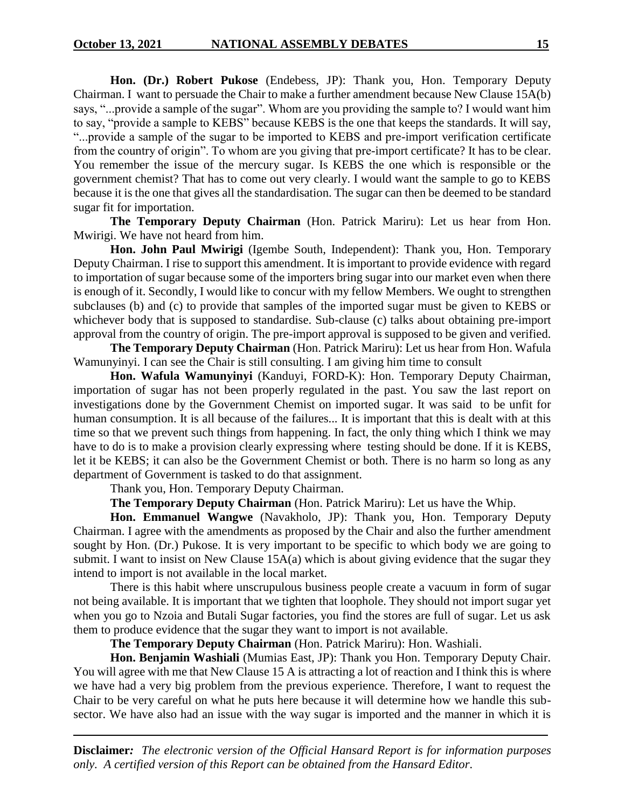**Hon. (Dr.) Robert Pukose** (Endebess, JP): Thank you, Hon. Temporary Deputy Chairman. I want to persuade the Chair to make a further amendment because New Clause 15A(b) says, "...provide a sample of the sugar". Whom are you providing the sample to? I would want him to say, "provide a sample to KEBS" because KEBS is the one that keeps the standards. It will say, "...provide a sample of the sugar to be imported to KEBS and pre-import verification certificate from the country of origin". To whom are you giving that pre-import certificate? It has to be clear. You remember the issue of the mercury sugar. Is KEBS the one which is responsible or the government chemist? That has to come out very clearly. I would want the sample to go to KEBS because it is the one that gives all the standardisation. The sugar can then be deemed to be standard sugar fit for importation.

**The Temporary Deputy Chairman** (Hon. Patrick Mariru): Let us hear from Hon. Mwirigi. We have not heard from him.

**Hon. John Paul Mwirigi** (Igembe South, Independent): Thank you, Hon. Temporary Deputy Chairman. I rise to support this amendment. It is important to provide evidence with regard to importation of sugar because some of the importers bring sugar into our market even when there is enough of it. Secondly, I would like to concur with my fellow Members. We ought to strengthen subclauses (b) and (c) to provide that samples of the imported sugar must be given to KEBS or whichever body that is supposed to standardise. Sub-clause (c) talks about obtaining pre-import approval from the country of origin. The pre-import approval is supposed to be given and verified.

**The Temporary Deputy Chairman** (Hon. Patrick Mariru): Let us hear from Hon. Wafula Wamunyinyi. I can see the Chair is still consulting. I am giving him time to consult

**Hon. Wafula Wamunyinyi** (Kanduyi, FORD-K): Hon. Temporary Deputy Chairman, importation of sugar has not been properly regulated in the past. You saw the last report on investigations done by the Government Chemist on imported sugar. It was said to be unfit for human consumption. It is all because of the failures... It is important that this is dealt with at this time so that we prevent such things from happening. In fact, the only thing which I think we may have to do is to make a provision clearly expressing where testing should be done. If it is KEBS, let it be KEBS; it can also be the Government Chemist or both. There is no harm so long as any department of Government is tasked to do that assignment.

Thank you, Hon. Temporary Deputy Chairman.

**The Temporary Deputy Chairman** (Hon. Patrick Mariru): Let us have the Whip.

**Hon. Emmanuel Wangwe** (Navakholo, JP): Thank you, Hon. Temporary Deputy Chairman. I agree with the amendments as proposed by the Chair and also the further amendment sought by Hon. (Dr.) Pukose. It is very important to be specific to which body we are going to submit. I want to insist on New Clause 15A(a) which is about giving evidence that the sugar they intend to import is not available in the local market.

There is this habit where unscrupulous business people create a vacuum in form of sugar not being available. It is important that we tighten that loophole. They should not import sugar yet when you go to Nzoia and Butali Sugar factories, you find the stores are full of sugar. Let us ask them to produce evidence that the sugar they want to import is not available.

**The Temporary Deputy Chairman** (Hon. Patrick Mariru): Hon. Washiali.

**Hon. Benjamin Washiali** (Mumias East, JP): Thank you Hon. Temporary Deputy Chair. You will agree with me that New Clause 15 A is attracting a lot of reaction and I think this is where we have had a very big problem from the previous experience. Therefore, I want to request the Chair to be very careful on what he puts here because it will determine how we handle this subsector. We have also had an issue with the way sugar is imported and the manner in which it is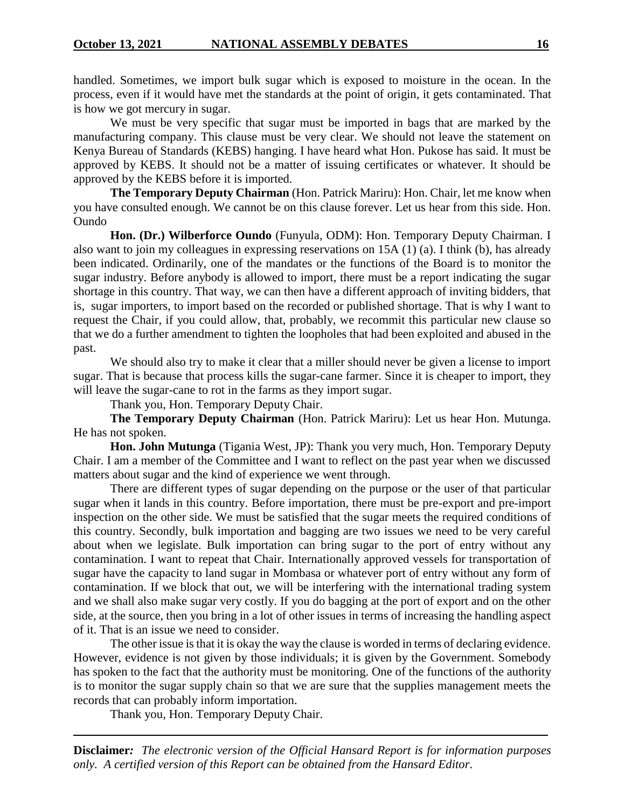handled. Sometimes, we import bulk sugar which is exposed to moisture in the ocean. In the process, even if it would have met the standards at the point of origin, it gets contaminated. That is how we got mercury in sugar.

We must be very specific that sugar must be imported in bags that are marked by the manufacturing company. This clause must be very clear. We should not leave the statement on Kenya Bureau of Standards (KEBS) hanging. I have heard what Hon. Pukose has said. It must be approved by KEBS. It should not be a matter of issuing certificates or whatever. It should be approved by the KEBS before it is imported.

**The Temporary Deputy Chairman** (Hon. Patrick Mariru): Hon. Chair, let me know when you have consulted enough. We cannot be on this clause forever. Let us hear from this side. Hon. Oundo

**Hon. (Dr.) Wilberforce Oundo** (Funyula, ODM): Hon. Temporary Deputy Chairman. I also want to join my colleagues in expressing reservations on 15A (1) (a). I think (b), has already been indicated. Ordinarily, one of the mandates or the functions of the Board is to monitor the sugar industry. Before anybody is allowed to import, there must be a report indicating the sugar shortage in this country. That way, we can then have a different approach of inviting bidders, that is, sugar importers, to import based on the recorded or published shortage. That is why I want to request the Chair, if you could allow, that, probably, we recommit this particular new clause so that we do a further amendment to tighten the loopholes that had been exploited and abused in the past.

We should also try to make it clear that a miller should never be given a license to import sugar. That is because that process kills the sugar-cane farmer. Since it is cheaper to import, they will leave the sugar-cane to rot in the farms as they import sugar.

Thank you, Hon. Temporary Deputy Chair.

**The Temporary Deputy Chairman** (Hon. Patrick Mariru): Let us hear Hon. Mutunga. He has not spoken.

**Hon. John Mutunga** (Tigania West, JP): Thank you very much, Hon. Temporary Deputy Chair. I am a member of the Committee and I want to reflect on the past year when we discussed matters about sugar and the kind of experience we went through.

There are different types of sugar depending on the purpose or the user of that particular sugar when it lands in this country. Before importation, there must be pre-export and pre-import inspection on the other side. We must be satisfied that the sugar meets the required conditions of this country. Secondly, bulk importation and bagging are two issues we need to be very careful about when we legislate. Bulk importation can bring sugar to the port of entry without any contamination. I want to repeat that Chair. Internationally approved vessels for transportation of sugar have the capacity to land sugar in Mombasa or whatever port of entry without any form of contamination. If we block that out, we will be interfering with the international trading system and we shall also make sugar very costly. If you do bagging at the port of export and on the other side, at the source, then you bring in a lot of other issues in terms of increasing the handling aspect of it. That is an issue we need to consider.

The other issue is that it is okay the way the clause is worded in terms of declaring evidence. However, evidence is not given by those individuals; it is given by the Government. Somebody has spoken to the fact that the authority must be monitoring. One of the functions of the authority is to monitor the sugar supply chain so that we are sure that the supplies management meets the records that can probably inform importation.

Thank you, Hon. Temporary Deputy Chair.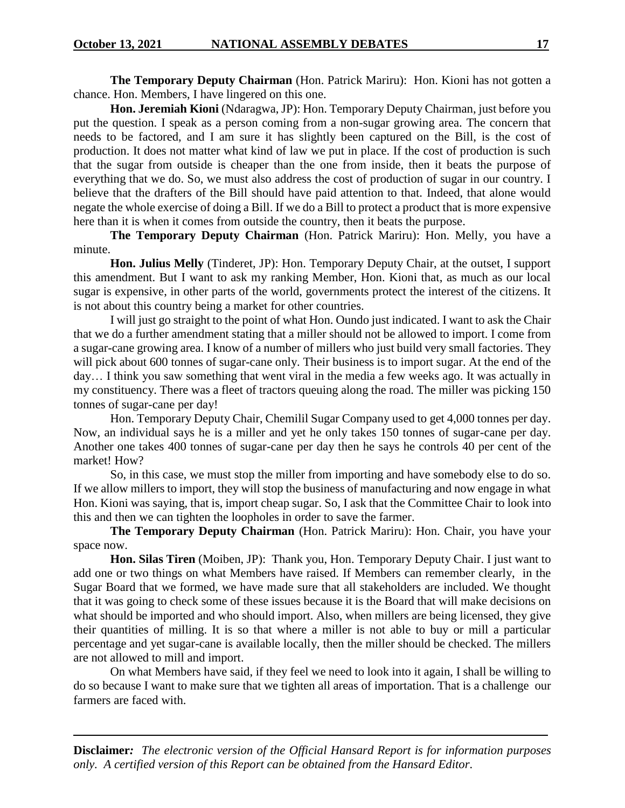**The Temporary Deputy Chairman** (Hon. Patrick Mariru): Hon. Kioni has not gotten a chance. Hon. Members, I have lingered on this one.

**Hon. Jeremiah Kioni** (Ndaragwa, JP): Hon. Temporary Deputy Chairman, just before you put the question. I speak as a person coming from a non-sugar growing area. The concern that needs to be factored, and I am sure it has slightly been captured on the Bill, is the cost of production. It does not matter what kind of law we put in place. If the cost of production is such that the sugar from outside is cheaper than the one from inside, then it beats the purpose of everything that we do. So, we must also address the cost of production of sugar in our country. I believe that the drafters of the Bill should have paid attention to that. Indeed, that alone would negate the whole exercise of doing a Bill. If we do a Bill to protect a product that is more expensive here than it is when it comes from outside the country, then it beats the purpose.

**The Temporary Deputy Chairman** (Hon. Patrick Mariru): Hon. Melly, you have a minute.

**Hon. Julius Melly** (Tinderet, JP): Hon. Temporary Deputy Chair, at the outset, I support this amendment. But I want to ask my ranking Member, Hon. Kioni that, as much as our local sugar is expensive, in other parts of the world, governments protect the interest of the citizens. It is not about this country being a market for other countries.

I will just go straight to the point of what Hon. Oundo just indicated. I want to ask the Chair that we do a further amendment stating that a miller should not be allowed to import. I come from a sugar-cane growing area. I know of a number of millers who just build very small factories. They will pick about 600 tonnes of sugar-cane only. Their business is to import sugar. At the end of the day… I think you saw something that went viral in the media a few weeks ago. It was actually in my constituency. There was a fleet of tractors queuing along the road. The miller was picking 150 tonnes of sugar-cane per day!

Hon. Temporary Deputy Chair, Chemilil Sugar Company used to get 4,000 tonnes per day. Now, an individual says he is a miller and yet he only takes 150 tonnes of sugar-cane per day. Another one takes 400 tonnes of sugar-cane per day then he says he controls 40 per cent of the market! How?

So, in this case, we must stop the miller from importing and have somebody else to do so. If we allow millers to import, they will stop the business of manufacturing and now engage in what Hon. Kioni was saying, that is, import cheap sugar. So, I ask that the Committee Chair to look into this and then we can tighten the loopholes in order to save the farmer.

**The Temporary Deputy Chairman** (Hon. Patrick Mariru): Hon. Chair, you have your space now.

**Hon. Silas Tiren** (Moiben, JP): Thank you, Hon. Temporary Deputy Chair. I just want to add one or two things on what Members have raised. If Members can remember clearly, in the Sugar Board that we formed, we have made sure that all stakeholders are included. We thought that it was going to check some of these issues because it is the Board that will make decisions on what should be imported and who should import. Also, when millers are being licensed, they give their quantities of milling. It is so that where a miller is not able to buy or mill a particular percentage and yet sugar-cane is available locally, then the miller should be checked. The millers are not allowed to mill and import.

On what Members have said, if they feel we need to look into it again, I shall be willing to do so because I want to make sure that we tighten all areas of importation. That is a challenge our farmers are faced with.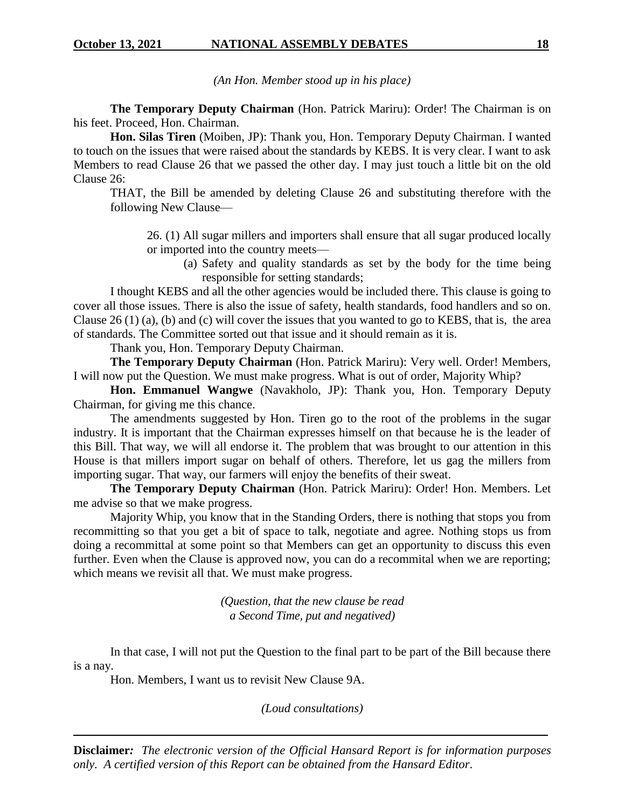*(An Hon. Member stood up in his place)*

**The Temporary Deputy Chairman** (Hon. Patrick Mariru): Order! The Chairman is on his feet. Proceed, Hon. Chairman.

**Hon. Silas Tiren** (Moiben, JP): Thank you, Hon. Temporary Deputy Chairman. I wanted to touch on the issues that were raised about the standards by KEBS. It is very clear. I want to ask Members to read Clause 26 that we passed the other day. I may just touch a little bit on the old Clause 26:

THAT, the Bill be amended by deleting Clause 26 and substituting therefore with the following New Clause—

26. (1) All sugar millers and importers shall ensure that all sugar produced locally or imported into the country meets—

(a) Safety and quality standards as set by the body for the time being responsible for setting standards;

I thought KEBS and all the other agencies would be included there. This clause is going to cover all those issues. There is also the issue of safety, health standards, food handlers and so on. Clause 26 (1) (a), (b) and (c) will cover the issues that you wanted to go to KEBS, that is, the area of standards. The Committee sorted out that issue and it should remain as it is.

Thank you, Hon. Temporary Deputy Chairman.

**The Temporary Deputy Chairman** (Hon. Patrick Mariru): Very well. Order! Members, I will now put the Question. We must make progress. What is out of order, Majority Whip?

**Hon. Emmanuel Wangwe** (Navakholo, JP): Thank you, Hon. Temporary Deputy Chairman, for giving me this chance.

The amendments suggested by Hon. Tiren go to the root of the problems in the sugar industry. It is important that the Chairman expresses himself on that because he is the leader of this Bill. That way, we will all endorse it. The problem that was brought to our attention in this House is that millers import sugar on behalf of others. Therefore, let us gag the millers from importing sugar. That way, our farmers will enjoy the benefits of their sweat.

**The Temporary Deputy Chairman** (Hon. Patrick Mariru): Order! Hon. Members. Let me advise so that we make progress.

Majority Whip, you know that in the Standing Orders, there is nothing that stops you from recommitting so that you get a bit of space to talk, negotiate and agree. Nothing stops us from doing a recommittal at some point so that Members can get an opportunity to discuss this even further. Even when the Clause is approved now, you can do a recommital when we are reporting; which means we revisit all that. We must make progress.

> *(Question, that the new clause be read a Second Time, put and negatived)*

In that case, I will not put the Question to the final part to be part of the Bill because there is a nay.

Hon. Members, I want us to revisit New Clause 9A.

*(Loud consultations)*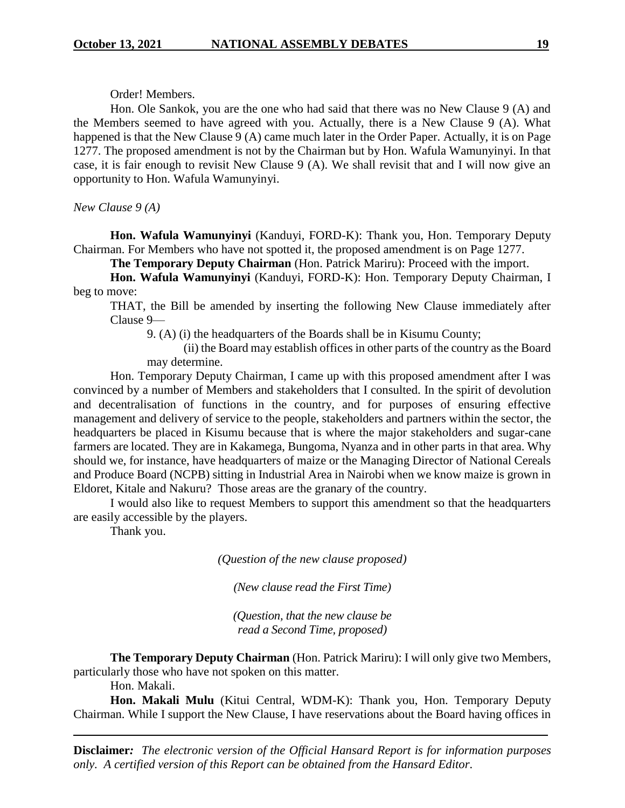Order! Members.

Hon. Ole Sankok, you are the one who had said that there was no New Clause 9 (A) and the Members seemed to have agreed with you. Actually, there is a New Clause 9 (A). What happened is that the New Clause 9 (A) came much later in the Order Paper. Actually, it is on Page 1277. The proposed amendment is not by the Chairman but by Hon. Wafula Wamunyinyi. In that case, it is fair enough to revisit New Clause 9 (A). We shall revisit that and I will now give an opportunity to Hon. Wafula Wamunyinyi.

*New Clause 9 (A)*

**Hon. Wafula Wamunyinyi** (Kanduyi, FORD-K): Thank you, Hon. Temporary Deputy Chairman. For Members who have not spotted it, the proposed amendment is on Page 1277.

**The Temporary Deputy Chairman** (Hon. Patrick Mariru): Proceed with the import.

**Hon. Wafula Wamunyinyi** (Kanduyi, FORD-K): Hon. Temporary Deputy Chairman, I beg to move:

THAT, the Bill be amended by inserting the following New Clause immediately after Clause 9—

9. (A) (i) the headquarters of the Boards shall be in Kisumu County;

(ii) the Board may establish offices in other parts of the country as the Board may determine.

Hon. Temporary Deputy Chairman, I came up with this proposed amendment after I was convinced by a number of Members and stakeholders that I consulted. In the spirit of devolution and decentralisation of functions in the country, and for purposes of ensuring effective management and delivery of service to the people, stakeholders and partners within the sector, the headquarters be placed in Kisumu because that is where the major stakeholders and sugar-cane farmers are located. They are in Kakamega, Bungoma, Nyanza and in other parts in that area. Why should we, for instance, have headquarters of maize or the Managing Director of National Cereals and Produce Board (NCPB) sitting in Industrial Area in Nairobi when we know maize is grown in Eldoret, Kitale and Nakuru? Those areas are the granary of the country.

I would also like to request Members to support this amendment so that the headquarters are easily accessible by the players.

Thank you.

*(Question of the new clause proposed)*

*(New clause read the First Time)*

*(Question, that the new clause be read a Second Time, proposed)*

**The Temporary Deputy Chairman** (Hon. Patrick Mariru): I will only give two Members, particularly those who have not spoken on this matter.

Hon. Makali.

**Hon. Makali Mulu** (Kitui Central, WDM-K): Thank you, Hon. Temporary Deputy Chairman. While I support the New Clause, I have reservations about the Board having offices in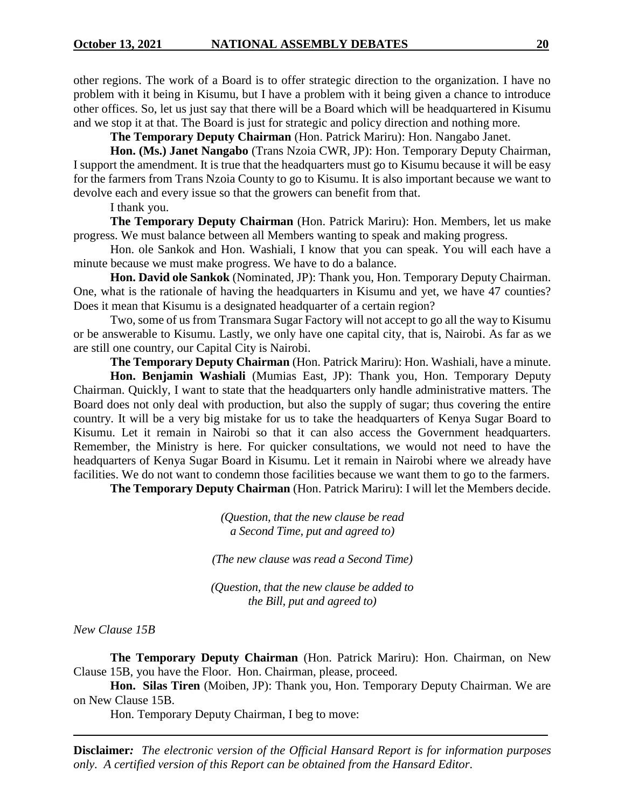other regions. The work of a Board is to offer strategic direction to the organization. I have no problem with it being in Kisumu, but I have a problem with it being given a chance to introduce other offices. So, let us just say that there will be a Board which will be headquartered in Kisumu and we stop it at that. The Board is just for strategic and policy direction and nothing more.

**The Temporary Deputy Chairman** (Hon. Patrick Mariru): Hon. Nangabo Janet.

**Hon. (Ms.) Janet Nangabo** (Trans Nzoia CWR, JP): Hon. Temporary Deputy Chairman, I support the amendment. It is true that the headquarters must go to Kisumu because it will be easy for the farmers from Trans Nzoia County to go to Kisumu. It is also important because we want to devolve each and every issue so that the growers can benefit from that.

I thank you.

**The Temporary Deputy Chairman** (Hon. Patrick Mariru): Hon. Members, let us make progress. We must balance between all Members wanting to speak and making progress.

Hon. ole Sankok and Hon. Washiali, I know that you can speak. You will each have a minute because we must make progress. We have to do a balance.

**Hon. David ole Sankok** (Nominated, JP): Thank you, Hon. Temporary Deputy Chairman. One, what is the rationale of having the headquarters in Kisumu and yet, we have 47 counties? Does it mean that Kisumu is a designated headquarter of a certain region?

Two, some of us from Transmara Sugar Factory will not accept to go all the way to Kisumu or be answerable to Kisumu. Lastly, we only have one capital city, that is, Nairobi. As far as we are still one country, our Capital City is Nairobi.

**The Temporary Deputy Chairman** (Hon. Patrick Mariru): Hon. Washiali, have a minute.

**Hon. Benjamin Washiali** (Mumias East, JP): Thank you, Hon. Temporary Deputy Chairman. Quickly, I want to state that the headquarters only handle administrative matters. The Board does not only deal with production, but also the supply of sugar; thus covering the entire country. It will be a very big mistake for us to take the headquarters of Kenya Sugar Board to Kisumu. Let it remain in Nairobi so that it can also access the Government headquarters. Remember, the Ministry is here. For quicker consultations, we would not need to have the headquarters of Kenya Sugar Board in Kisumu. Let it remain in Nairobi where we already have facilities. We do not want to condemn those facilities because we want them to go to the farmers.

**The Temporary Deputy Chairman** (Hon. Patrick Mariru): I will let the Members decide.

*(Question, that the new clause be read a Second Time, put and agreed to)*

*(The new clause was read a Second Time)*

*(Question, that the new clause be added to the Bill, put and agreed to)*

*New Clause 15B*

**The Temporary Deputy Chairman** (Hon. Patrick Mariru): Hon. Chairman, on New Clause 15B, you have the Floor. Hon. Chairman, please, proceed.

**Hon. Silas Tiren** (Moiben, JP): Thank you, Hon. Temporary Deputy Chairman. We are on New Clause 15B.

Hon. Temporary Deputy Chairman, I beg to move: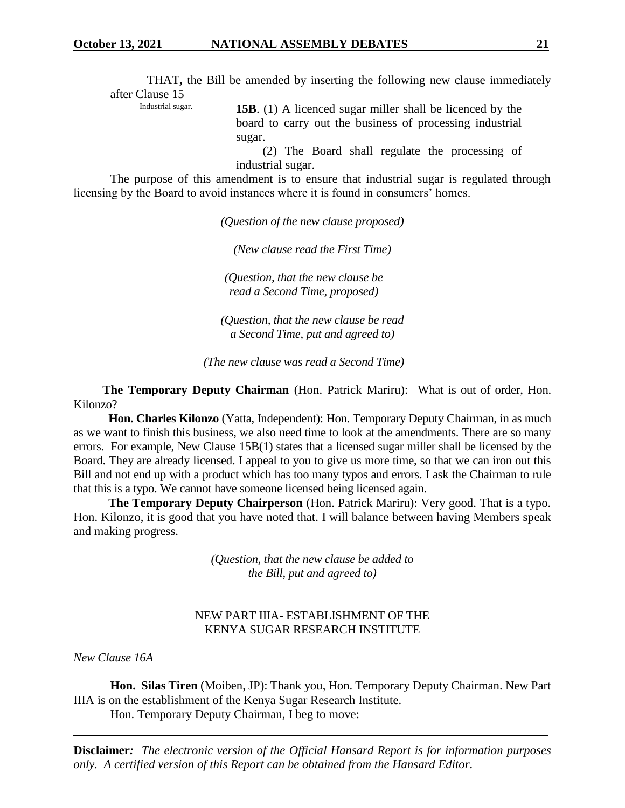THAT**,** the Bill be amended by inserting the following new clause immediately after Clause 15—<br>Industrial sugar.

**15B.** (1) A licenced sugar miller shall be licenced by the board to carry out the business of processing industrial sugar.

(2) The Board shall regulate the processing of industrial sugar.

The purpose of this amendment is to ensure that industrial sugar is regulated through licensing by the Board to avoid instances where it is found in consumers' homes.

*(Question of the new clause proposed)*

*(New clause read the First Time)*

*(Question, that the new clause be read a Second Time, proposed)*

*(Question, that the new clause be read a Second Time, put and agreed to)*

*(The new clause was read a Second Time)*

 **The Temporary Deputy Chairman** (Hon. Patrick Mariru): What is out of order, Hon. Kilonzo?

 **Hon. Charles Kilonzo** (Yatta, Independent): Hon. Temporary Deputy Chairman, in as much as we want to finish this business, we also need time to look at the amendments. There are so many errors. For example, New Clause 15B(1) states that a licensed sugar miller shall be licensed by the Board. They are already licensed. I appeal to you to give us more time, so that we can iron out this Bill and not end up with a product which has too many typos and errors. I ask the Chairman to rule that this is a typo. We cannot have someone licensed being licensed again.

 **The Temporary Deputy Chairperson** (Hon. Patrick Mariru): Very good. That is a typo. Hon. Kilonzo, it is good that you have noted that. I will balance between having Members speak and making progress.

> *(Question, that the new clause be added to the Bill, put and agreed to)*

## NEW PART IIIA- ESTABLISHMENT OF THE KENYA SUGAR RESEARCH INSTITUTE

*New Clause 16A* 

 **Hon. Silas Tiren** (Moiben, JP): Thank you, Hon. Temporary Deputy Chairman. New Part IIIA is on the establishment of the Kenya Sugar Research Institute.

Hon. Temporary Deputy Chairman, I beg to move: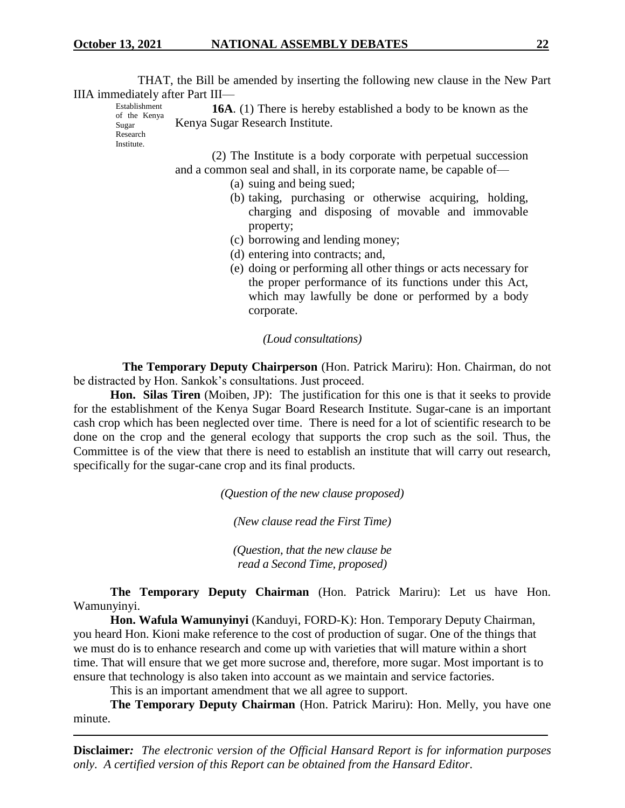THAT, the Bill be amended by inserting the following new clause in the New Part IIIA immediately after Part III— Establishment

**16A**. (1) There is hereby established a body to be known as the Kenya Sugar Research Institute.

of the Kenya Sugar Research **Institute** 

> (2) The Institute is a body corporate with perpetual succession and a common seal and shall, in its corporate name, be capable of—

- (a) suing and being sued;
- (b) taking, purchasing or otherwise acquiring, holding, charging and disposing of movable and immovable property;
- (c) borrowing and lending money;
- (d) entering into contracts; and,
- (e) doing or performing all other things or acts necessary for the proper performance of its functions under this Act, which may lawfully be done or performed by a body corporate.

*(Loud consultations)*

 **The Temporary Deputy Chairperson** (Hon. Patrick Mariru): Hon. Chairman, do not be distracted by Hon. Sankok's consultations. Just proceed.

**Hon. Silas Tiren** (Moiben, JP): The justification for this one is that it seeks to provide for the establishment of the Kenya Sugar Board Research Institute. Sugar-cane is an important cash crop which has been neglected over time. There is need for a lot of scientific research to be done on the crop and the general ecology that supports the crop such as the soil. Thus, the Committee is of the view that there is need to establish an institute that will carry out research, specifically for the sugar-cane crop and its final products.

*(Question of the new clause proposed)*

*(New clause read the First Time)*

*(Question, that the new clause be read a Second Time, proposed)*

**The Temporary Deputy Chairman** (Hon. Patrick Mariru): Let us have Hon. Wamunyinyi.

**Hon. Wafula Wamunyinyi** (Kanduyi, FORD-K): Hon. Temporary Deputy Chairman, you heard Hon. Kioni make reference to the cost of production of sugar. One of the things that we must do is to enhance research and come up with varieties that will mature within a short time. That will ensure that we get more sucrose and, therefore, more sugar. Most important is to ensure that technology is also taken into account as we maintain and service factories.

This is an important amendment that we all agree to support.

**The Temporary Deputy Chairman** (Hon. Patrick Mariru): Hon. Melly, you have one minute.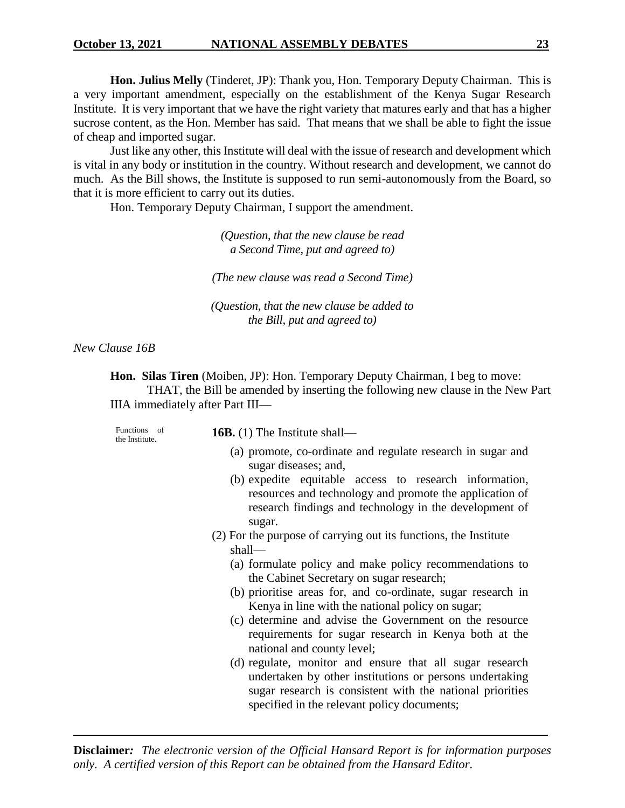**Hon. Julius Melly** (Tinderet, JP): Thank you, Hon. Temporary Deputy Chairman. This is a very important amendment, especially on the establishment of the Kenya Sugar Research Institute. It is very important that we have the right variety that matures early and that has a higher sucrose content, as the Hon. Member has said. That means that we shall be able to fight the issue of cheap and imported sugar.

Just like any other, this Institute will deal with the issue of research and development which is vital in any body or institution in the country. Without research and development, we cannot do much. As the Bill shows, the Institute is supposed to run semi-autonomously from the Board, so that it is more efficient to carry out its duties.

Hon. Temporary Deputy Chairman, I support the amendment.

*(Question, that the new clause be read a Second Time, put and agreed to)*

*(The new clause was read a Second Time)*

*(Question, that the new clause be added to the Bill, put and agreed to)*

*New Clause 16B*

**Hon. Silas Tiren** (Moiben, JP): Hon. Temporary Deputy Chairman, I beg to move: THAT, the Bill be amended by inserting the following new clause in the New Part IIIA immediately after Part III—

| Functions of<br>the Institute. | <b>16B.</b> (1) The Institute shall—                                                                                                                                                                                            |
|--------------------------------|---------------------------------------------------------------------------------------------------------------------------------------------------------------------------------------------------------------------------------|
|                                | (a) promote, co-ordinate and regulate research in sugar and<br>sugar diseases; and,                                                                                                                                             |
|                                | (b) expedite equitable access to research information,<br>resources and technology and promote the application of<br>research findings and technology in the development of<br>sugar.                                           |
|                                | (2) For the purpose of carrying out its functions, the Institute                                                                                                                                                                |
|                                | shall-                                                                                                                                                                                                                          |
|                                | (a) formulate policy and make policy recommendations to                                                                                                                                                                         |
|                                | the Cabinet Secretary on sugar research;                                                                                                                                                                                        |
|                                | (b) prioritise areas for, and co-ordinate, sugar research in<br>Kenya in line with the national policy on sugar;                                                                                                                |
|                                | (c) determine and advise the Government on the resource<br>requirements for sugar research in Kenya both at the<br>national and county level;                                                                                   |
|                                | (d) regulate, monitor and ensure that all sugar research<br>undertaken by other institutions or persons undertaking<br>sugar research is consistent with the national priorities<br>specified in the relevant policy documents; |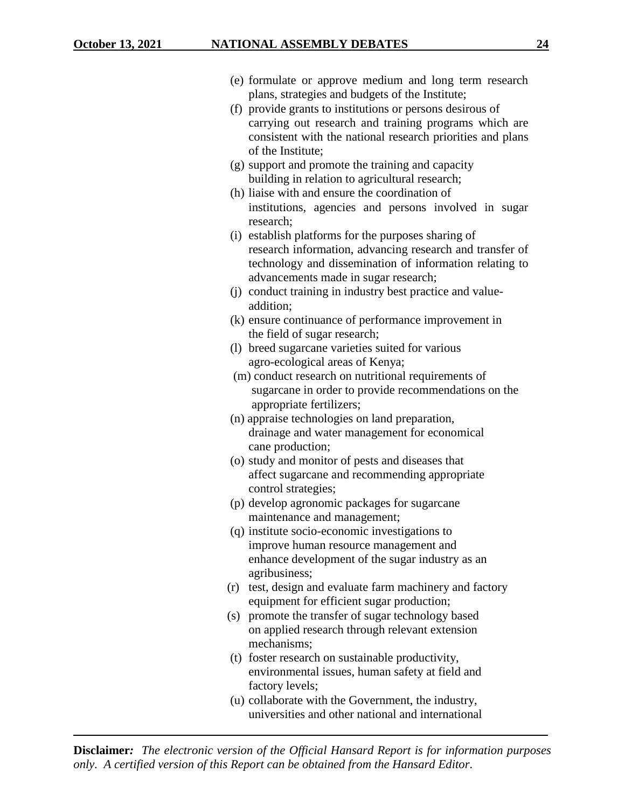| (e) formulate or approve medium and long term research     |
|------------------------------------------------------------|
| plans, strategies and budgets of the Institute;            |
| (f) provide grants to institutions or persons desirous of  |
| carrying out research and training programs which are      |
| consistent with the national research priorities and plans |
| of the Institute;                                          |
| (g) support and promote the training and capacity          |
| building in relation to agricultural research;             |
| (h) liaise with and ensure the coordination of             |
| institutions, agencies and persons involved in sugar       |
| research <sup>.</sup>                                      |

- (i) establish platforms for the purposes sharing of research information, advancing research and transfer of technology and dissemination of information relating to advancements made in sugar research;
- (j) conduct training in industry best practice and valueaddition;
- (k) ensure continuance of performance improvement in the field of sugar research;
- (l) breed sugarcane varieties suited for various agro-ecological areas of Kenya;
- (m) conduct research on nutritional requirements of sugarcane in order to provide recommendations on the appropriate fertilizers;
- (n) appraise technologies on land preparation, drainage and water management for economical cane production;
- (o) study and monitor of pests and diseases that affect sugarcane and recommending appropriate control strategies;
- (p) develop agronomic packages for sugarcane maintenance and management;
- (q) institute socio-economic investigations to improve human resource management and enhance development of the sugar industry as an agribusiness;
- (r) test, design and evaluate farm machinery and factory equipment for efficient sugar production;
- (s) promote the transfer of sugar technology based on applied research through relevant extension mechanisms;
- (t) foster research on sustainable productivity, environmental issues, human safety at field and factory levels;
- (u) collaborate with the Government, the industry, universities and other national and international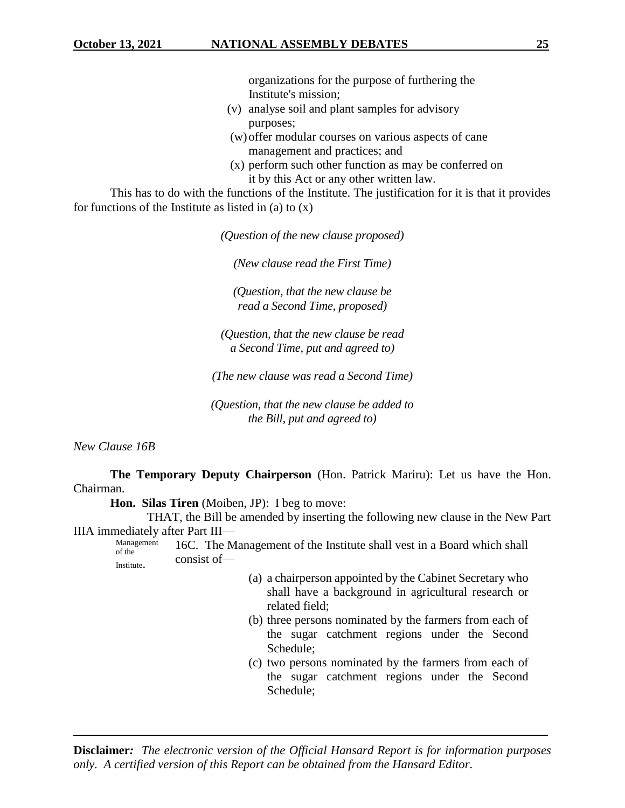organizations for the purpose of furthering the Institute's mission;

- (v) analyse soil and plant samples for advisory purposes;
- (w)offer modular courses on various aspects of cane management and practices; and
- (x) perform such other function as may be conferred on it by this Act or any other written law.

This has to do with the functions of the Institute. The justification for it is that it provides for functions of the Institute as listed in (a) to  $(x)$ 

*(Question of the new clause proposed)*

*(New clause read the First Time)*

*(Question, that the new clause be read a Second Time, proposed)*

*(Question, that the new clause be read a Second Time, put and agreed to)*

*(The new clause was read a Second Time)*

*(Question, that the new clause be added to the Bill, put and agreed to)*

*New Clause 16B*

**The Temporary Deputy Chairperson** (Hon. Patrick Mariru): Let us have the Hon. Chairman.

**Hon. Silas Tiren** (Moiben, JP): I beg to move:

THAT, the Bill be amended by inserting the following new clause in the New Part IIIA immediately after Part III—

Management of the **Institute** 16C. The Management of the Institute shall vest in a Board which shall consist of—

- (a) a chairperson appointed by the Cabinet Secretary who shall have a background in agricultural research or related field;
- (b) three persons nominated by the farmers from each of the sugar catchment regions under the Second Schedule;
- (c) two persons nominated by the farmers from each of the sugar catchment regions under the Second Schedule;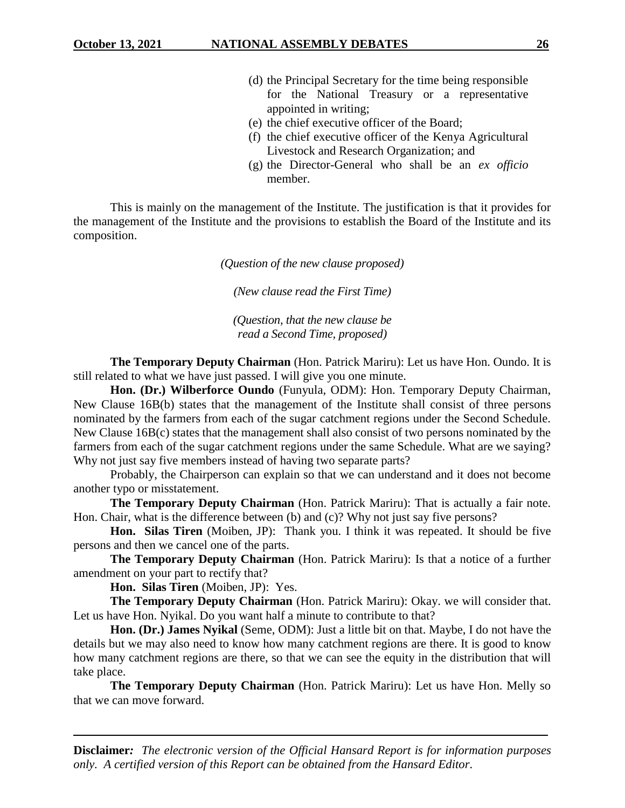- (d) the Principal Secretary for the time being responsible for the National Treasury or a representative appointed in writing;
- (e) the chief executive officer of the Board;
- (f) the chief executive officer of the Kenya Agricultural Livestock and Research Organization; and
- (g) the Director-General who shall be an *ex officio* member.

This is mainly on the management of the Institute. The justification is that it provides for the management of the Institute and the provisions to establish the Board of the Institute and its composition.

*(Question of the new clause proposed)*

*(New clause read the First Time)*

*(Question, that the new clause be read a Second Time, proposed)*

**The Temporary Deputy Chairman** (Hon. Patrick Mariru): Let us have Hon. Oundo. It is still related to what we have just passed. I will give you one minute.

**Hon. (Dr.) Wilberforce Oundo** (Funyula, ODM): Hon. Temporary Deputy Chairman, New Clause 16B(b) states that the management of the Institute shall consist of three persons nominated by the farmers from each of the sugar catchment regions under the Second Schedule. New Clause 16B(c) states that the management shall also consist of two persons nominated by the farmers from each of the sugar catchment regions under the same Schedule. What are we saying? Why not just say five members instead of having two separate parts?

Probably, the Chairperson can explain so that we can understand and it does not become another typo or misstatement.

**The Temporary Deputy Chairman** (Hon. Patrick Mariru): That is actually a fair note. Hon. Chair, what is the difference between (b) and (c)? Why not just say five persons?

**Hon. Silas Tiren** (Moiben, JP): Thank you. I think it was repeated. It should be five persons and then we cancel one of the parts.

**The Temporary Deputy Chairman** (Hon. Patrick Mariru): Is that a notice of a further amendment on your part to rectify that?

**Hon. Silas Tiren** (Moiben, JP): Yes.

**The Temporary Deputy Chairman** (Hon. Patrick Mariru): Okay. we will consider that. Let us have Hon. Nyikal. Do you want half a minute to contribute to that?

**Hon. (Dr.) James Nyikal** (Seme, ODM): Just a little bit on that. Maybe, I do not have the details but we may also need to know how many catchment regions are there. It is good to know how many catchment regions are there, so that we can see the equity in the distribution that will take place.

**The Temporary Deputy Chairman** (Hon. Patrick Mariru): Let us have Hon. Melly so that we can move forward.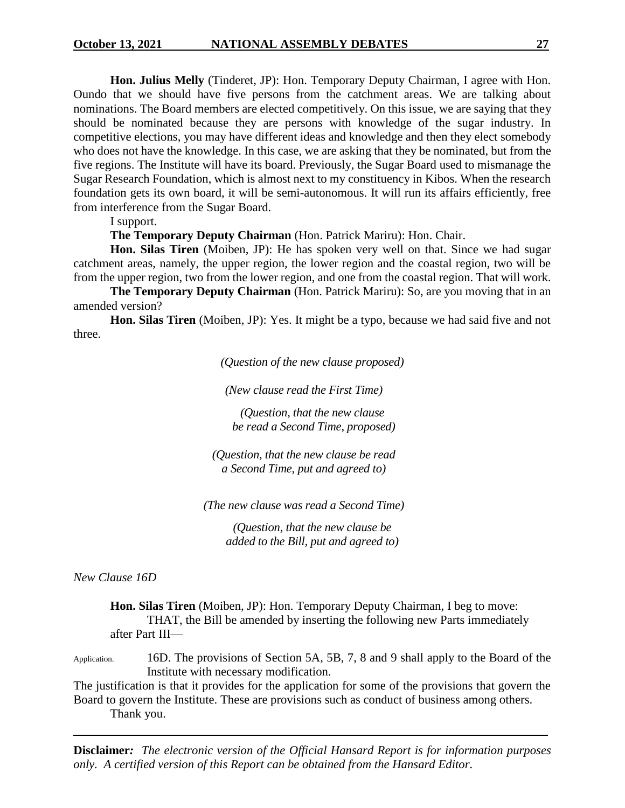**Hon. Julius Melly** (Tinderet, JP): Hon. Temporary Deputy Chairman, I agree with Hon. Oundo that we should have five persons from the catchment areas. We are talking about nominations. The Board members are elected competitively. On this issue, we are saying that they should be nominated because they are persons with knowledge of the sugar industry. In competitive elections, you may have different ideas and knowledge and then they elect somebody who does not have the knowledge. In this case, we are asking that they be nominated, but from the five regions. The Institute will have its board. Previously, the Sugar Board used to mismanage the Sugar Research Foundation, which is almost next to my constituency in Kibos. When the research foundation gets its own board, it will be semi-autonomous. It will run its affairs efficiently, free from interference from the Sugar Board.

I support.

**The Temporary Deputy Chairman** (Hon. Patrick Mariru): Hon. Chair.

**Hon. Silas Tiren** (Moiben, JP): He has spoken very well on that. Since we had sugar catchment areas, namely, the upper region, the lower region and the coastal region, two will be from the upper region, two from the lower region, and one from the coastal region. That will work.

**The Temporary Deputy Chairman** (Hon. Patrick Mariru): So, are you moving that in an amended version?

**Hon. Silas Tiren** (Moiben, JP): Yes. It might be a typo, because we had said five and not three.

*(Question of the new clause proposed)*

*(New clause read the First Time)*

*(Question, that the new clause be read a Second Time, proposed)*

*(Question, that the new clause be read a Second Time, put and agreed to)*

*(The new clause was read a Second Time)*

*(Question, that the new clause be added to the Bill, put and agreed to)*

*New Clause 16D*

**Hon. Silas Tiren** (Moiben, JP): Hon. Temporary Deputy Chairman, I beg to move: THAT, the Bill be amended by inserting the following new Parts immediately after Part III—

Application. 16D. The provisions of Section 5A, 5B, 7, 8 and 9 shall apply to the Board of the Institute with necessary modification.

The justification is that it provides for the application for some of the provisions that govern the Board to govern the Institute. These are provisions such as conduct of business among others. Thank you.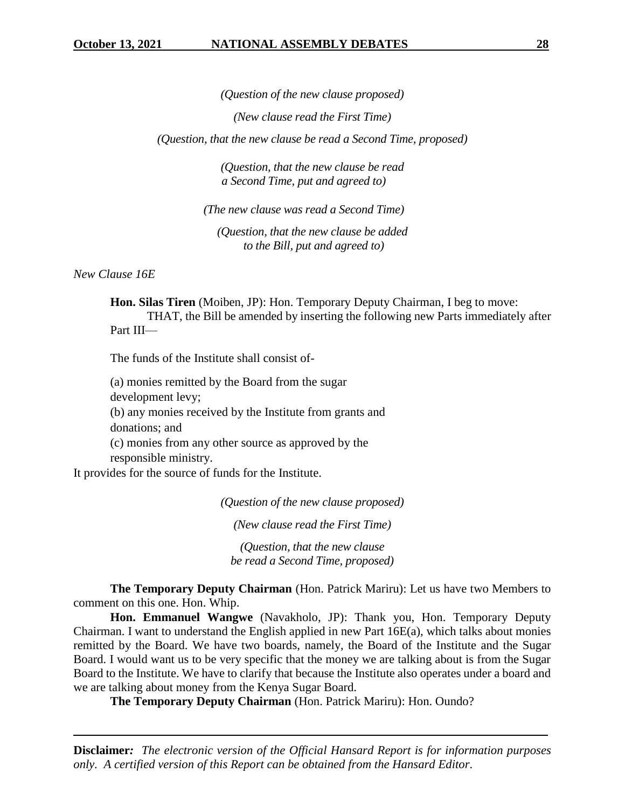*(Question of the new clause proposed)*

*(New clause read the First Time)*

*(Question, that the new clause be read a Second Time, proposed)*

*(Question, that the new clause be read a Second Time, put and agreed to)*

*(The new clause was read a Second Time)*

*(Question, that the new clause be added to the Bill, put and agreed to)*

*New Clause 16E*

**Hon. Silas Tiren** (Moiben, JP): Hon. Temporary Deputy Chairman, I beg to move: THAT, the Bill be amended by inserting the following new Parts immediately after Part III—

The funds of the Institute shall consist of-

(a) monies remitted by the Board from the sugar development levy; (b) any monies received by the Institute from grants and donations; and (c) monies from any other source as approved by the

responsible ministry.

It provides for the source of funds for the Institute.

*(Question of the new clause proposed)*

*(New clause read the First Time)*

*(Question, that the new clause be read a Second Time, proposed)*

**The Temporary Deputy Chairman** (Hon. Patrick Mariru): Let us have two Members to comment on this one. Hon. Whip.

**Hon. Emmanuel Wangwe** (Navakholo, JP): Thank you, Hon. Temporary Deputy Chairman. I want to understand the English applied in new Part 16E(a), which talks about monies remitted by the Board. We have two boards, namely, the Board of the Institute and the Sugar Board. I would want us to be very specific that the money we are talking about is from the Sugar Board to the Institute. We have to clarify that because the Institute also operates under a board and we are talking about money from the Kenya Sugar Board.

**The Temporary Deputy Chairman** (Hon. Patrick Mariru): Hon. Oundo?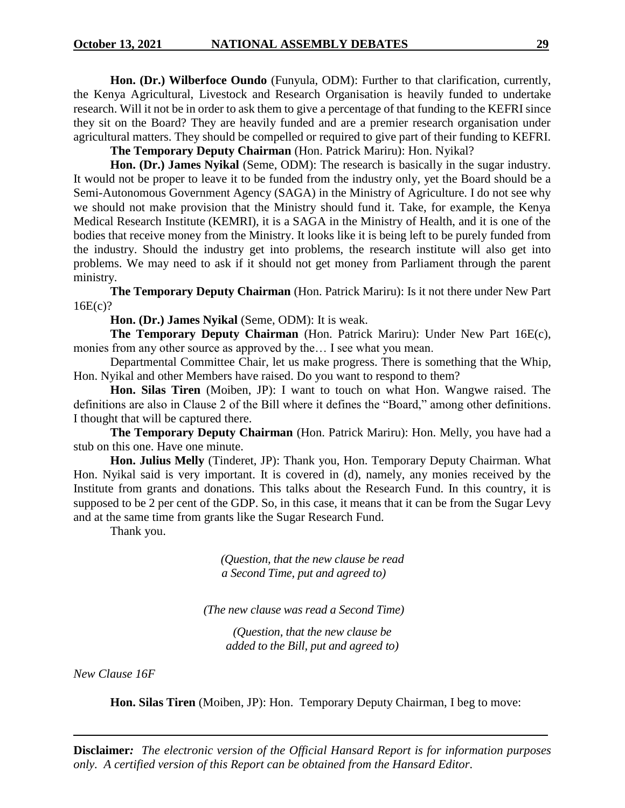**Hon. (Dr.) Wilberfoce Oundo** (Funyula, ODM): Further to that clarification, currently, the Kenya Agricultural, Livestock and Research Organisation is heavily funded to undertake research. Will it not be in order to ask them to give a percentage of that funding to the KEFRI since they sit on the Board? They are heavily funded and are a premier research organisation under agricultural matters. They should be compelled or required to give part of their funding to KEFRI.

**The Temporary Deputy Chairman** (Hon. Patrick Mariru): Hon. Nyikal?

**Hon. (Dr.) James Nyikal** (Seme, ODM): The research is basically in the sugar industry. It would not be proper to leave it to be funded from the industry only, yet the Board should be a Semi-Autonomous Government Agency (SAGA) in the Ministry of Agriculture. I do not see why we should not make provision that the Ministry should fund it. Take, for example, the Kenya Medical Research Institute (KEMRI), it is a SAGA in the Ministry of Health, and it is one of the bodies that receive money from the Ministry. It looks like it is being left to be purely funded from the industry. Should the industry get into problems, the research institute will also get into problems. We may need to ask if it should not get money from Parliament through the parent ministry.

**The Temporary Deputy Chairman** (Hon. Patrick Mariru): Is it not there under New Part 16E(c)?

**Hon. (Dr.) James Nyikal** (Seme, ODM): It is weak.

**The Temporary Deputy Chairman** (Hon. Patrick Mariru): Under New Part 16E(c), monies from any other source as approved by the… I see what you mean.

Departmental Committee Chair, let us make progress. There is something that the Whip, Hon. Nyikal and other Members have raised. Do you want to respond to them?

**Hon. Silas Tiren** (Moiben, JP): I want to touch on what Hon. Wangwe raised. The definitions are also in Clause 2 of the Bill where it defines the "Board," among other definitions. I thought that will be captured there.

**The Temporary Deputy Chairman** (Hon. Patrick Mariru): Hon. Melly, you have had a stub on this one. Have one minute.

**Hon. Julius Melly** (Tinderet, JP): Thank you, Hon. Temporary Deputy Chairman. What Hon. Nyikal said is very important. It is covered in (d), namely, any monies received by the Institute from grants and donations. This talks about the Research Fund. In this country, it is supposed to be 2 per cent of the GDP. So, in this case, it means that it can be from the Sugar Levy and at the same time from grants like the Sugar Research Fund.

Thank you.

*(Question, that the new clause be read a Second Time, put and agreed to)*

*(The new clause was read a Second Time)*

*(Question, that the new clause be added to the Bill, put and agreed to)*

*New Clause 16F*

**Hon. Silas Tiren** (Moiben, JP): Hon. Temporary Deputy Chairman, I beg to move: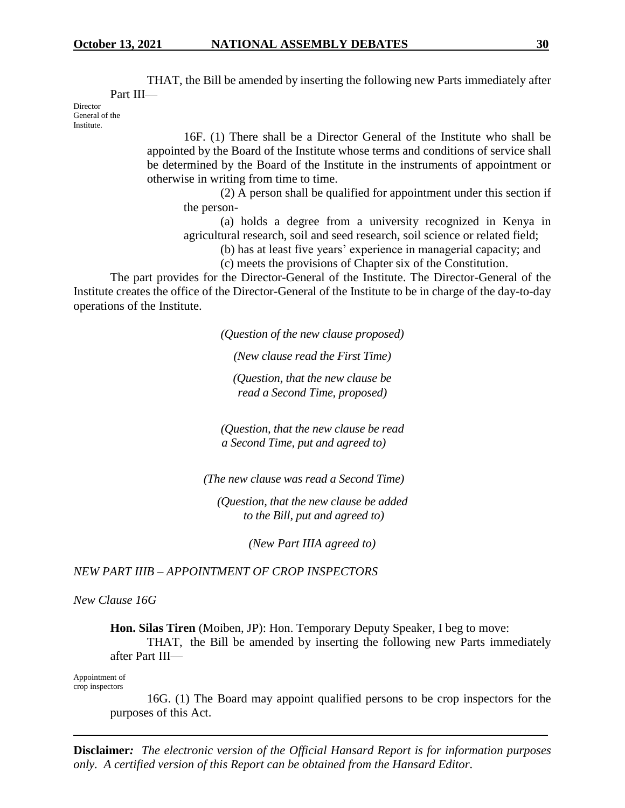Part III—

THAT, the Bill be amended by inserting the following new Parts immediately after

Director General of the **Institute**.

> 16F. (1) There shall be a Director General of the Institute who shall be appointed by the Board of the Institute whose terms and conditions of service shall be determined by the Board of the Institute in the instruments of appointment or otherwise in writing from time to time.

(2) A person shall be qualified for appointment under this section if the person-

(a) holds a degree from a university recognized in Kenya in agricultural research, soil and seed research, soil science or related field;

(b) has at least five years' experience in managerial capacity; and

(c) meets the provisions of Chapter six of the Constitution.

The part provides for the Director-General of the Institute. The Director-General of the Institute creates the office of the Director-General of the Institute to be in charge of the day-to-day operations of the Institute.

*(Question of the new clause proposed)*

*(New clause read the First Time)*

*(Question, that the new clause be read a Second Time, proposed)*

*(Question, that the new clause be read a Second Time, put and agreed to)*

*(The new clause was read a Second Time)*

*(Question, that the new clause be added to the Bill, put and agreed to)*

*(New Part IIIA agreed to)*

*NEW PART IIIB – APPOINTMENT OF CROP INSPECTORS*

*New Clause 16G*

**Hon. Silas Tiren** (Moiben, JP): Hon. Temporary Deputy Speaker, I beg to move:

THAT, the Bill be amended by inserting the following new Parts immediately after Part III—

Appointment of crop inspectors

> 16G. (1) The Board may appoint qualified persons to be crop inspectors for the purposes of this Act.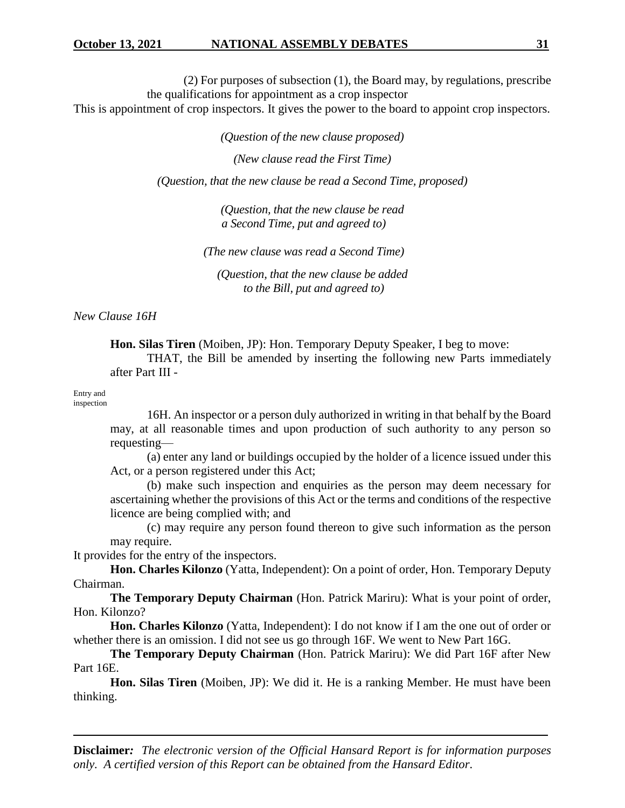(2) For purposes of subsection (1), the Board may, by regulations, prescribe the qualifications for appointment as a crop inspector

This is appointment of crop inspectors. It gives the power to the board to appoint crop inspectors.

*(Question of the new clause proposed)*

*(New clause read the First Time)*

*(Question, that the new clause be read a Second Time, proposed)*

*(Question, that the new clause be read a Second Time, put and agreed to)*

*(The new clause was read a Second Time)*

*(Question, that the new clause be added to the Bill, put and agreed to)*

*New Clause 16H* 

**Hon. Silas Tiren** (Moiben, JP): Hon. Temporary Deputy Speaker, I beg to move:

THAT, the Bill be amended by inserting the following new Parts immediately after Part III -

#### Entry and inspection

16H. An inspector or a person duly authorized in writing in that behalf by the Board may, at all reasonable times and upon production of such authority to any person so requesting—

(a) enter any land or buildings occupied by the holder of a licence issued under this Act, or a person registered under this Act;

(b) make such inspection and enquiries as the person may deem necessary for ascertaining whether the provisions of this Act or the terms and conditions of the respective licence are being complied with; and

(c) may require any person found thereon to give such information as the person may require.

It provides for the entry of the inspectors.

**Hon. Charles Kilonzo** (Yatta, Independent): On a point of order, Hon. Temporary Deputy Chairman.

**The Temporary Deputy Chairman** (Hon. Patrick Mariru): What is your point of order, Hon. Kilonzo?

**Hon. Charles Kilonzo** (Yatta, Independent): I do not know if I am the one out of order or whether there is an omission. I did not see us go through 16F. We went to New Part 16G.

**The Temporary Deputy Chairman** (Hon. Patrick Mariru): We did Part 16F after New Part 16E.

**Hon. Silas Tiren** (Moiben, JP): We did it. He is a ranking Member. He must have been thinking.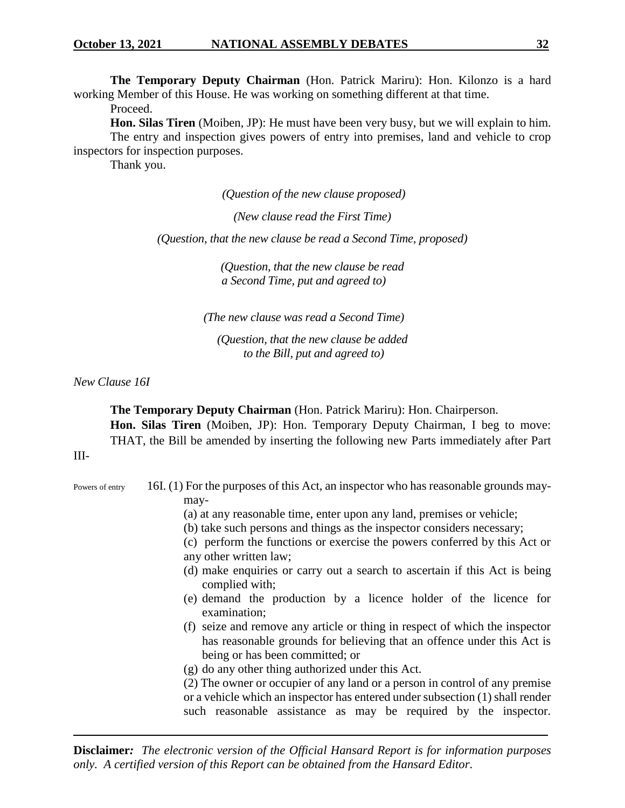**The Temporary Deputy Chairman** (Hon. Patrick Mariru): Hon. Kilonzo is a hard working Member of this House. He was working on something different at that time.

Proceed.

**Hon. Silas Tiren** (Moiben, JP): He must have been very busy, but we will explain to him. The entry and inspection gives powers of entry into premises, land and vehicle to crop inspectors for inspection purposes.

Thank you.

*(Question of the new clause proposed)*

*(New clause read the First Time)*

*(Question, that the new clause be read a Second Time, proposed)*

*(Question, that the new clause be read a Second Time, put and agreed to)*

*(The new clause was read a Second Time)*

*(Question, that the new clause be added to the Bill, put and agreed to)*

*New Clause 16I*

**The Temporary Deputy Chairman** (Hon. Patrick Mariru): Hon. Chairperson. **Hon. Silas Tiren** (Moiben, JP): Hon. Temporary Deputy Chairman, I beg to move: THAT, the Bill be amended by inserting the following new Parts immediately after Part

III-

- Powers of entry 16I. (1) For the purposes of this Act, an inspector who has reasonable grounds maymay-
	- (a) at any reasonable time, enter upon any land, premises or vehicle;
	- (b) take such persons and things as the inspector considers necessary;
	- (c) perform the functions or exercise the powers conferred by this Act or any other written law;
	- (d) make enquiries or carry out a search to ascertain if this Act is being complied with;
	- (e) demand the production by a licence holder of the licence for examination;
	- (f) seize and remove any article or thing in respect of which the inspector has reasonable grounds for believing that an offence under this Act is being or has been committed; or
	- (g) do any other thing authorized under this Act.

(2) The owner or occupier of any land or a person in control of any premise or a vehicle which an inspector has entered under subsection (1) shall render such reasonable assistance as may be required by the inspector.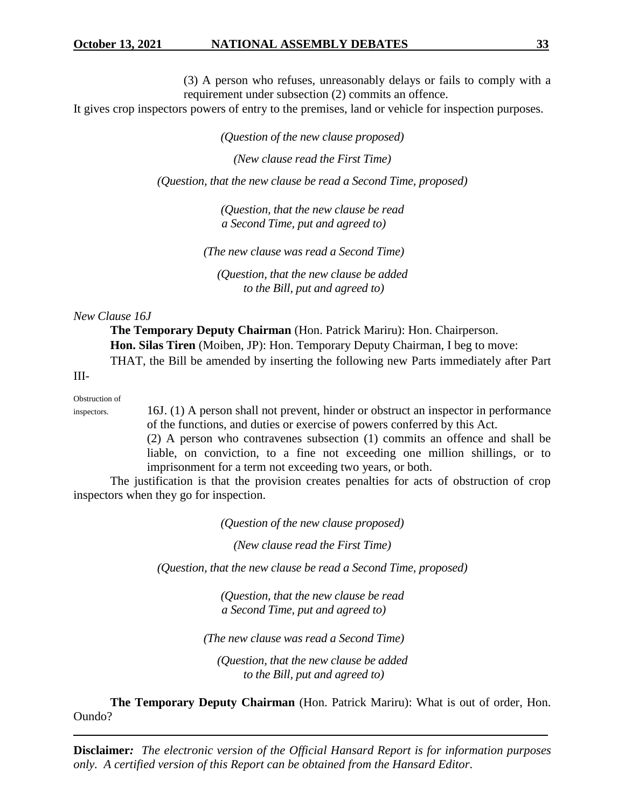(3) A person who refuses, unreasonably delays or fails to comply with a requirement under subsection (2) commits an offence.

It gives crop inspectors powers of entry to the premises, land or vehicle for inspection purposes.

*(Question of the new clause proposed)*

*(New clause read the First Time)*

*(Question, that the new clause be read a Second Time, proposed)*

*(Question, that the new clause be read a Second Time, put and agreed to)*

*(The new clause was read a Second Time)*

*(Question, that the new clause be added to the Bill, put and agreed to)*

#### *New Clause 16J*

**The Temporary Deputy Chairman** (Hon. Patrick Mariru): Hon. Chairperson. **Hon. Silas Tiren** (Moiben, JP): Hon. Temporary Deputy Chairman, I beg to move: THAT, the Bill be amended by inserting the following new Parts immediately after Part

III-

Obstruction of

inspectors. 16J. (1) A person shall not prevent, hinder or obstruct an inspector in performance of the functions, and duties or exercise of powers conferred by this Act.

> (2) A person who contravenes subsection (1) commits an offence and shall be liable, on conviction, to a fine not exceeding one million shillings, or to imprisonment for a term not exceeding two years, or both.

The justification is that the provision creates penalties for acts of obstruction of crop inspectors when they go for inspection.

*(Question of the new clause proposed)*

*(New clause read the First Time)*

*(Question, that the new clause be read a Second Time, proposed)*

*(Question, that the new clause be read a Second Time, put and agreed to)*

*(The new clause was read a Second Time)*

*(Question, that the new clause be added to the Bill, put and agreed to)*

**The Temporary Deputy Chairman** (Hon. Patrick Mariru): What is out of order, Hon. Oundo?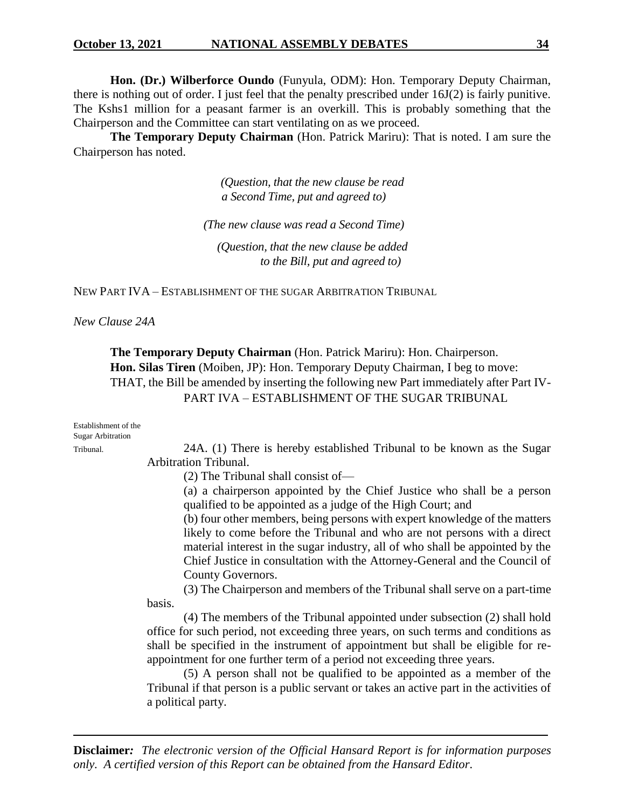**Hon. (Dr.) Wilberforce Oundo** (Funyula, ODM): Hon. Temporary Deputy Chairman, there is nothing out of order. I just feel that the penalty prescribed under 16J(2) is fairly punitive. The Kshs1 million for a peasant farmer is an overkill. This is probably something that the Chairperson and the Committee can start ventilating on as we proceed.

**The Temporary Deputy Chairman** (Hon. Patrick Mariru): That is noted. I am sure the Chairperson has noted.

> *(Question, that the new clause be read a Second Time, put and agreed to)*

*(The new clause was read a Second Time)*

*(Question, that the new clause be added to the Bill, put and agreed to)*

NEW PART IVA – ESTABLISHMENT OF THE SUGAR ARBITRATION TRIBUNAL

*New Clause 24A*

**The Temporary Deputy Chairman** (Hon. Patrick Mariru): Hon. Chairperson. **Hon. Silas Tiren** (Moiben, JP): Hon. Temporary Deputy Chairman, I beg to move: THAT, the Bill be amended by inserting the following new Part immediately after Part IV-PART IVA – ESTABLISHMENT OF THE SUGAR TRIBUNAL

| Establishment of the<br><b>Sugar Arbitration</b> |                                                                                                                                       |  |  |  |  |
|--------------------------------------------------|---------------------------------------------------------------------------------------------------------------------------------------|--|--|--|--|
| Tribunal.                                        | 24A. (1) There is hereby established Tribunal to be known as the Sugar                                                                |  |  |  |  |
|                                                  | <b>Arbitration Tribunal.</b>                                                                                                          |  |  |  |  |
|                                                  | $(2)$ The Tribunal shall consist of —                                                                                                 |  |  |  |  |
|                                                  | (a) a chairperson appointed by the Chief Justice who shall be a person<br>qualified to be appointed as a judge of the High Court; and |  |  |  |  |
|                                                  | (b) four other members, being persons with expert knowledge of the matters                                                            |  |  |  |  |
|                                                  | likely to come before the Tribunal and who are not persons with a direct                                                              |  |  |  |  |
|                                                  | material interest in the sugar industry, all of who shall be appointed by the                                                         |  |  |  |  |
|                                                  | Chief Justice in consultation with the Attorney-General and the Council of                                                            |  |  |  |  |
|                                                  | County Governors.                                                                                                                     |  |  |  |  |
|                                                  | (3) The Chairperson and members of the Tribunal shall serve on a part-time                                                            |  |  |  |  |
|                                                  | basis.                                                                                                                                |  |  |  |  |
|                                                  | (4) The members of the Tribunal appointed under subsection (2) shall hold                                                             |  |  |  |  |
|                                                  | office for such period, not exceeding three years, on such terms and conditions as                                                    |  |  |  |  |
|                                                  | shall be specified in the instrument of appointment but shall be eligible for re-                                                     |  |  |  |  |
|                                                  | appointment for one further term of a period not exceeding three years.                                                               |  |  |  |  |
|                                                  | (5) A person shall not be qualified to be appointed as a member of the                                                                |  |  |  |  |
|                                                  | Tribunal if that person is a public servant or takes an active part in the activities of                                              |  |  |  |  |

**Disclaimer***: The electronic version of the Official Hansard Report is for information purposes only. A certified version of this Report can be obtained from the Hansard Editor.*

a political party.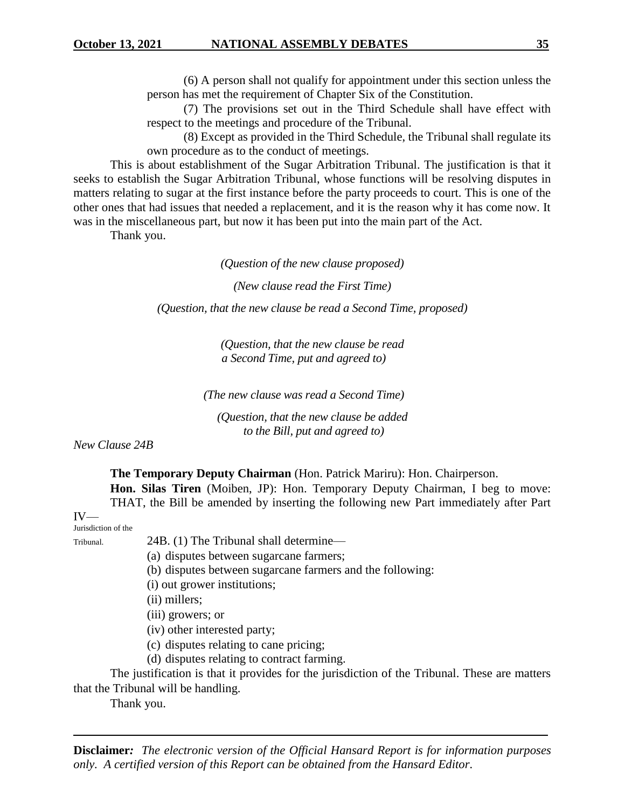(6) A person shall not qualify for appointment under this section unless the person has met the requirement of Chapter Six of the Constitution.

(7) The provisions set out in the Third Schedule shall have effect with respect to the meetings and procedure of the Tribunal.

(8) Except as provided in the Third Schedule, the Tribunal shall regulate its own procedure as to the conduct of meetings.

This is about establishment of the Sugar Arbitration Tribunal. The justification is that it seeks to establish the Sugar Arbitration Tribunal, whose functions will be resolving disputes in matters relating to sugar at the first instance before the party proceeds to court. This is one of the other ones that had issues that needed a replacement, and it is the reason why it has come now. It was in the miscellaneous part, but now it has been put into the main part of the Act.

Thank you.

*(Question of the new clause proposed)*

*(New clause read the First Time)*

*(Question, that the new clause be read a Second Time, proposed)*

*(Question, that the new clause be read a Second Time, put and agreed to)*

*(The new clause was read a Second Time)*

*(Question, that the new clause be added to the Bill, put and agreed to)*

*New Clause 24B*

**The Temporary Deputy Chairman** (Hon. Patrick Mariru): Hon. Chairperson.

**Hon. Silas Tiren** (Moiben, JP): Hon. Temporary Deputy Chairman, I beg to move: THAT, the Bill be amended by inserting the following new Part immediately after Part

#### IV— Jurisdiction of the

Tribunal. 24B. (1) The Tribunal shall determine—

(a) disputes between sugarcane farmers;

- (b) disputes between sugarcane farmers and the following:
- (i) out grower institutions;
- (ii) millers;

(iii) growers; or

(iv) other interested party;

- (c) disputes relating to cane pricing;
- (d) disputes relating to contract farming.

The justification is that it provides for the jurisdiction of the Tribunal. These are matters that the Tribunal will be handling.

Thank you.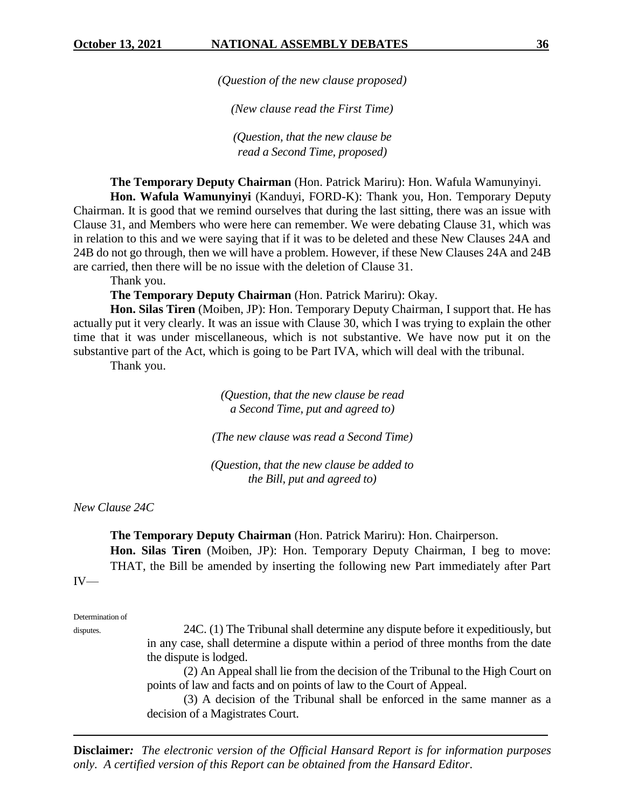*(Question of the new clause proposed)*

*(New clause read the First Time)*

*(Question, that the new clause be read a Second Time, proposed)*

**The Temporary Deputy Chairman** (Hon. Patrick Mariru): Hon. Wafula Wamunyinyi.

**Hon. Wafula Wamunyinyi** (Kanduyi, FORD-K): Thank you, Hon. Temporary Deputy Chairman. It is good that we remind ourselves that during the last sitting, there was an issue with Clause 31, and Members who were here can remember. We were debating Clause 31, which was in relation to this and we were saying that if it was to be deleted and these New Clauses 24A and 24B do not go through, then we will have a problem. However, if these New Clauses 24A and 24B are carried, then there will be no issue with the deletion of Clause 31.

Thank you.

**The Temporary Deputy Chairman** (Hon. Patrick Mariru): Okay.

**Hon. Silas Tiren** (Moiben, JP): Hon. Temporary Deputy Chairman, I support that. He has actually put it very clearly. It was an issue with Clause 30, which I was trying to explain the other time that it was under miscellaneous, which is not substantive. We have now put it on the substantive part of the Act, which is going to be Part IVA, which will deal with the tribunal.

Thank you.

*(Question, that the new clause be read a Second Time, put and agreed to)*

*(The new clause was read a Second Time)*

*(Question, that the new clause be added to the Bill, put and agreed to)*

*New Clause 24C*

**The Temporary Deputy Chairman** (Hon. Patrick Mariru): Hon. Chairperson.

**Hon. Silas Tiren** (Moiben, JP): Hon. Temporary Deputy Chairman, I beg to move: THAT, the Bill be amended by inserting the following new Part immediately after Part IV—

Determination of

disputes. 24C. (1) The Tribunal shall determine any dispute before it expeditiously, but in any case, shall determine a dispute within a period of three months from the date the dispute is lodged.

> (2) An Appeal shall lie from the decision of the Tribunal to the High Court on points of law and facts and on points of law to the Court of Appeal.

> (3) A decision of the Tribunal shall be enforced in the same manner as a decision of a Magistrates Court.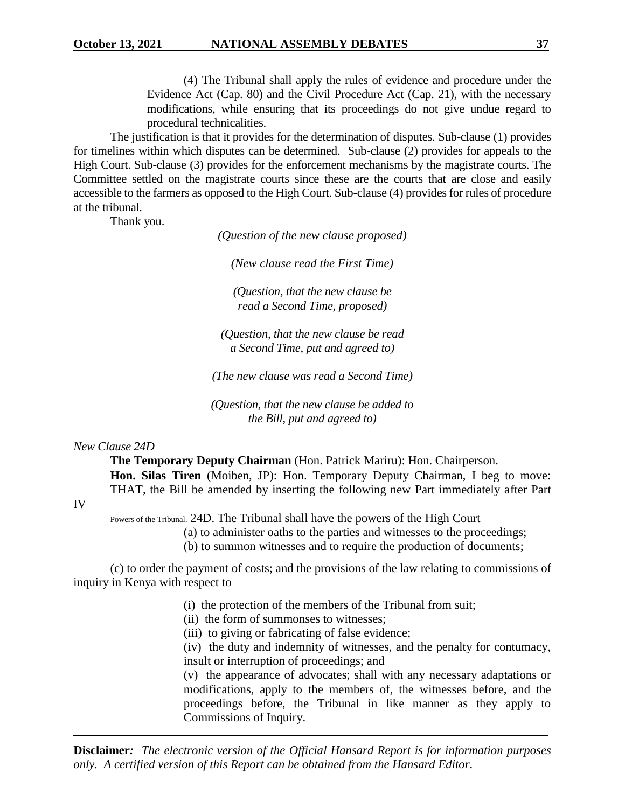(4) The Tribunal shall apply the rules of evidence and procedure under the Evidence Act (Cap. 80) and the Civil Procedure Act (Cap. 21), with the necessary modifications, while ensuring that its proceedings do not give undue regard to procedural technicalities.

The justification is that it provides for the determination of disputes. Sub-clause (1) provides for timelines within which disputes can be determined. Sub-clause (2) provides for appeals to the High Court. Sub-clause (3) provides for the enforcement mechanisms by the magistrate courts. The Committee settled on the magistrate courts since these are the courts that are close and easily accessible to the farmers as opposed to the High Court. Sub-clause (4) provides for rules of procedure at the tribunal.

Thank you.

*(Question of the new clause proposed)*

*(New clause read the First Time)*

*(Question, that the new clause be read a Second Time, proposed)*

*(Question, that the new clause be read a Second Time, put and agreed to)*

*(The new clause was read a Second Time)*

*(Question, that the new clause be added to the Bill, put and agreed to)*

*New Clause 24D*

IV—

**The Temporary Deputy Chairman** (Hon. Patrick Mariru): Hon. Chairperson.

**Hon. Silas Tiren** (Moiben, JP): Hon. Temporary Deputy Chairman, I beg to move: THAT, the Bill be amended by inserting the following new Part immediately after Part

Powers of the Tribunal. 24D. The Tribunal shall have the powers of the High Court—

(a) to administer oaths to the parties and witnesses to the proceedings;

(b) to summon witnesses and to require the production of documents;

(c) to order the payment of costs; and the provisions of the law relating to commissions of inquiry in Kenya with respect to—

- (i) the protection of the members of the Tribunal from suit;
- (ii) the form of summonses to witnesses;
- (iii) to giving or fabricating of false evidence;

(iv) the duty and indemnity of witnesses, and the penalty for contumacy, insult or interruption of proceedings; and

(v) the appearance of advocates; shall with any necessary adaptations or modifications, apply to the members of, the witnesses before, and the proceedings before, the Tribunal in like manner as they apply to Commissions of Inquiry.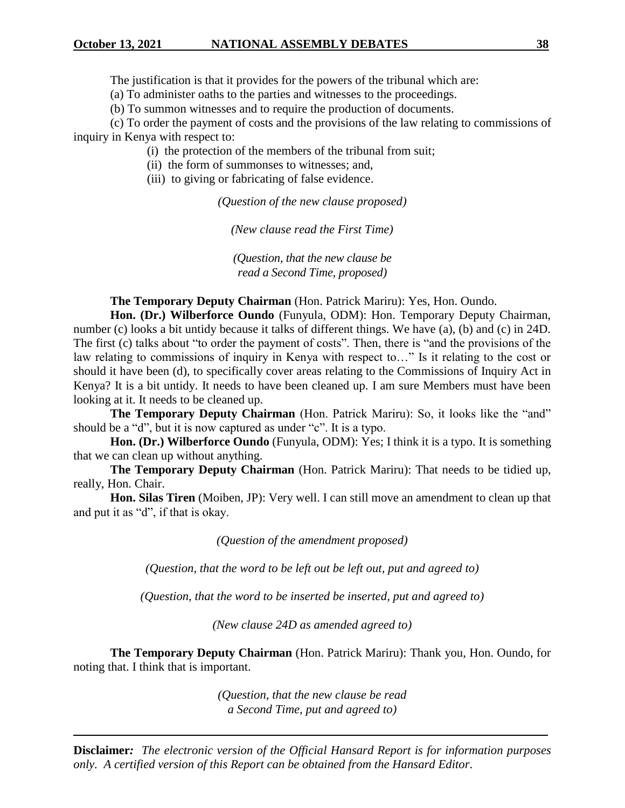The justification is that it provides for the powers of the tribunal which are:

(a) To administer oaths to the parties and witnesses to the proceedings.

(b) To summon witnesses and to require the production of documents.

(c) To order the payment of costs and the provisions of the law relating to commissions of inquiry in Kenya with respect to:

(i) the protection of the members of the tribunal from suit;

(ii) the form of summonses to witnesses; and,

(iii) to giving or fabricating of false evidence.

*(Question of the new clause proposed)*

*(New clause read the First Time)*

*(Question, that the new clause be read a Second Time, proposed)*

**The Temporary Deputy Chairman** (Hon. Patrick Mariru): Yes, Hon. Oundo.

**Hon. (Dr.) Wilberforce Oundo** (Funyula, ODM): Hon. Temporary Deputy Chairman, number (c) looks a bit untidy because it talks of different things. We have (a), (b) and (c) in 24D. The first (c) talks about "to order the payment of costs". Then, there is "and the provisions of the law relating to commissions of inquiry in Kenya with respect to…" Is it relating to the cost or should it have been (d), to specifically cover areas relating to the Commissions of Inquiry Act in Kenya? It is a bit untidy. It needs to have been cleaned up. I am sure Members must have been looking at it. It needs to be cleaned up.

**The Temporary Deputy Chairman** (Hon. Patrick Mariru): So, it looks like the "and" should be a "d", but it is now captured as under "c". It is a typo.

**Hon. (Dr.) Wilberforce Oundo** (Funyula, ODM): Yes; I think it is a typo. It is something that we can clean up without anything.

**The Temporary Deputy Chairman** (Hon. Patrick Mariru): That needs to be tidied up, really, Hon. Chair.

**Hon. Silas Tiren** (Moiben, JP): Very well. I can still move an amendment to clean up that and put it as "d", if that is okay.

*(Question of the amendment proposed)*

*(Question, that the word to be left out be left out, put and agreed to)*

*(Question, that the word to be inserted be inserted, put and agreed to)*

*(New clause 24D as amended agreed to)*

**The Temporary Deputy Chairman** (Hon. Patrick Mariru): Thank you, Hon. Oundo, for noting that. I think that is important.

> *(Question, that the new clause be read a Second Time, put and agreed to)*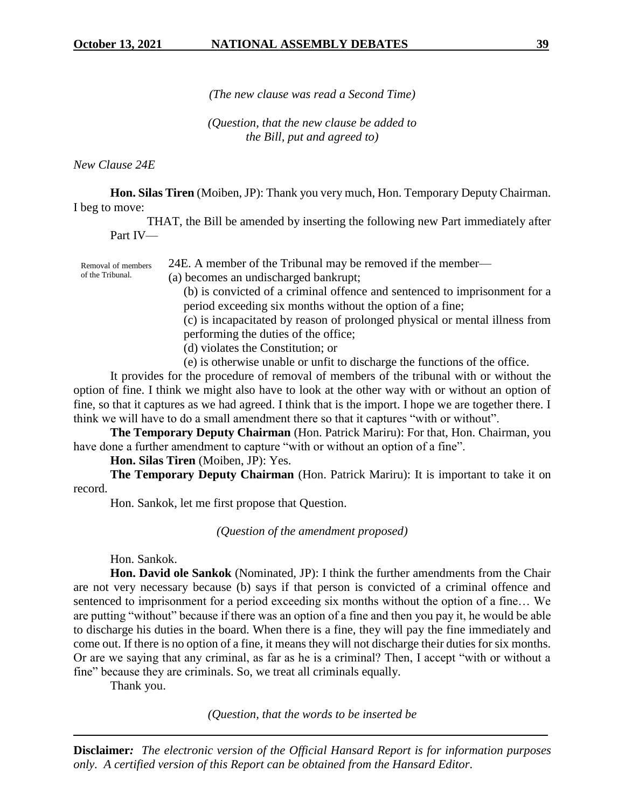*(The new clause was read a Second Time)*

*(Question, that the new clause be added to the Bill, put and agreed to)*

*New Clause 24E*

of the Tribunal.

**Hon. Silas Tiren** (Moiben, JP): Thank you very much, Hon. Temporary Deputy Chairman. I beg to move:

THAT, the Bill be amended by inserting the following new Part immediately after Part IV—

24E. A member of the Tribunal may be removed if the member— Removal of members

(a) becomes an undischarged bankrupt;

(b) is convicted of a criminal offence and sentenced to imprisonment for a period exceeding six months without the option of a fine;

(c) is incapacitated by reason of prolonged physical or mental illness from performing the duties of the office;

- (d) violates the Constitution; or
- (e) is otherwise unable or unfit to discharge the functions of the office.

It provides for the procedure of removal of members of the tribunal with or without the option of fine. I think we might also have to look at the other way with or without an option of fine, so that it captures as we had agreed. I think that is the import. I hope we are together there. I think we will have to do a small amendment there so that it captures "with or without".

**The Temporary Deputy Chairman** (Hon. Patrick Mariru): For that, Hon. Chairman, you have done a further amendment to capture "with or without an option of a fine".

**Hon. Silas Tiren** (Moiben, JP): Yes.

**The Temporary Deputy Chairman** (Hon. Patrick Mariru): It is important to take it on record.

Hon. Sankok, let me first propose that Question.

*(Question of the amendment proposed)*

Hon. Sankok.

**Hon. David ole Sankok** (Nominated, JP): I think the further amendments from the Chair are not very necessary because (b) says if that person is convicted of a criminal offence and sentenced to imprisonment for a period exceeding six months without the option of a fine… We are putting "without" because if there was an option of a fine and then you pay it, he would be able to discharge his duties in the board. When there is a fine, they will pay the fine immediately and come out. If there is no option of a fine, it means they will not discharge their duties for six months. Or are we saying that any criminal, as far as he is a criminal? Then, I accept "with or without a fine" because they are criminals. So, we treat all criminals equally.

Thank you.

*(Question, that the words to be inserted be*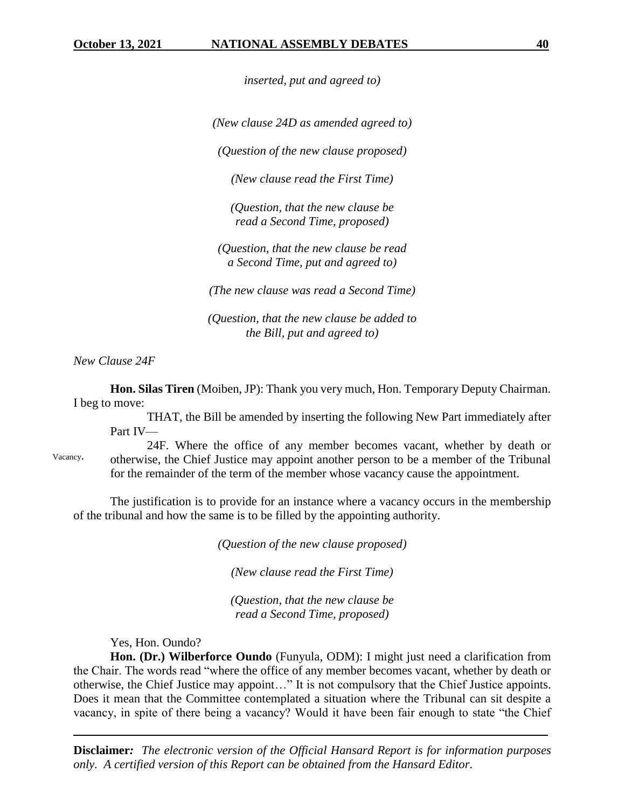*inserted, put and agreed to)*

*(New clause 24D as amended agreed to)*

*(Question of the new clause proposed)*

*(New clause read the First Time)*

*(Question, that the new clause be read a Second Time, proposed)*

*(Question, that the new clause be read a Second Time, put and agreed to)*

*(The new clause was read a Second Time)*

*(Question, that the new clause be added to the Bill, put and agreed to)*

*New Clause 24F*

**Hon. Silas Tiren** (Moiben, JP): Thank you very much, Hon. Temporary Deputy Chairman. I beg to move:

THAT, the Bill be amended by inserting the following New Part immediately after Part IV—

24F. Where the office of any member becomes vacant, whether by death or otherwise, the Chief Justice may appoint another person to be a member of the Tribunal for the remainder of the term of the member whose vacancy cause the appointment. Vacancy.

The justification is to provide for an instance where a vacancy occurs in the membership of the tribunal and how the same is to be filled by the appointing authority.

*(Question of the new clause proposed)*

*(New clause read the First Time)*

*(Question, that the new clause be read a Second Time, proposed)*

Yes, Hon. Oundo?

**Hon. (Dr.) Wilberforce Oundo** (Funyula, ODM): I might just need a clarification from the Chair. The words read "where the office of any member becomes vacant, whether by death or otherwise, the Chief Justice may appoint…" It is not compulsory that the Chief Justice appoints. Does it mean that the Committee contemplated a situation where the Tribunal can sit despite a vacancy, in spite of there being a vacancy? Would it have been fair enough to state "the Chief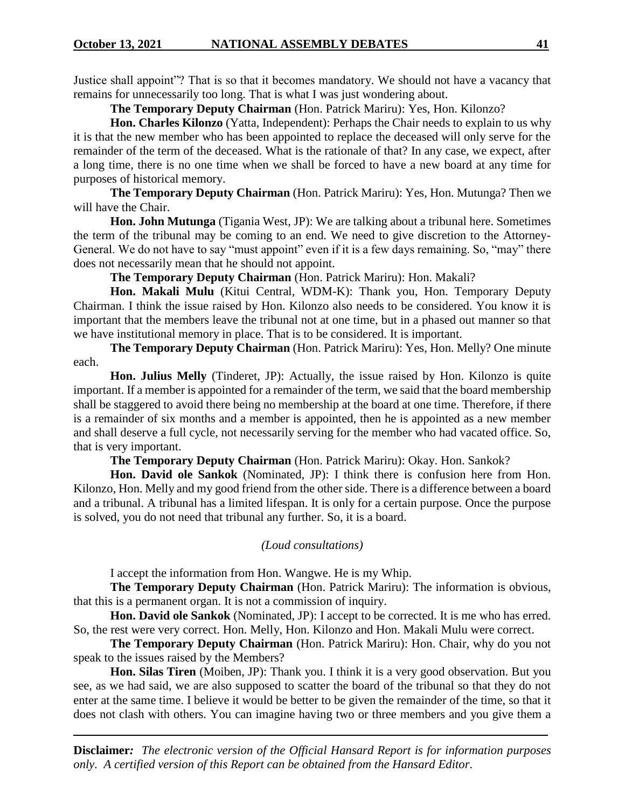Justice shall appoint"? That is so that it becomes mandatory. We should not have a vacancy that remains for unnecessarily too long. That is what I was just wondering about.

**The Temporary Deputy Chairman** (Hon. Patrick Mariru): Yes, Hon. Kilonzo?

**Hon. Charles Kilonzo** (Yatta, Independent): Perhaps the Chair needs to explain to us why it is that the new member who has been appointed to replace the deceased will only serve for the remainder of the term of the deceased. What is the rationale of that? In any case, we expect, after a long time, there is no one time when we shall be forced to have a new board at any time for purposes of historical memory.

**The Temporary Deputy Chairman** (Hon. Patrick Mariru): Yes, Hon. Mutunga? Then we will have the Chair.

**Hon. John Mutunga** (Tigania West, JP): We are talking about a tribunal here. Sometimes the term of the tribunal may be coming to an end. We need to give discretion to the Attorney-General. We do not have to say "must appoint" even if it is a few days remaining. So, "may" there does not necessarily mean that he should not appoint.

**The Temporary Deputy Chairman** (Hon. Patrick Mariru): Hon. Makali?

**Hon. Makali Mulu** (Kitui Central, WDM-K): Thank you, Hon. Temporary Deputy Chairman. I think the issue raised by Hon. Kilonzo also needs to be considered. You know it is important that the members leave the tribunal not at one time, but in a phased out manner so that we have institutional memory in place. That is to be considered. It is important.

**The Temporary Deputy Chairman** (Hon. Patrick Mariru): Yes, Hon. Melly? One minute each.

**Hon. Julius Melly** (Tinderet, JP): Actually, the issue raised by Hon. Kilonzo is quite important. If a member is appointed for a remainder of the term, we said that the board membership shall be staggered to avoid there being no membership at the board at one time. Therefore, if there is a remainder of six months and a member is appointed, then he is appointed as a new member and shall deserve a full cycle, not necessarily serving for the member who had vacated office. So, that is very important.

**The Temporary Deputy Chairman** (Hon. Patrick Mariru): Okay. Hon. Sankok?

**Hon. David ole Sankok** (Nominated, JP): I think there is confusion here from Hon. Kilonzo, Hon. Melly and my good friend from the other side. There is a difference between a board and a tribunal. A tribunal has a limited lifespan. It is only for a certain purpose. Once the purpose is solved, you do not need that tribunal any further. So, it is a board.

*(Loud consultations)*

I accept the information from Hon. Wangwe. He is my Whip.

**The Temporary Deputy Chairman** (Hon. Patrick Mariru): The information is obvious, that this is a permanent organ. It is not a commission of inquiry.

**Hon. David ole Sankok** (Nominated, JP): I accept to be corrected. It is me who has erred. So, the rest were very correct. Hon. Melly, Hon. Kilonzo and Hon. Makali Mulu were correct.

**The Temporary Deputy Chairman** (Hon. Patrick Mariru): Hon. Chair, why do you not speak to the issues raised by the Members?

**Hon. Silas Tiren** (Moiben, JP): Thank you. I think it is a very good observation. But you see, as we had said, we are also supposed to scatter the board of the tribunal so that they do not enter at the same time. I believe it would be better to be given the remainder of the time, so that it does not clash with others. You can imagine having two or three members and you give them a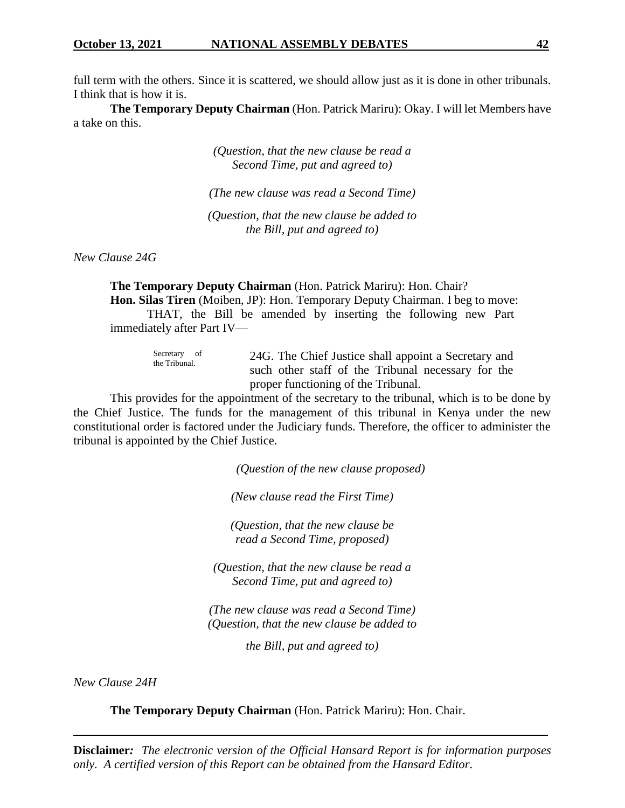full term with the others. Since it is scattered, we should allow just as it is done in other tribunals. I think that is how it is.

**The Temporary Deputy Chairman** (Hon. Patrick Mariru): Okay. I will let Members have a take on this.

> *(Question, that the new clause be read a Second Time, put and agreed to)*

*(The new clause was read a Second Time)*

*(Question, that the new clause be added to the Bill, put and agreed to)*

*New Clause 24G*

**The Temporary Deputy Chairman** (Hon. Patrick Mariru): Hon. Chair? **Hon. Silas Tiren** (Moiben, JP): Hon. Temporary Deputy Chairman. I beg to move: THAT, the Bill be amended by inserting the following new Part immediately after Part IV—

| Secretary of<br>the Tribunal. | 24G. The Chief Justice shall appoint a Secretary and |
|-------------------------------|------------------------------------------------------|
|                               | such other staff of the Tribunal necessary for the   |
|                               | proper functioning of the Tribunal.                  |

This provides for the appointment of the secretary to the tribunal, which is to be done by the Chief Justice. The funds for the management of this tribunal in Kenya under the new constitutional order is factored under the Judiciary funds. Therefore, the officer to administer the tribunal is appointed by the Chief Justice.

*(Question of the new clause proposed)*

*(New clause read the First Time)*

*(Question, that the new clause be read a Second Time, proposed)*

*(Question, that the new clause be read a Second Time, put and agreed to)*

*(The new clause was read a Second Time) (Question, that the new clause be added to*

*the Bill, put and agreed to)*

*New Clause 24H*

**The Temporary Deputy Chairman** (Hon. Patrick Mariru): Hon. Chair.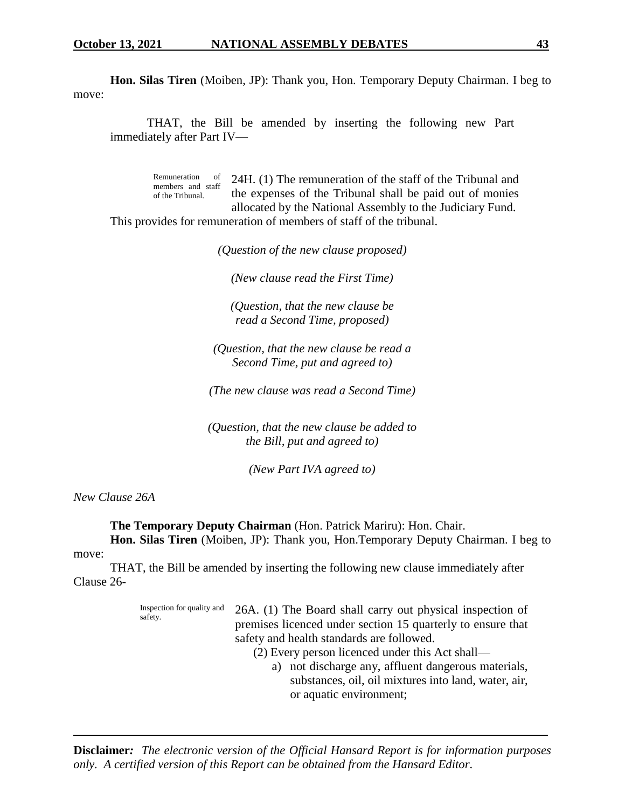**Hon. Silas Tiren** (Moiben, JP): Thank you, Hon. Temporary Deputy Chairman. I beg to move:

THAT, the Bill be amended by inserting the following new Part immediately after Part IV—

Remuneration of members and staff of the Tribunal. 24H. (1) The remuneration of the staff of the Tribunal and the expenses of the Tribunal shall be paid out of monies allocated by the National Assembly to the Judiciary Fund. This provides for remuneration of members of staff of the tribunal.

*(Question of the new clause proposed)*

*(New clause read the First Time)*

*(Question, that the new clause be read a Second Time, proposed)*

*(Question, that the new clause be read a Second Time, put and agreed to)*

*(The new clause was read a Second Time)*

*(Question, that the new clause be added to the Bill, put and agreed to)*

*(New Part IVA agreed to)*

*New Clause 26A*

**The Temporary Deputy Chairman** (Hon. Patrick Mariru): Hon. Chair.

**Hon. Silas Tiren** (Moiben, JP): Thank you, Hon.Temporary Deputy Chairman. I beg to move:

THAT, the Bill be amended by inserting the following new clause immediately after Clause 26-

> Inspection for quality and safety. 26A. (1) The Board shall carry out physical inspection of premises licenced under section 15 quarterly to ensure that safety and health standards are followed. (2) Every person licenced under this Act shall a) not discharge any, affluent dangerous materials, substances, oil, oil mixtures into land, water, air, or aquatic environment;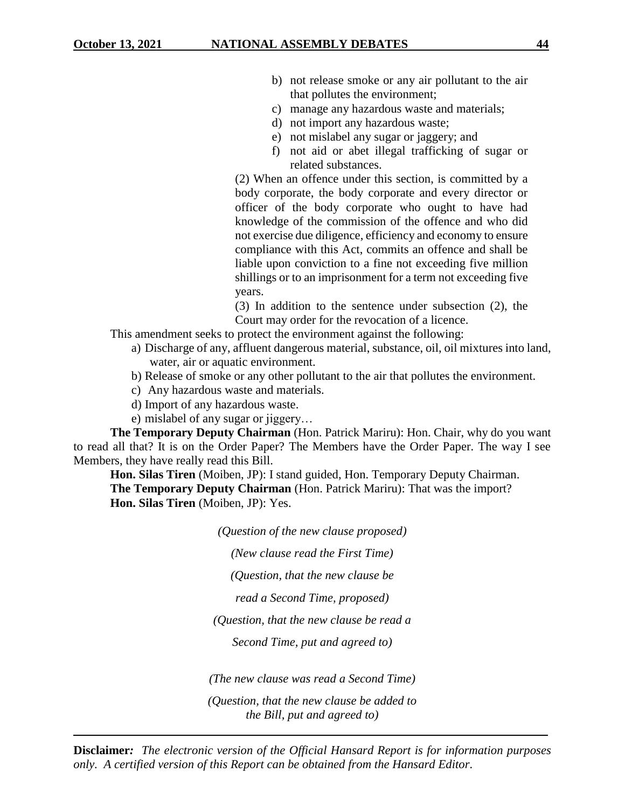- b) not release smoke or any air pollutant to the air that pollutes the environment;
- c) manage any hazardous waste and materials;
- d) not import any hazardous waste;
- e) not mislabel any sugar or jaggery; and
- f) not aid or abet illegal trafficking of sugar or related substances.

(2) When an offence under this section, is committed by a body corporate, the body corporate and every director or officer of the body corporate who ought to have had knowledge of the commission of the offence and who did not exercise due diligence, efficiency and economy to ensure compliance with this Act, commits an offence and shall be liable upon conviction to a fine not exceeding five million shillings or to an imprisonment for a term not exceeding five years.

(3) In addition to the sentence under subsection (2), the Court may order for the revocation of a licence.

- This amendment seeks to protect the environment against the following:
	- a) Discharge of any, affluent dangerous material, substance, oil, oil mixtures into land, water, air or aquatic environment.
	- b) Release of smoke or any other pollutant to the air that pollutes the environment.
	- c) Any hazardous waste and materials.
	- d) Import of any hazardous waste.
	- e) mislabel of any sugar or jiggery…

**The Temporary Deputy Chairman** (Hon. Patrick Mariru): Hon. Chair, why do you want to read all that? It is on the Order Paper? The Members have the Order Paper. The way I see Members, they have really read this Bill.

**Hon. Silas Tiren** (Moiben, JP): I stand guided, Hon. Temporary Deputy Chairman. **The Temporary Deputy Chairman** (Hon. Patrick Mariru): That was the import? **Hon. Silas Tiren** (Moiben, JP): Yes.

*(Question of the new clause proposed)*

*(New clause read the First Time)*

*(Question, that the new clause be*

*read a Second Time, proposed)*

*(Question, that the new clause be read a*

*Second Time, put and agreed to)*

*(The new clause was read a Second Time)*

*(Question, that the new clause be added to the Bill, put and agreed to)*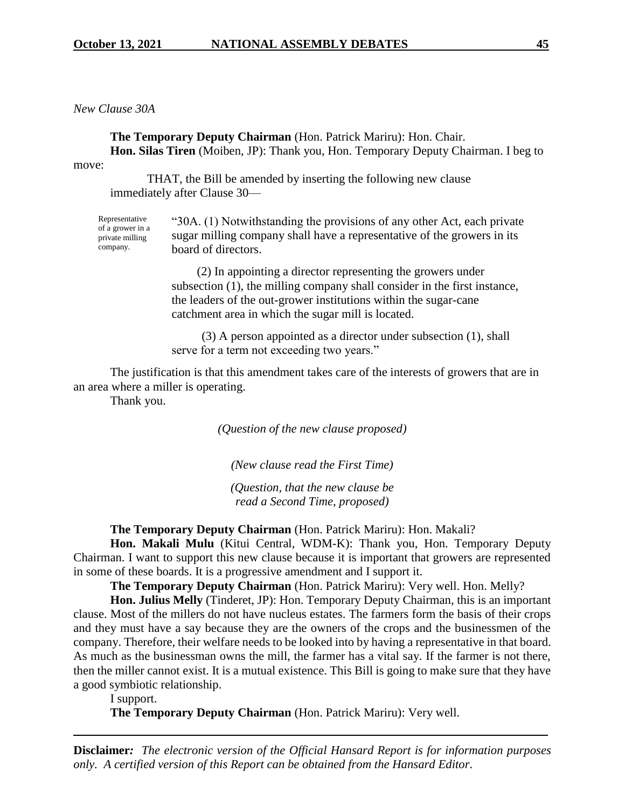*New Clause 30A*

**The Temporary Deputy Chairman** (Hon. Patrick Mariru): Hon. Chair. **Hon. Silas Tiren** (Moiben, JP): Thank you, Hon. Temporary Deputy Chairman. I beg to

move:

THAT, the Bill be amended by inserting the following new clause immediately after Clause 30—

Representative of a grower in a private milling company. "30A. (1) Notwithstanding the provisions of any other Act, each private sugar milling company shall have a representative of the growers in its board of directors.

> (2) In appointing a director representing the growers under subsection (1), the milling company shall consider in the first instance, the leaders of the out-grower institutions within the sugar-cane catchment area in which the sugar mill is located.

(3) A person appointed as a director under subsection (1), shall serve for a term not exceeding two years."

The justification is that this amendment takes care of the interests of growers that are in an area where a miller is operating.

Thank you.

*(Question of the new clause proposed)*

*(New clause read the First Time)*

*(Question, that the new clause be read a Second Time, proposed)*

**The Temporary Deputy Chairman** (Hon. Patrick Mariru): Hon. Makali?

**Hon. Makali Mulu** (Kitui Central, WDM-K): Thank you, Hon. Temporary Deputy Chairman. I want to support this new clause because it is important that growers are represented in some of these boards. It is a progressive amendment and I support it.

**The Temporary Deputy Chairman** (Hon. Patrick Mariru): Very well. Hon. Melly?

**Hon. Julius Melly** (Tinderet, JP): Hon. Temporary Deputy Chairman, this is an important clause. Most of the millers do not have nucleus estates. The farmers form the basis of their crops and they must have a say because they are the owners of the crops and the businessmen of the company. Therefore, their welfare needs to be looked into by having a representative in that board. As much as the businessman owns the mill, the farmer has a vital say. If the farmer is not there, then the miller cannot exist. It is a mutual existence. This Bill is going to make sure that they have a good symbiotic relationship.

I support.

**The Temporary Deputy Chairman** (Hon. Patrick Mariru): Very well.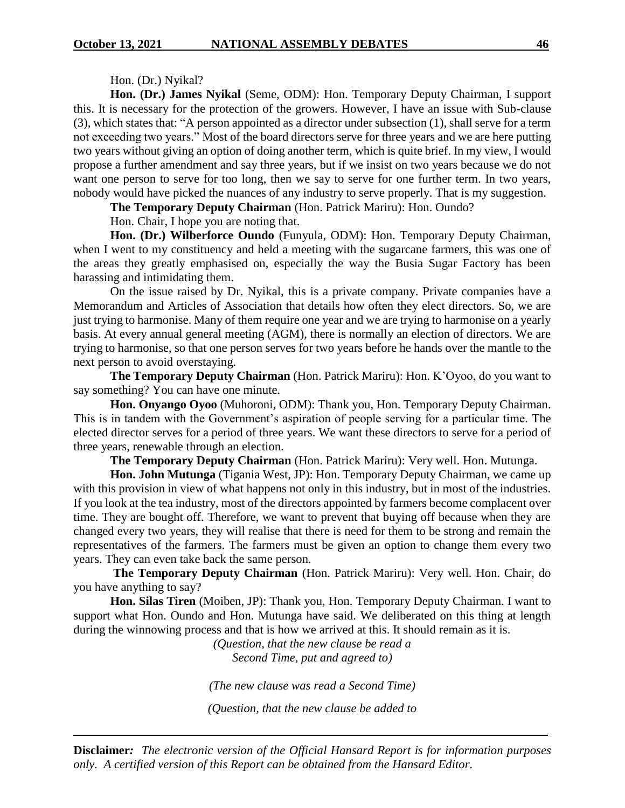#### Hon. (Dr.) Nyikal?

**Hon. (Dr.) James Nyikal** (Seme, ODM): Hon. Temporary Deputy Chairman, I support this. It is necessary for the protection of the growers. However, I have an issue with Sub-clause (3), which states that: "A person appointed as a director under subsection (1), shall serve for a term not exceeding two years." Most of the board directors serve for three years and we are here putting two years without giving an option of doing another term, which is quite brief. In my view, I would propose a further amendment and say three years, but if we insist on two years because we do not want one person to serve for too long, then we say to serve for one further term. In two years, nobody would have picked the nuances of any industry to serve properly. That is my suggestion.

**The Temporary Deputy Chairman** (Hon. Patrick Mariru): Hon. Oundo?

Hon. Chair, I hope you are noting that.

**Hon. (Dr.) Wilberforce Oundo** (Funyula, ODM): Hon. Temporary Deputy Chairman, when I went to my constituency and held a meeting with the sugarcane farmers, this was one of the areas they greatly emphasised on, especially the way the Busia Sugar Factory has been harassing and intimidating them.

On the issue raised by Dr. Nyikal, this is a private company. Private companies have a Memorandum and Articles of Association that details how often they elect directors. So, we are just trying to harmonise. Many of them require one year and we are trying to harmonise on a yearly basis. At every annual general meeting (AGM), there is normally an election of directors. We are trying to harmonise, so that one person serves for two years before he hands over the mantle to the next person to avoid overstaying.

**The Temporary Deputy Chairman** (Hon. Patrick Mariru): Hon. K'Oyoo, do you want to say something? You can have one minute.

**Hon. Onyango Oyoo** (Muhoroni, ODM): Thank you, Hon. Temporary Deputy Chairman. This is in tandem with the Government's aspiration of people serving for a particular time. The elected director serves for a period of three years. We want these directors to serve for a period of three years, renewable through an election.

**The Temporary Deputy Chairman** (Hon. Patrick Mariru): Very well. Hon. Mutunga.

**Hon. John Mutunga** (Tigania West, JP): Hon. Temporary Deputy Chairman, we came up with this provision in view of what happens not only in this industry, but in most of the industries. If you look at the tea industry, most of the directors appointed by farmers become complacent over time. They are bought off. Therefore, we want to prevent that buying off because when they are changed every two years, they will realise that there is need for them to be strong and remain the representatives of the farmers. The farmers must be given an option to change them every two years. They can even take back the same person.

**The Temporary Deputy Chairman** (Hon. Patrick Mariru): Very well. Hon. Chair, do you have anything to say?

**Hon. Silas Tiren** (Moiben, JP): Thank you, Hon. Temporary Deputy Chairman. I want to support what Hon. Oundo and Hon. Mutunga have said. We deliberated on this thing at length during the winnowing process and that is how we arrived at this. It should remain as it is.

> *(Question, that the new clause be read a Second Time, put and agreed to)*

*(The new clause was read a Second Time)*

*(Question, that the new clause be added to*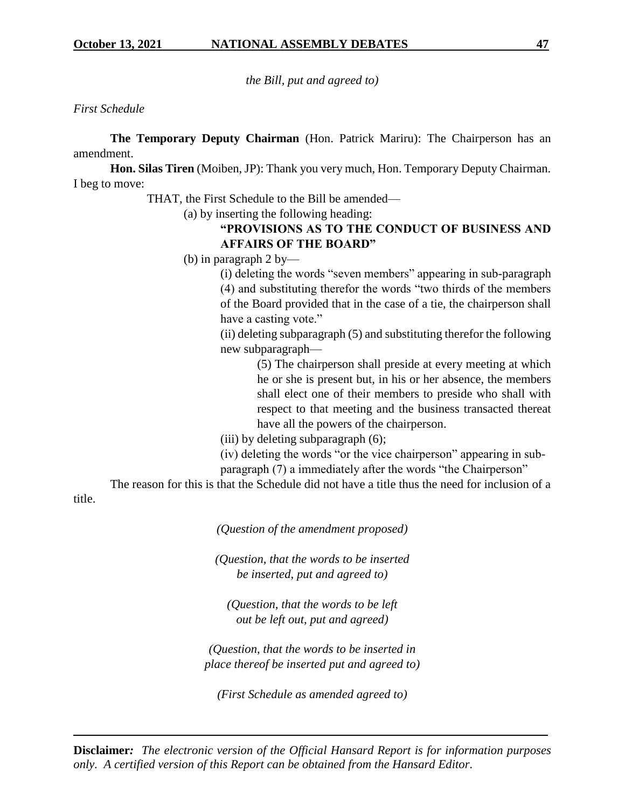*the Bill, put and agreed to)*

#### *First Schedule*

**The Temporary Deputy Chairman** (Hon. Patrick Mariru): The Chairperson has an amendment.

**Hon. Silas Tiren** (Moiben, JP): Thank you very much, Hon. Temporary Deputy Chairman. I beg to move:

THAT, the First Schedule to the Bill be amended—

(a) by inserting the following heading:

# **"PROVISIONS AS TO THE CONDUCT OF BUSINESS AND AFFAIRS OF THE BOARD"**

(b) in paragraph 2 by—

(i) deleting the words "seven members" appearing in sub-paragraph (4) and substituting therefor the words "two thirds of the members of the Board provided that in the case of a tie, the chairperson shall have a casting vote."

(ii) deleting subparagraph (5) and substituting therefor the following new subparagraph—

> (5) The chairperson shall preside at every meeting at which he or she is present but, in his or her absence, the members shall elect one of their members to preside who shall with respect to that meeting and the business transacted thereat have all the powers of the chairperson.

(iii) by deleting subparagraph (6);

(iv) deleting the words "or the vice chairperson" appearing in subparagraph (7) a immediately after the words "the Chairperson"

The reason for this is that the Schedule did not have a title thus the need for inclusion of a

title.

*(Question of the amendment proposed)*

*(Question, that the words to be inserted be inserted, put and agreed to)*

*(Question, that the words to be left out be left out, put and agreed)*

*(Question, that the words to be inserted in place thereof be inserted put and agreed to)*

*(First Schedule as amended agreed to)*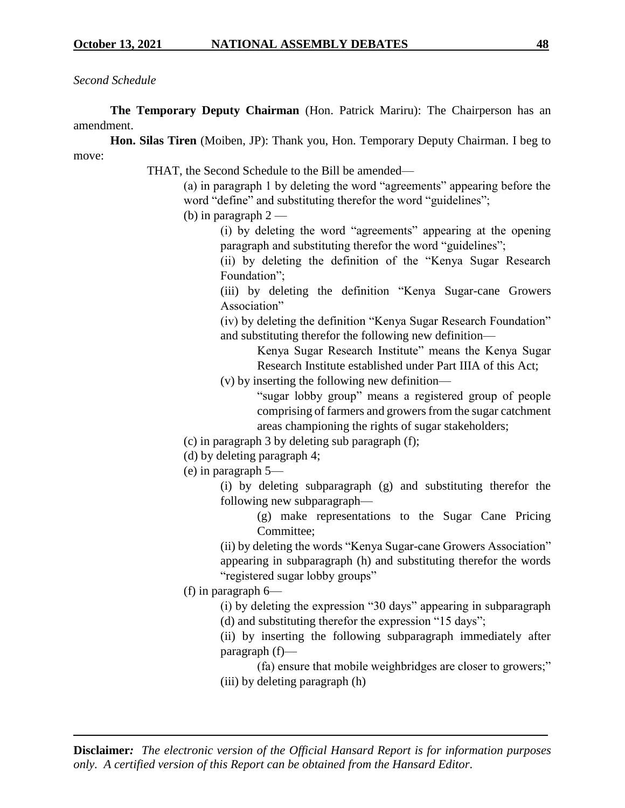# *Second Schedule*

**The Temporary Deputy Chairman** (Hon. Patrick Mariru): The Chairperson has an amendment.

**Hon. Silas Tiren** (Moiben, JP): Thank you, Hon. Temporary Deputy Chairman. I beg to move:

THAT, the Second Schedule to the Bill be amended—

(a) in paragraph 1 by deleting the word "agreements" appearing before the word "define" and substituting therefor the word "guidelines";

(b) in paragraph  $2-$ 

(i) by deleting the word "agreements" appearing at the opening paragraph and substituting therefor the word "guidelines";

(ii) by deleting the definition of the "Kenya Sugar Research Foundation";

(iii) by deleting the definition "Kenya Sugar-cane Growers Association"

(iv) by deleting the definition "Kenya Sugar Research Foundation" and substituting therefor the following new definition—

> Kenya Sugar Research Institute" means the Kenya Sugar Research Institute established under Part IIIA of this Act;

(v) by inserting the following new definition—

"sugar lobby group" means a registered group of people comprising of farmers and growers from the sugar catchment areas championing the rights of sugar stakeholders;

- (c) in paragraph 3 by deleting sub paragraph (f);
- (d) by deleting paragraph 4;

(e) in paragraph 5—

(i) by deleting subparagraph (g) and substituting therefor the following new subparagraph—

(g) make representations to the Sugar Cane Pricing Committee;

(ii) by deleting the words "Kenya Sugar-cane Growers Association" appearing in subparagraph (h) and substituting therefor the words "registered sugar lobby groups"

(f) in paragraph 6—

(i) by deleting the expression "30 days" appearing in subparagraph (d) and substituting therefor the expression "15 days";

(ii) by inserting the following subparagraph immediately after paragraph (f)—

(fa) ensure that mobile weighbridges are closer to growers;" (iii) by deleting paragraph (h)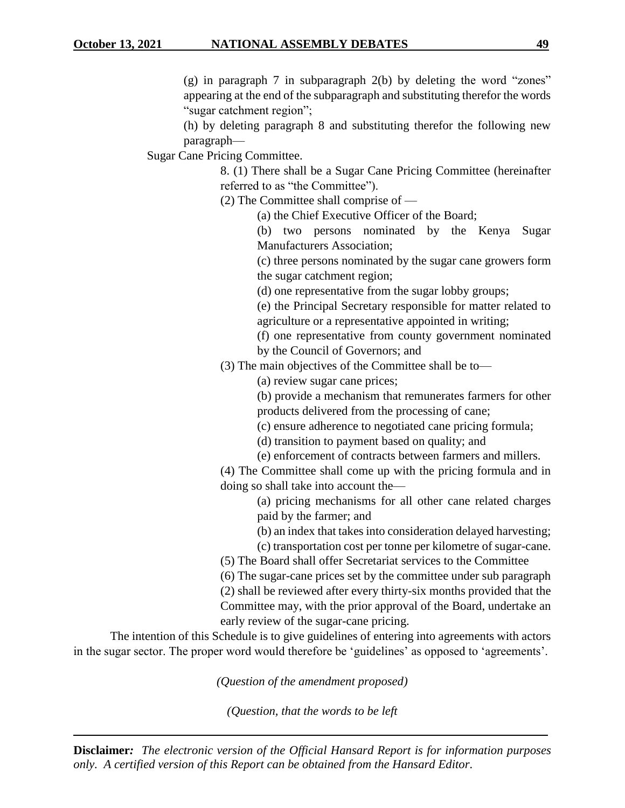(g) in paragraph 7 in subparagraph 2(b) by deleting the word "zones" appearing at the end of the subparagraph and substituting therefor the words "sugar catchment region";

(h) by deleting paragraph 8 and substituting therefor the following new paragraph—

Sugar Cane Pricing Committee.

8. (1) There shall be a Sugar Cane Pricing Committee (hereinafter referred to as "the Committee").

(2) The Committee shall comprise of —

(a) the Chief Executive Officer of the Board;

(b) two persons nominated by the Kenya Sugar Manufacturers Association;

(c) three persons nominated by the sugar cane growers form the sugar catchment region;

(d) one representative from the sugar lobby groups;

(e) the Principal Secretary responsible for matter related to agriculture or a representative appointed in writing;

(f) one representative from county government nominated

by the Council of Governors; and

(3) The main objectives of the Committee shall be to—

(a) review sugar cane prices;

(b) provide a mechanism that remunerates farmers for other products delivered from the processing of cane;

(c) ensure adherence to negotiated cane pricing formula;

(d) transition to payment based on quality; and

(e) enforcement of contracts between farmers and millers.

(4) The Committee shall come up with the pricing formula and in doing so shall take into account the—

> (a) pricing mechanisms for all other cane related charges paid by the farmer; and

> (b) an index that takes into consideration delayed harvesting;

(c) transportation cost per tonne per kilometre of sugar-cane.

(5) The Board shall offer Secretariat services to the Committee

(6) The sugar-cane prices set by the committee under sub paragraph

(2) shall be reviewed after every thirty-six months provided that the Committee may, with the prior approval of the Board, undertake an early review of the sugar-cane pricing.

The intention of this Schedule is to give guidelines of entering into agreements with actors in the sugar sector. The proper word would therefore be 'guidelines' as opposed to 'agreements'.

*(Question of the amendment proposed)*

*(Question, that the words to be left*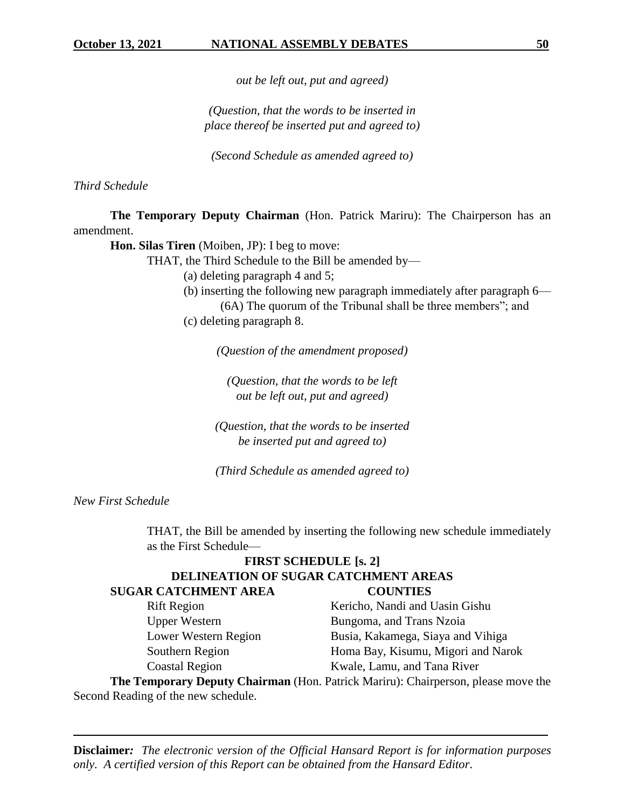*out be left out, put and agreed)*

*(Question, that the words to be inserted in place thereof be inserted put and agreed to)*

*(Second Schedule as amended agreed to)*

*Third Schedule*

**The Temporary Deputy Chairman** (Hon. Patrick Mariru): The Chairperson has an amendment.

**Hon. Silas Tiren** (Moiben, JP): I beg to move:

THAT, the Third Schedule to the Bill be amended by—

(a) deleting paragraph 4 and 5;

(b) inserting the following new paragraph immediately after paragraph 6— (6A) The quorum of the Tribunal shall be three members"; and

(c) deleting paragraph 8.

*(Question of the amendment proposed)*

*(Question, that the words to be left out be left out, put and agreed)*

*(Question, that the words to be inserted be inserted put and agreed to)*

*(Third Schedule as amended agreed to)*

*New First Schedule*

THAT, the Bill be amended by inserting the following new schedule immediately as the First Schedule—

# **FIRST SCHEDULE [s. 2] DELINEATION OF SUGAR CATCHMENT AREAS SUGAR CATCHMENT AREA COUNTIES**

Rift Region Kericho, Nandi and Uasin Gishu Upper Western Bungoma, and Trans Nzoia Lower Western Region Busia, Kakamega, Siaya and Vihiga Southern Region Homa Bay, Kisumu, Migori and Narok Coastal Region Kwale, Lamu, and Tana River

**The Temporary Deputy Chairman** (Hon. Patrick Mariru): Chairperson, please move the Second Reading of the new schedule.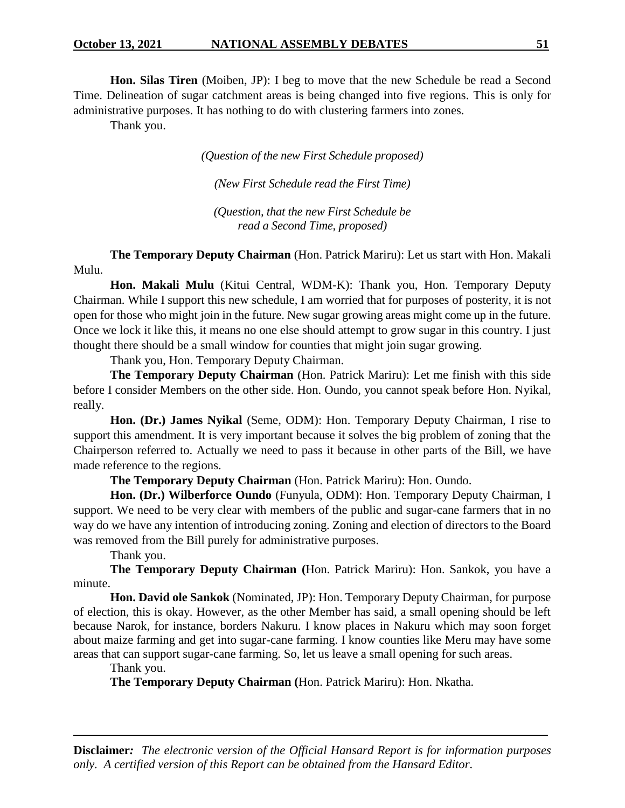**Hon. Silas Tiren** (Moiben, JP): I beg to move that the new Schedule be read a Second Time. Delineation of sugar catchment areas is being changed into five regions. This is only for administrative purposes. It has nothing to do with clustering farmers into zones.

Thank you.

*(Question of the new First Schedule proposed)*

*(New First Schedule read the First Time)*

*(Question, that the new First Schedule be read a Second Time, proposed)*

**The Temporary Deputy Chairman** (Hon. Patrick Mariru): Let us start with Hon. Makali Mulu.

**Hon. Makali Mulu** (Kitui Central, WDM-K): Thank you, Hon. Temporary Deputy Chairman. While I support this new schedule, I am worried that for purposes of posterity, it is not open for those who might join in the future. New sugar growing areas might come up in the future. Once we lock it like this, it means no one else should attempt to grow sugar in this country. I just thought there should be a small window for counties that might join sugar growing.

Thank you, Hon. Temporary Deputy Chairman.

**The Temporary Deputy Chairman** (Hon. Patrick Mariru): Let me finish with this side before I consider Members on the other side. Hon. Oundo, you cannot speak before Hon. Nyikal, really.

**Hon. (Dr.) James Nyikal** (Seme, ODM): Hon. Temporary Deputy Chairman, I rise to support this amendment. It is very important because it solves the big problem of zoning that the Chairperson referred to. Actually we need to pass it because in other parts of the Bill, we have made reference to the regions.

**The Temporary Deputy Chairman** (Hon. Patrick Mariru): Hon. Oundo.

**Hon. (Dr.) Wilberforce Oundo** (Funyula, ODM): Hon. Temporary Deputy Chairman, I support. We need to be very clear with members of the public and sugar-cane farmers that in no way do we have any intention of introducing zoning. Zoning and election of directors to the Board was removed from the Bill purely for administrative purposes.

Thank you.

**The Temporary Deputy Chairman (**Hon. Patrick Mariru): Hon. Sankok, you have a minute.

**Hon. David ole Sankok** (Nominated, JP): Hon. Temporary Deputy Chairman, for purpose of election, this is okay. However, as the other Member has said, a small opening should be left because Narok, for instance, borders Nakuru. I know places in Nakuru which may soon forget about maize farming and get into sugar-cane farming. I know counties like Meru may have some areas that can support sugar-cane farming. So, let us leave a small opening for such areas.

Thank you.

**The Temporary Deputy Chairman (**Hon. Patrick Mariru): Hon. Nkatha.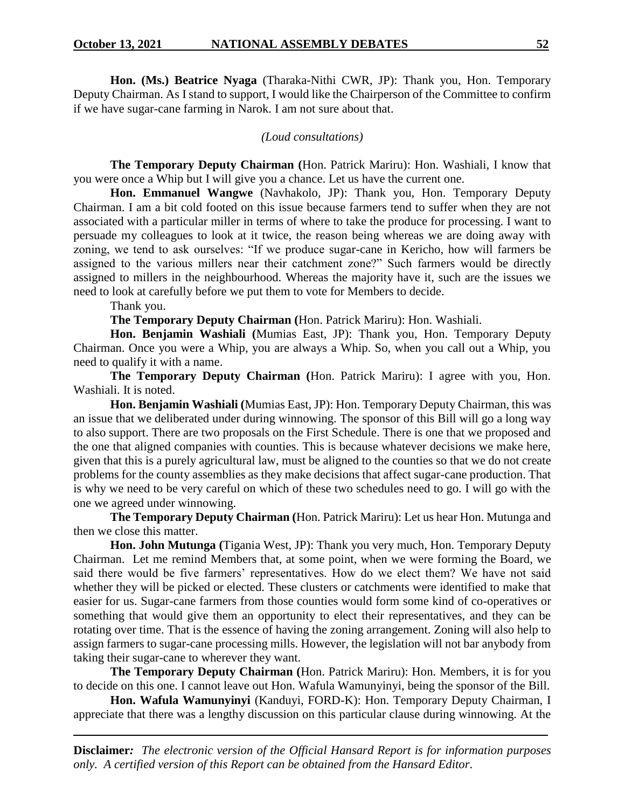**Hon. (Ms.) Beatrice Nyaga** (Tharaka-Nithi CWR, JP): Thank you, Hon. Temporary Deputy Chairman. As I stand to support, I would like the Chairperson of the Committee to confirm if we have sugar-cane farming in Narok. I am not sure about that.

#### *(Loud consultations)*

**The Temporary Deputy Chairman (**Hon. Patrick Mariru): Hon. Washiali, I know that you were once a Whip but I will give you a chance. Let us have the current one.

**Hon. Emmanuel Wangwe** (Navhakolo, JP): Thank you, Hon. Temporary Deputy Chairman. I am a bit cold footed on this issue because farmers tend to suffer when they are not associated with a particular miller in terms of where to take the produce for processing. I want to persuade my colleagues to look at it twice, the reason being whereas we are doing away with zoning, we tend to ask ourselves: "If we produce sugar-cane in Kericho, how will farmers be assigned to the various millers near their catchment zone?" Such farmers would be directly assigned to millers in the neighbourhood. Whereas the majority have it, such are the issues we need to look at carefully before we put them to vote for Members to decide.

Thank you.

**The Temporary Deputy Chairman (**Hon. Patrick Mariru): Hon. Washiali.

**Hon. Benjamin Washiali (**Mumias East, JP): Thank you, Hon. Temporary Deputy Chairman. Once you were a Whip, you are always a Whip. So, when you call out a Whip, you need to qualify it with a name.

**The Temporary Deputy Chairman (**Hon. Patrick Mariru): I agree with you, Hon. Washiali. It is noted.

**Hon. Benjamin Washiali (**Mumias East, JP): Hon. Temporary Deputy Chairman, this was an issue that we deliberated under during winnowing. The sponsor of this Bill will go a long way to also support. There are two proposals on the First Schedule. There is one that we proposed and the one that aligned companies with counties. This is because whatever decisions we make here, given that this is a purely agricultural law, must be aligned to the counties so that we do not create problems for the county assemblies as they make decisions that affect sugar-cane production. That is why we need to be very careful on which of these two schedules need to go. I will go with the one we agreed under winnowing.

**The Temporary Deputy Chairman (**Hon. Patrick Mariru): Let us hear Hon. Mutunga and then we close this matter.

**Hon. John Mutunga (**Tigania West, JP): Thank you very much, Hon. Temporary Deputy Chairman. Let me remind Members that, at some point, when we were forming the Board, we said there would be five farmers' representatives. How do we elect them? We have not said whether they will be picked or elected. These clusters or catchments were identified to make that easier for us. Sugar-cane farmers from those counties would form some kind of co-operatives or something that would give them an opportunity to elect their representatives, and they can be rotating over time. That is the essence of having the zoning arrangement. Zoning will also help to assign farmers to sugar-cane processing mills. However, the legislation will not bar anybody from taking their sugar-cane to wherever they want.

**The Temporary Deputy Chairman (**Hon. Patrick Mariru): Hon. Members, it is for you to decide on this one. I cannot leave out Hon. Wafula Wamunyinyi, being the sponsor of the Bill.

**Hon. Wafula Wamunyinyi** (Kanduyi, FORD-K): Hon. Temporary Deputy Chairman, I appreciate that there was a lengthy discussion on this particular clause during winnowing. At the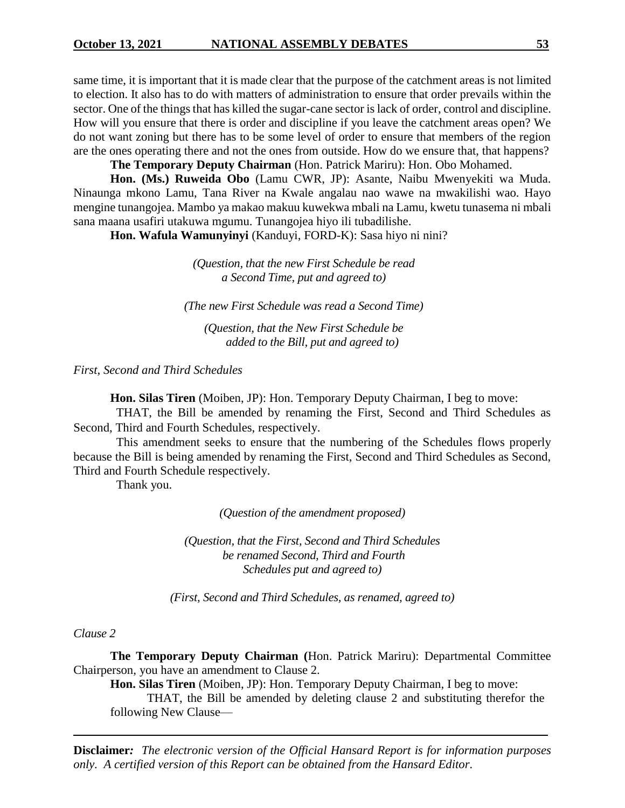same time, it is important that it is made clear that the purpose of the catchment areas is not limited to election. It also has to do with matters of administration to ensure that order prevails within the sector. One of the things that has killed the sugar-cane sector is lack of order, control and discipline. How will you ensure that there is order and discipline if you leave the catchment areas open? We do not want zoning but there has to be some level of order to ensure that members of the region are the ones operating there and not the ones from outside. How do we ensure that, that happens?

**The Temporary Deputy Chairman** (Hon. Patrick Mariru): Hon. Obo Mohamed.

**Hon. (Ms.) Ruweida Obo** (Lamu CWR, JP): Asante, Naibu Mwenyekiti wa Muda. Ninaunga mkono Lamu, Tana River na Kwale angalau nao wawe na mwakilishi wao. Hayo mengine tunangojea. Mambo ya makao makuu kuwekwa mbali na Lamu, kwetu tunasema ni mbali sana maana usafiri utakuwa mgumu. Tunangojea hiyo ili tubadilishe.

**Hon. Wafula Wamunyinyi** (Kanduyi, FORD-K): Sasa hiyo ni nini?

*(Question, that the new First Schedule be read a Second Time, put and agreed to)*

*(The new First Schedule was read a Second Time)*

*(Question, that the New First Schedule be added to the Bill, put and agreed to)*

*First, Second and Third Schedules*

**Hon. Silas Tiren** (Moiben, JP): Hon. Temporary Deputy Chairman, I beg to move:

THAT, the Bill be amended by renaming the First, Second and Third Schedules as Second, Third and Fourth Schedules, respectively.

This amendment seeks to ensure that the numbering of the Schedules flows properly because the Bill is being amended by renaming the First, Second and Third Schedules as Second, Third and Fourth Schedule respectively.

Thank you.

*(Question of the amendment proposed)*

*(Question, that the First, Second and Third Schedules be renamed Second, Third and Fourth Schedules put and agreed to)*

*(First, Second and Third Schedules, as renamed, agreed to)*

#### *Clause 2*

**The Temporary Deputy Chairman (**Hon. Patrick Mariru): Departmental Committee Chairperson, you have an amendment to Clause 2.

**Hon. Silas Tiren** (Moiben, JP): Hon. Temporary Deputy Chairman, I beg to move:

THAT, the Bill be amended by deleting clause 2 and substituting therefor the following New Clause—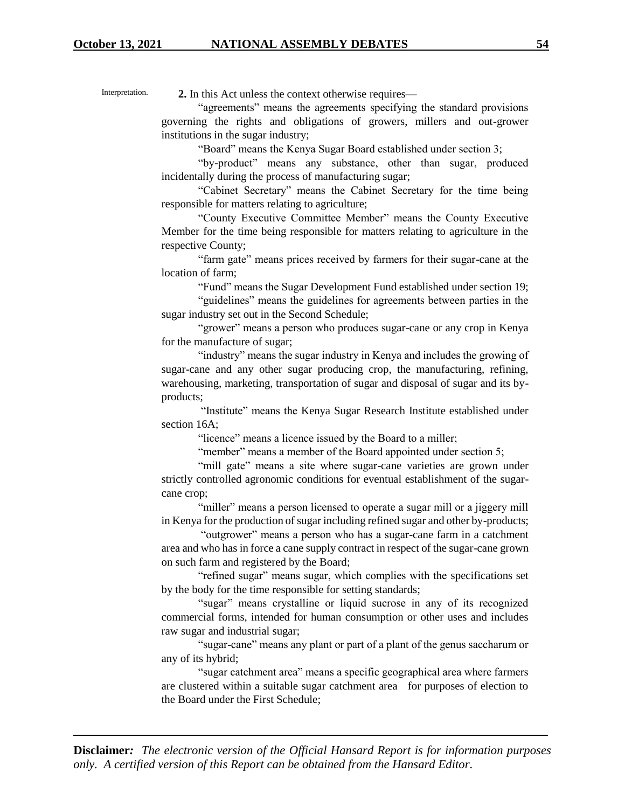Interpretation.

**2.** In this Act unless the context otherwise requires—

"agreements" means the agreements specifying the standard provisions governing the rights and obligations of growers, millers and out-grower institutions in the sugar industry;

"Board" means the Kenya Sugar Board established under section 3;

"by-product" means any substance, other than sugar, produced incidentally during the process of manufacturing sugar;

"Cabinet Secretary" means the Cabinet Secretary for the time being responsible for matters relating to agriculture;

"County Executive Committee Member" means the County Executive Member for the time being responsible for matters relating to agriculture in the respective County;

"farm gate" means prices received by farmers for their sugar-cane at the location of farm;

"Fund" means the Sugar Development Fund established under section 19;

"guidelines" means the guidelines for agreements between parties in the sugar industry set out in the Second Schedule;

"grower" means a person who produces sugar-cane or any crop in Kenya for the manufacture of sugar;

"industry" means the sugar industry in Kenya and includes the growing of sugar-cane and any other sugar producing crop, the manufacturing, refining, warehousing, marketing, transportation of sugar and disposal of sugar and its byproducts;

"Institute" means the Kenya Sugar Research Institute established under section 16A;

"licence" means a licence issued by the Board to a miller;

"member" means a member of the Board appointed under section 5;

"mill gate" means a site where sugar-cane varieties are grown under strictly controlled agronomic conditions for eventual establishment of the sugarcane crop;

"miller" means a person licensed to operate a sugar mill or a jiggery mill in Kenya for the production of sugar including refined sugar and other by-products;

"outgrower" means a person who has a sugar-cane farm in a catchment area and who has in force a cane supply contract in respect of the sugar-cane grown on such farm and registered by the Board;

"refined sugar" means sugar, which complies with the specifications set by the body for the time responsible for setting standards;

"sugar" means crystalline or liquid sucrose in any of its recognized commercial forms, intended for human consumption or other uses and includes raw sugar and industrial sugar;

"sugar-cane" means any plant or part of a plant of the genus saccharum or any of its hybrid;

"sugar catchment area" means a specific geographical area where farmers are clustered within a suitable sugar catchment area for purposes of election to the Board under the First Schedule;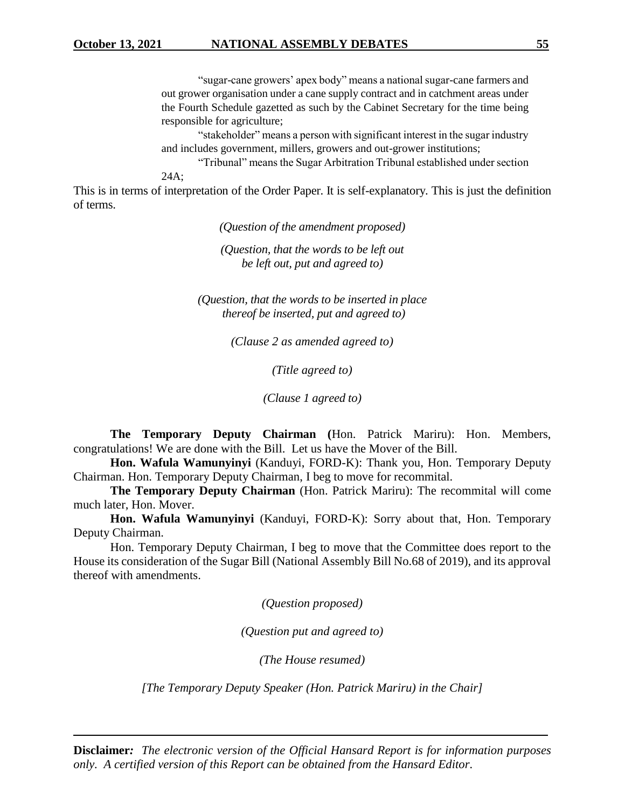"sugar-cane growers' apex body" means a national sugar-cane farmers and out grower organisation under a cane supply contract and in catchment areas under the Fourth Schedule gazetted as such by the Cabinet Secretary for the time being responsible for agriculture;

"stakeholder" means a person with significant interest in the sugar industry and includes government, millers, growers and out-grower institutions;

"Tribunal" means the Sugar Arbitration Tribunal established under section 24A;

This is in terms of interpretation of the Order Paper. It is self-explanatory. This is just the definition of terms.

*(Question of the amendment proposed)*

*(Question, that the words to be left out be left out, put and agreed to)*

*(Question, that the words to be inserted in place thereof be inserted, put and agreed to)*

*(Clause 2 as amended agreed to)*

*(Title agreed to)*

*(Clause 1 agreed to)*

**The Temporary Deputy Chairman (**Hon. Patrick Mariru): Hon. Members, congratulations! We are done with the Bill. Let us have the Mover of the Bill.

**Hon. Wafula Wamunyinyi** (Kanduyi, FORD-K): Thank you, Hon. Temporary Deputy Chairman. Hon. Temporary Deputy Chairman, I beg to move for recommital.

**The Temporary Deputy Chairman** (Hon. Patrick Mariru): The recommital will come much later, Hon. Mover.

**Hon. Wafula Wamunyinyi** (Kanduyi, FORD-K): Sorry about that, Hon. Temporary Deputy Chairman.

Hon. Temporary Deputy Chairman, I beg to move that the Committee does report to the House its consideration of the Sugar Bill (National Assembly Bill No.68 of 2019), and its approval thereof with amendments.

*(Question proposed)*

*(Question put and agreed to)*

*(The House resumed)*

*[The Temporary Deputy Speaker (Hon. Patrick Mariru) in the Chair]*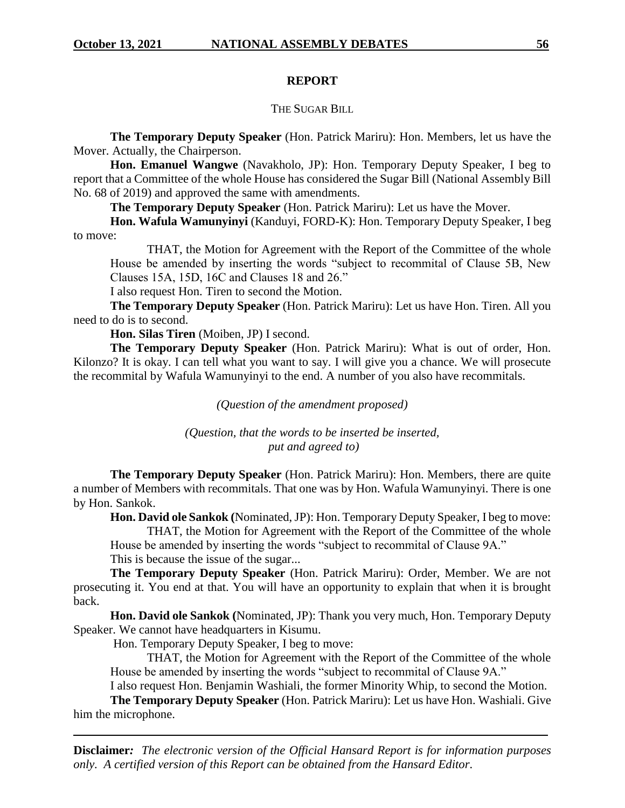#### **REPORT**

#### THE SUGAR BILL

**The Temporary Deputy Speaker** (Hon. Patrick Mariru): Hon. Members, let us have the Mover. Actually, the Chairperson.

**Hon. Emanuel Wangwe** (Navakholo, JP): Hon. Temporary Deputy Speaker, I beg to report that a Committee of the whole House has considered the Sugar Bill (National Assembly Bill No. 68 of 2019) and approved the same with amendments.

**The Temporary Deputy Speaker** (Hon. Patrick Mariru): Let us have the Mover.

**Hon. Wafula Wamunyinyi** (Kanduyi, FORD-K): Hon. Temporary Deputy Speaker, I beg to move:

THAT, the Motion for Agreement with the Report of the Committee of the whole House be amended by inserting the words "subject to recommital of Clause 5B, New Clauses 15A, 15D, 16C and Clauses 18 and 26."

I also request Hon. Tiren to second the Motion.

**The Temporary Deputy Speaker** (Hon. Patrick Mariru): Let us have Hon. Tiren. All you need to do is to second.

**Hon. Silas Tiren** (Moiben, JP) I second.

**The Temporary Deputy Speaker** (Hon. Patrick Mariru): What is out of order, Hon. Kilonzo? It is okay. I can tell what you want to say. I will give you a chance. We will prosecute the recommital by Wafula Wamunyinyi to the end. A number of you also have recommitals.

*(Question of the amendment proposed)*

*(Question, that the words to be inserted be inserted, put and agreed to)*

**The Temporary Deputy Speaker** (Hon. Patrick Mariru): Hon. Members, there are quite a number of Members with recommitals. That one was by Hon. Wafula Wamunyinyi. There is one by Hon. Sankok.

**Hon. David ole Sankok (**Nominated, JP): Hon. Temporary Deputy Speaker, I beg to move: THAT, the Motion for Agreement with the Report of the Committee of the whole

House be amended by inserting the words "subject to recommital of Clause 9A."

This is because the issue of the sugar...

**The Temporary Deputy Speaker** (Hon. Patrick Mariru): Order, Member. We are not prosecuting it. You end at that. You will have an opportunity to explain that when it is brought back.

**Hon. David ole Sankok (**Nominated, JP): Thank you very much, Hon. Temporary Deputy Speaker. We cannot have headquarters in Kisumu.

Hon. Temporary Deputy Speaker, I beg to move:

THAT, the Motion for Agreement with the Report of the Committee of the whole House be amended by inserting the words "subject to recommital of Clause 9A."

I also request Hon. Benjamin Washiali, the former Minority Whip, to second the Motion.

**The Temporary Deputy Speaker** (Hon. Patrick Mariru): Let us have Hon. Washiali. Give him the microphone.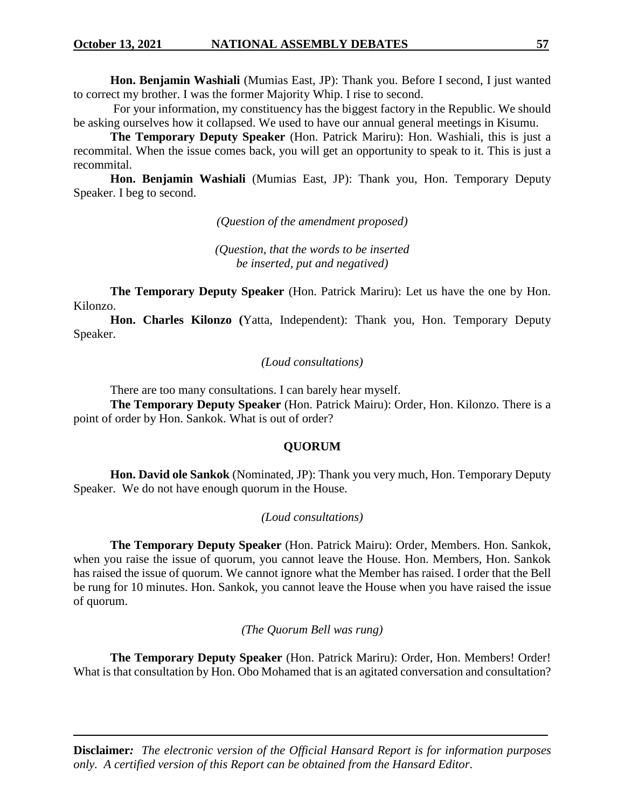**Hon. Benjamin Washiali** (Mumias East, JP): Thank you. Before I second, I just wanted to correct my brother. I was the former Majority Whip. I rise to second.

For your information, my constituency has the biggest factory in the Republic. We should be asking ourselves how it collapsed. We used to have our annual general meetings in Kisumu.

**The Temporary Deputy Speaker** (Hon. Patrick Mariru): Hon. Washiali, this is just a recommital. When the issue comes back, you will get an opportunity to speak to it. This is just a recommital.

**Hon. Benjamin Washiali** (Mumias East, JP): Thank you, Hon. Temporary Deputy Speaker. I beg to second.

*(Question of the amendment proposed)*

*(Question, that the words to be inserted be inserted, put and negatived)*

**The Temporary Deputy Speaker** (Hon. Patrick Mariru): Let us have the one by Hon. Kilonzo.

**Hon. Charles Kilonzo (**Yatta, Independent): Thank you, Hon. Temporary Deputy Speaker.

#### *(Loud consultations)*

There are too many consultations. I can barely hear myself.

**The Temporary Deputy Speaker** (Hon. Patrick Mairu): Order, Hon. Kilonzo. There is a point of order by Hon. Sankok. What is out of order?

#### **QUORUM**

**Hon. David ole Sankok** (Nominated, JP): Thank you very much, Hon. Temporary Deputy Speaker. We do not have enough quorum in the House.

#### *(Loud consultations)*

**The Temporary Deputy Speaker** (Hon. Patrick Mairu): Order, Members. Hon. Sankok, when you raise the issue of quorum, you cannot leave the House. Hon. Members, Hon. Sankok has raised the issue of quorum. We cannot ignore what the Member has raised. I order that the Bell be rung for 10 minutes. Hon. Sankok, you cannot leave the House when you have raised the issue of quorum.

*(The Quorum Bell was rung)*

**The Temporary Deputy Speaker** (Hon. Patrick Mariru): Order, Hon. Members! Order! What is that consultation by Hon. Obo Mohamed that is an agitated conversation and consultation?